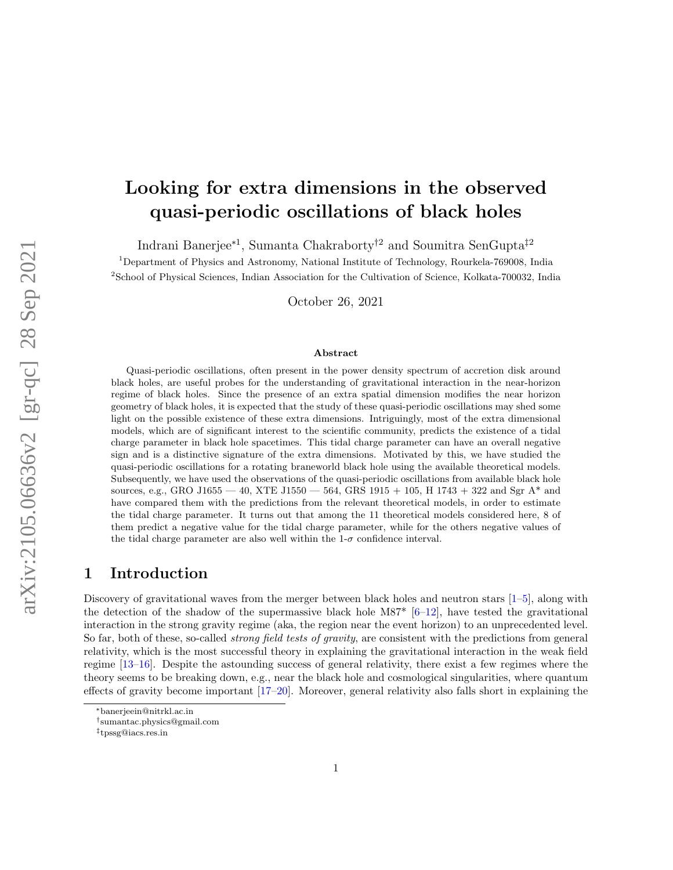# Looking for extra dimensions in the observed quasi-periodic oscillations of black holes

Indrani Banerjee<sup>∗</sup><sup>1</sup> , Sumanta Chakraborty†<sup>2</sup> and Soumitra SenGupta‡<sup>2</sup>

<sup>1</sup>Department of Physics and Astronomy, National Institute of Technology, Rourkela-769008, India <sup>2</sup>School of Physical Sciences, Indian Association for the Cultivation of Science, Kolkata-700032, India

October 26, 2021

#### Abstract

Quasi-periodic oscillations, often present in the power density spectrum of accretion disk around black holes, are useful probes for the understanding of gravitational interaction in the near-horizon regime of black holes. Since the presence of an extra spatial dimension modifies the near horizon geometry of black holes, it is expected that the study of these quasi-periodic oscillations may shed some light on the possible existence of these extra dimensions. Intriguingly, most of the extra dimensional models, which are of significant interest to the scientific community, predicts the existence of a tidal charge parameter in black hole spacetimes. This tidal charge parameter can have an overall negative sign and is a distinctive signature of the extra dimensions. Motivated by this, we have studied the quasi-periodic oscillations for a rotating braneworld black hole using the available theoretical models. Subsequently, we have used the observations of the quasi-periodic oscillations from available black hole sources, e.g., GRO J1655 — 40, XTE J1550 — 564, GRS 1915 + 105, H 1743 + 322 and Sgr A\* and have compared them with the predictions from the relevant theoretical models, in order to estimate the tidal charge parameter. It turns out that among the 11 theoretical models considered here, 8 of them predict a negative value for the tidal charge parameter, while for the others negative values of the tidal charge parameter are also well within the  $1-\sigma$  confidence interval.

### 1 Introduction

Discovery of gravitational waves from the merger between black holes and neutron stars [\[1](#page-25-0)[–5\]](#page-25-1), along with the detection of the shadow of the supermassive black hole M87<sup>\*</sup> [\[6–](#page-26-0)[12\]](#page-26-1), have tested the gravitational interaction in the strong gravity regime (aka, the region near the event horizon) to an unprecedented level. So far, both of these, so-called *strong field tests of gravity*, are consistent with the predictions from general relativity, which is the most successful theory in explaining the gravitational interaction in the weak field regime [\[13](#page-26-2)[–16\]](#page-26-3). Despite the astounding success of general relativity, there exist a few regimes where the theory seems to be breaking down, e.g., near the black hole and cosmological singularities, where quantum effects of gravity become important [\[17–](#page-26-4)[20\]](#page-26-5). Moreover, general relativity also falls short in explaining the

<sup>∗</sup>banerjeein@nitrkl.ac.in

<sup>†</sup> sumantac.physics@gmail.com

<sup>‡</sup> tpssg@iacs.res.in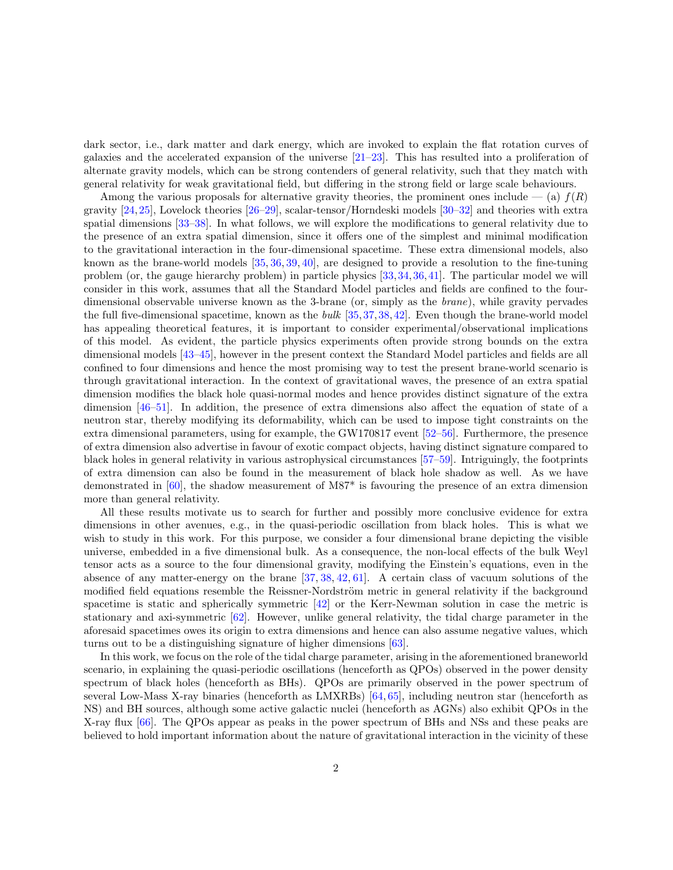dark sector, i.e., dark matter and dark energy, which are invoked to explain the flat rotation curves of galaxies and the accelerated expansion of the universe [\[21–](#page-27-0)[23\]](#page-27-1). This has resulted into a proliferation of alternate gravity models, which can be strong contenders of general relativity, such that they match with general relativity for weak gravitational field, but differing in the strong field or large scale behaviours.

Among the various proposals for alternative gravity theories, the prominent ones include  $-$  (a)  $f(R)$ gravity [\[24,](#page-27-2)[25\]](#page-27-3), Lovelock theories [\[26–](#page-27-4)[29\]](#page-27-5), scalar-tensor/Horndeski models [\[30–](#page-27-6)[32\]](#page-27-7) and theories with extra spatial dimensions [\[33](#page-27-8)[–38\]](#page-28-0). In what follows, we will explore the modifications to general relativity due to the presence of an extra spatial dimension, since it offers one of the simplest and minimal modification to the gravitational interaction in the four-dimensional spacetime. These extra dimensional models, also known as the brane-world models [\[35,](#page-27-9) [36,](#page-27-10) [39,](#page-28-1) [40\]](#page-28-2), are designed to provide a resolution to the fine-tuning problem (or, the gauge hierarchy problem) in particle physics [\[33,](#page-27-8)[34,](#page-27-11)[36,](#page-27-10)[41\]](#page-28-3). The particular model we will consider in this work, assumes that all the Standard Model particles and fields are confined to the fourdimensional observable universe known as the 3-brane (or, simply as the brane), while gravity pervades the full five-dimensional spacetime, known as the bulk  $[35,37,38,42]$  $[35,37,38,42]$  $[35,37,38,42]$  $[35,37,38,42]$ . Even though the brane-world model has appealing theoretical features, it is important to consider experimental/observational implications of this model. As evident, the particle physics experiments often provide strong bounds on the extra dimensional models [\[43](#page-28-5)[–45\]](#page-28-6), however in the present context the Standard Model particles and fields are all confined to four dimensions and hence the most promising way to test the present brane-world scenario is through gravitational interaction. In the context of gravitational waves, the presence of an extra spatial dimension modifies the black hole quasi-normal modes and hence provides distinct signature of the extra dimension [\[46–](#page-28-7)[51\]](#page-28-8). In addition, the presence of extra dimensions also affect the equation of state of a neutron star, thereby modifying its deformability, which can be used to impose tight constraints on the extra dimensional parameters, using for example, the GW170817 event [\[52–](#page-28-9)[56\]](#page-29-0). Furthermore, the presence of extra dimension also advertise in favour of exotic compact objects, having distinct signature compared to black holes in general relativity in various astrophysical circumstances [\[57–](#page-29-1)[59\]](#page-29-2). Intriguingly, the footprints of extra dimension can also be found in the measurement of black hole shadow as well. As we have demonstrated in [\[60\]](#page-29-3), the shadow measurement of M87\* is favouring the presence of an extra dimension more than general relativity.

All these results motivate us to search for further and possibly more conclusive evidence for extra dimensions in other avenues, e.g., in the quasi-periodic oscillation from black holes. This is what we wish to study in this work. For this purpose, we consider a four dimensional brane depicting the visible universe, embedded in a five dimensional bulk. As a consequence, the non-local effects of the bulk Weyl tensor acts as a source to the four dimensional gravity, modifying the Einstein's equations, even in the absence of any matter-energy on the brane [\[37,](#page-27-12) [38,](#page-28-0) [42,](#page-28-4) [61\]](#page-29-4). A certain class of vacuum solutions of the modified field equations resemble the Reissner-Nordström metric in general relativity if the background spacetime is static and spherically symmetric [\[42\]](#page-28-4) or the Kerr-Newman solution in case the metric is stationary and axi-symmetric [\[62\]](#page-29-5). However, unlike general relativity, the tidal charge parameter in the aforesaid spacetimes owes its origin to extra dimensions and hence can also assume negative values, which turns out to be a distinguishing signature of higher dimensions [\[63\]](#page-29-6).

In this work, we focus on the role of the tidal charge parameter, arising in the aforementioned braneworld scenario, in explaining the quasi-periodic oscillations (henceforth as QPOs) observed in the power density spectrum of black holes (henceforth as BHs). QPOs are primarily observed in the power spectrum of several Low-Mass X-ray binaries (henceforth as LMXRBs) [\[64,](#page-29-7) [65\]](#page-29-8), including neutron star (henceforth as NS) and BH sources, although some active galactic nuclei (henceforth as AGNs) also exhibit QPOs in the X-ray flux [\[66\]](#page-29-9). The QPOs appear as peaks in the power spectrum of BHs and NSs and these peaks are believed to hold important information about the nature of gravitational interaction in the vicinity of these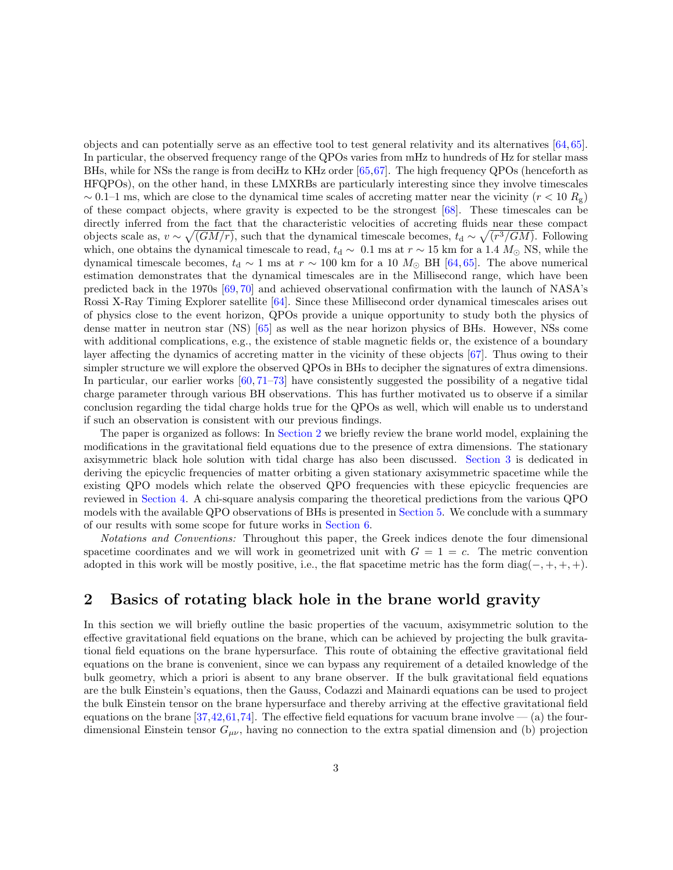objects and can potentially serve as an effective tool to test general relativity and its alternatives [\[64,](#page-29-7)[65\]](#page-29-8). In particular, the observed frequency range of the QPOs varies from mHz to hundreds of Hz for stellar mass BHs, while for NSs the range is from deciHz to KHz order [\[65,](#page-29-8)[67\]](#page-29-10). The high frequency QPOs (henceforth as HFQPOs), on the other hand, in these LMXRBs are particularly interesting since they involve timescales  $\sim 0.1$ –1 ms, which are close to the dynamical time scales of accreting matter near the vicinity ( $r < 10 R<sub>g</sub>$ ) of these compact objects, where gravity is expected to be the strongest [\[68\]](#page-29-11). These timescales can be directly inferred from the fact that the characteristic velocities of accreting fluids near these compact objects scale as,  $v \sim \sqrt{(GM/r)}$ , such that the dynamical timescale becomes,  $t_d \sim \sqrt{(r^3/GM)}$ . Following which, one obtains the dynamical timescale to read,  $t_d \sim 0.1$  ms at  $r \sim 15$  km for a 1.4  $M_{\odot}$  NS, while the dynamical timescale becomes,  $t_d \sim 1$  ms at  $r \sim 100$  km for a 10  $M_{\odot}$  BH [\[64,](#page-29-7) [65\]](#page-29-8). The above numerical estimation demonstrates that the dynamical timescales are in the Millisecond range, which have been predicted back in the 1970s [\[69,](#page-30-0) [70\]](#page-30-1) and achieved observational confirmation with the launch of NASA's Rossi X-Ray Timing Explorer satellite [\[64\]](#page-29-7). Since these Millisecond order dynamical timescales arises out of physics close to the event horizon, QPOs provide a unique opportunity to study both the physics of dense matter in neutron star (NS) [\[65\]](#page-29-8) as well as the near horizon physics of BHs. However, NSs come with additional complications, e.g., the existence of stable magnetic fields or, the existence of a boundary layer affecting the dynamics of accreting matter in the vicinity of these objects [\[67\]](#page-29-10). Thus owing to their simpler structure we will explore the observed QPOs in BHs to decipher the signatures of extra dimensions. In particular, our earlier works  $[60, 71-73]$  $[60, 71-73]$  $[60, 71-73]$  have consistently suggested the possibility of a negative tidal charge parameter through various BH observations. This has further motivated us to observe if a similar conclusion regarding the tidal charge holds true for the QPOs as well, which will enable us to understand if such an observation is consistent with our previous findings.

The paper is organized as follows: In [Section 2](#page-2-0) we briefly review the brane world model, explaining the modifications in the gravitational field equations due to the presence of extra dimensions. The stationary axisymmetric black hole solution with tidal charge has also been discussed. [Section 3](#page-3-0) is dedicated in deriving the epicyclic frequencies of matter orbiting a given stationary axisymmetric spacetime while the existing QPO models which relate the observed QPO frequencies with these epicyclic frequencies are reviewed in [Section 4.](#page-5-0) A chi-square analysis comparing the theoretical predictions from the various QPO models with the available QPO observations of BHs is presented in [Section 5.](#page-14-0) We conclude with a summary of our results with some scope for future works in [Section 6.](#page-24-0)

Notations and Conventions: Throughout this paper, the Greek indices denote the four dimensional spacetime coordinates and we will work in geometrized unit with  $G = 1 = c$ . The metric convention adopted in this work will be mostly positive, i.e., the flat spacetime metric has the form diag( $-, +, +, +$ ).

## <span id="page-2-0"></span>2 Basics of rotating black hole in the brane world gravity

In this section we will briefly outline the basic properties of the vacuum, axisymmetric solution to the effective gravitational field equations on the brane, which can be achieved by projecting the bulk gravitational field equations on the brane hypersurface. This route of obtaining the effective gravitational field equations on the brane is convenient, since we can bypass any requirement of a detailed knowledge of the bulk geometry, which a priori is absent to any brane observer. If the bulk gravitational field equations are the bulk Einstein's equations, then the Gauss, Codazzi and Mainardi equations can be used to project the bulk Einstein tensor on the brane hypersurface and thereby arriving at the effective gravitational field equations on the brane  $[37,42,61,74]$  $[37,42,61,74]$  $[37,42,61,74]$  $[37,42,61,74]$ . The effective field equations for vacuum brane involve — (a) the fourdimensional Einstein tensor  $G_{\mu\nu}$ , having no connection to the extra spatial dimension and (b) projection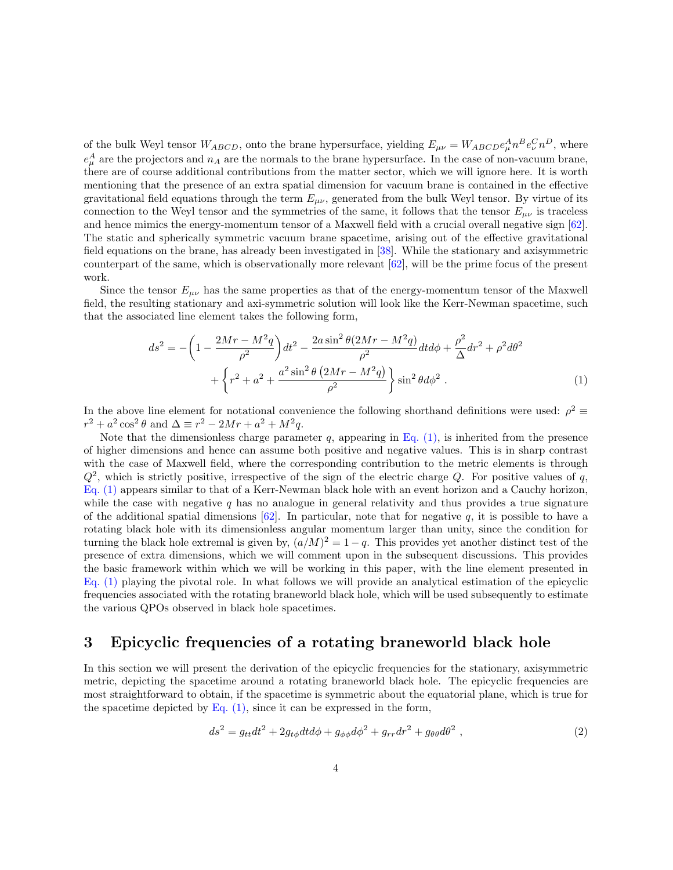of the bulk Weyl tensor  $W_{ABCD}$ , onto the brane hypersurface, yielding  $E_{\mu\nu} = W_{ABCD}e^A_\mu n^B e^C_\nu n^D$ , where  $e^A_\mu$  are the projectors and  $n_A$  are the normals to the brane hypersurface. In the case of non-vacuum brane, there are of course additional contributions from the matter sector, which we will ignore here. It is worth mentioning that the presence of an extra spatial dimension for vacuum brane is contained in the effective gravitational field equations through the term  $E_{\mu\nu}$ , generated from the bulk Weyl tensor. By virtue of its connection to the Weyl tensor and the symmetries of the same, it follows that the tensor  $E_{\mu\nu}$  is traceless and hence mimics the energy-momentum tensor of a Maxwell field with a crucial overall negative sign [\[62\]](#page-29-5). The static and spherically symmetric vacuum brane spacetime, arising out of the effective gravitational field equations on the brane, has already been investigated in [\[38\]](#page-28-0). While the stationary and axisymmetric counterpart of the same, which is observationally more relevant [\[62\]](#page-29-5), will be the prime focus of the present work.

Since the tensor  $E_{\mu\nu}$  has the same properties as that of the energy-momentum tensor of the Maxwell field, the resulting stationary and axi-symmetric solution will look like the Kerr-Newman spacetime, such that the associated line element takes the following form,

<span id="page-3-1"></span>
$$
ds^{2} = -\left(1 - \frac{2Mr - M^{2}q}{\rho^{2}}\right)dt^{2} - \frac{2a\sin^{2}\theta(2Mr - M^{2}q)}{\rho^{2}}dt d\phi + \frac{\rho^{2}}{\Delta}dr^{2} + \rho^{2}d\theta^{2} + \left\{r^{2} + a^{2} + \frac{a^{2}\sin^{2}\theta(2Mr - M^{2}q)}{\rho^{2}}\right\}\sin^{2}\theta d\phi^{2}.
$$
 (1)

In the above line element for notational convenience the following shorthand definitions were used:  $\rho^2 \equiv$  $r^2 + a^2 \cos^2 \theta$  and  $\Delta \equiv r^2 - 2Mr + a^2 + M^2q$ .

Note that the dimensionless charge parameter q, appearing in Eq.  $(1)$ , is inherited from the presence of higher dimensions and hence can assume both positive and negative values. This is in sharp contrast with the case of Maxwell field, where the corresponding contribution to the metric elements is through  $Q^2$ , which is strictly positive, irrespective of the sign of the electric charge Q. For positive values of q, [Eq. \(1\)](#page-3-1) appears similar to that of a Kerr-Newman black hole with an event horizon and a Cauchy horizon, while the case with negative  $q$  has no analogue in general relativity and thus provides a true signature of the additional spatial dimensions  $[62]$ . In particular, note that for negative q, it is possible to have a rotating black hole with its dimensionless angular momentum larger than unity, since the condition for turning the black hole extremal is given by,  $(a/M)^2 = 1 - q$ . This provides yet another distinct test of the presence of extra dimensions, which we will comment upon in the subsequent discussions. This provides the basic framework within which we will be working in this paper, with the line element presented in [Eq. \(1\)](#page-3-1) playing the pivotal role. In what follows we will provide an analytical estimation of the epicyclic frequencies associated with the rotating braneworld black hole, which will be used subsequently to estimate the various QPOs observed in black hole spacetimes.

## <span id="page-3-0"></span>3 Epicyclic frequencies of a rotating braneworld black hole

In this section we will present the derivation of the epicyclic frequencies for the stationary, axisymmetric metric, depicting the spacetime around a rotating braneworld black hole. The epicyclic frequencies are most straightforward to obtain, if the spacetime is symmetric about the equatorial plane, which is true for the spacetime depicted by Eq.  $(1)$ , since it can be expressed in the form,

$$
ds^{2} = g_{tt}dt^{2} + 2g_{t\phi}dtd\phi + g_{\phi\phi}d\phi^{2} + g_{rr}dr^{2} + g_{\theta\theta}d\theta^{2} , \qquad (2)
$$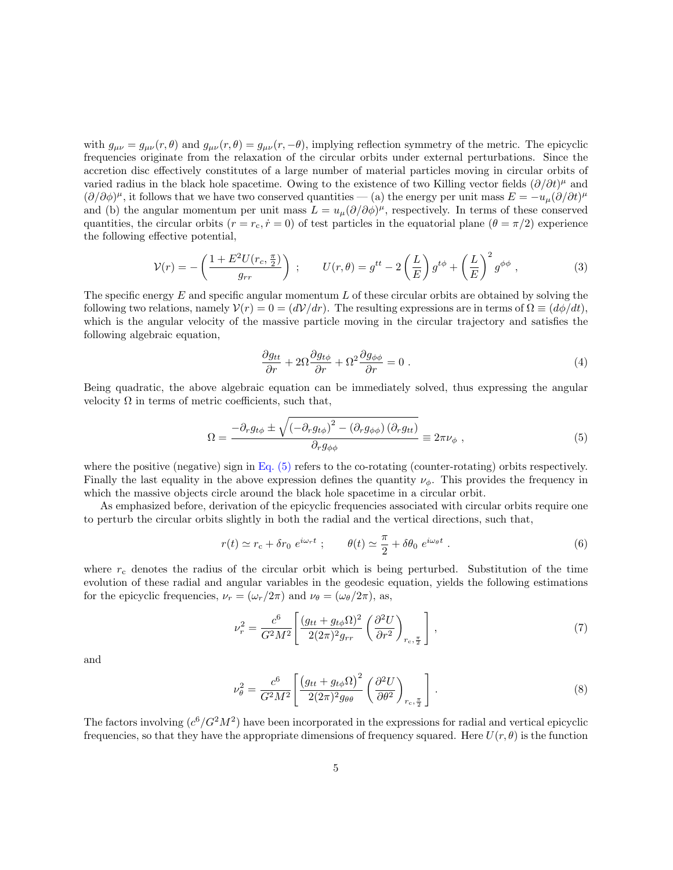with  $g_{\mu\nu} = g_{\mu\nu}(r,\theta)$  and  $g_{\mu\nu}(r,\theta) = g_{\mu\nu}(r,-\theta)$ , implying reflection symmetry of the metric. The epicyclic frequencies originate from the relaxation of the circular orbits under external perturbations. Since the accretion disc effectively constitutes of a large number of material particles moving in circular orbits of varied radius in the black hole spacetime. Owing to the existence of two Killing vector fields  $(\partial/\partial t)^\mu$  and  $(\partial/\partial\phi)^\mu$ , it follows that we have two conserved quantities — (a) the energy per unit mass  $E = -u_\mu(\partial/\partial t)^\mu$ and (b) the angular momentum per unit mass  $L = u_{\mu} (\partial/\partial \phi)^{\mu}$ , respectively. In terms of these conserved quantities, the circular orbits  $(r = r_c, \dot{r} = 0)$  of test particles in the equatorial plane  $(\theta = \pi/2)$  experience the following effective potential,

$$
\mathcal{V}(r) = -\left(\frac{1 + E^2 U(r_c, \frac{\pi}{2})}{g_{rr}}\right) ; \qquad U(r, \theta) = g^{tt} - 2\left(\frac{L}{E}\right) g^{t\phi} + \left(\frac{L}{E}\right)^2 g^{\phi\phi} , \qquad (3)
$$

The specific energy  $E$  and specific angular momentum  $L$  of these circular orbits are obtained by solving the following two relations, namely  $V(r) = 0 = (dV/dr)$ . The resulting expressions are in terms of  $\Omega \equiv (d\phi/dt)$ , which is the angular velocity of the massive particle moving in the circular trajectory and satisfies the following algebraic equation,

<span id="page-4-1"></span><span id="page-4-0"></span>
$$
\frac{\partial g_{tt}}{\partial r} + 2\Omega \frac{\partial g_{t\phi}}{\partial r} + \Omega^2 \frac{\partial g_{\phi\phi}}{\partial r} = 0.
$$
\n(4)

Being quadratic, the above algebraic equation can be immediately solved, thus expressing the angular velocity  $\Omega$  in terms of metric coefficients, such that,

$$
\Omega = \frac{-\partial_r g_{t\phi} \pm \sqrt{\left(-\partial_r g_{t\phi}\right)^2 - \left(\partial_r g_{\phi\phi}\right)\left(\partial_r g_{tt}\right)}}{\partial_r g_{\phi\phi}} \equiv 2\pi\nu_\phi \ , \tag{5}
$$

where the positive (negative) sign in [Eq. \(5\)](#page-4-0) refers to the co-rotating (counter-rotating) orbits respectively. Finally the last equality in the above expression defines the quantity  $\nu_{\phi}$ . This provides the frequency in which the massive objects circle around the black hole spacetime in a circular orbit.

As emphasized before, derivation of the epicyclic frequencies associated with circular orbits require one to perturb the circular orbits slightly in both the radial and the vertical directions, such that,

$$
r(t) \simeq r_c + \delta r_0 e^{i\omega_r t} ; \qquad \theta(t) \simeq \frac{\pi}{2} + \delta \theta_0 e^{i\omega_\theta t} . \qquad (6)
$$

where  $r_c$  denotes the radius of the circular orbit which is being perturbed. Substitution of the time evolution of these radial and angular variables in the geodesic equation, yields the following estimations for the epicyclic frequencies,  $\nu_r = (\omega_r/2\pi)$  and  $\nu_\theta = (\omega_\theta/2\pi)$ , as,

<span id="page-4-2"></span>
$$
\nu_r^2 = \frac{c^6}{G^2 M^2} \left[ \frac{(g_{tt} + g_{t\phi} \Omega)^2}{2(2\pi)^2 g_{rr}} \left( \frac{\partial^2 U}{\partial r^2} \right)_{r_c, \frac{\pi}{2}} \right],\tag{7}
$$

and

<span id="page-4-3"></span>
$$
\nu_{\theta}^{2} = \frac{c^{6}}{G^{2}M^{2}} \left[ \frac{\left(g_{tt} + g_{t\phi}\Omega\right)^{2}}{2(2\pi)^{2}g_{\theta\theta}} \left(\frac{\partial^{2}U}{\partial\theta^{2}}\right)_{r_{c},\frac{\pi}{2}} \right].
$$
\n(8)

The factors involving  $(c^6/G^2M^2)$  have been incorporated in the expressions for radial and vertical epicyclic frequencies, so that they have the appropriate dimensions of frequency squared. Here  $U(r, \theta)$  is the function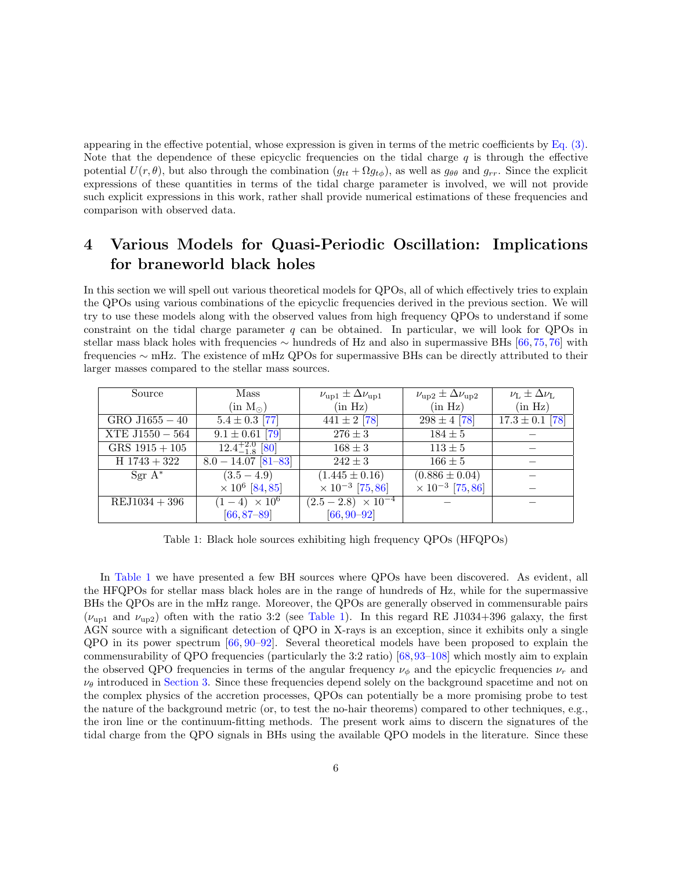appearing in the effective potential, whose expression is given in terms of the metric coefficients by [Eq. \(3\).](#page-4-1) Note that the dependence of these epicyclic frequencies on the tidal charge  $q$  is through the effective potential  $U(r, \theta)$ , but also through the combination  $(g_{tt} + \Omega g_{t\phi})$ , as well as  $g_{\theta\theta}$  and  $g_{rr}$ . Since the explicit expressions of these quantities in terms of the tidal charge parameter is involved, we will not provide such explicit expressions in this work, rather shall provide numerical estimations of these frequencies and comparison with observed data.

## <span id="page-5-0"></span>4 Various Models for Quasi-Periodic Oscillation: Implications for braneworld black holes

In this section we will spell out various theoretical models for QPOs, all of which effectively tries to explain the QPOs using various combinations of the epicyclic frequencies derived in the previous section. We will try to use these models along with the observed values from high frequency QPOs to understand if some constraint on the tidal charge parameter  $q$  can be obtained. In particular, we will look for QPOs in stellar mass black holes with frequencies ∼ hundreds of Hz and also in supermassive BHs [\[66,](#page-29-9) [75,](#page-30-5) [76\]](#page-30-6) with frequencies ∼ mHz. The existence of mHz QPOs for supermassive BHs can be directly attributed to their larger masses compared to the stellar mass sources.

| Source            | Mass                              | $\nu_{\text{up1}} \pm \Delta \nu_{\text{up1}}$ | $\nu_{\rm up2} \pm \Delta \nu_{\rm up2}$ | $\nu_{\rm L} \pm \Delta \nu_{\rm L}$ |
|-------------------|-----------------------------------|------------------------------------------------|------------------------------------------|--------------------------------------|
|                   | (in M <sub>o</sub> )              | (in Hz)                                        | (in Hz)                                  | (in Hz)                              |
| $GRO$ J1655 $-40$ | $5.4 \pm 0.3$ [77]                | $441 \pm 2$ [78]                               | $298 \pm 4$ [78]                         | $17.3 \pm 0.1$ [78]                  |
| XTE $J1550 - 564$ | $9.1 \pm 0.61$ [79]               | $276 \pm 3$                                    | $184 \pm 5$                              |                                      |
| $GRS$ 1915 + 105  | $12.4^{+2.0}_{-1.8}$ [80]         | $168 \pm 3$                                    | $113 \pm 5$                              |                                      |
| $H$ 1743 + 322    | $8.0 - 14.07$ [81-83]             | $242 \pm 3$                                    | $166 \pm 5$                              |                                      |
| $Sgr A^*$         | $(3.5 - 4.9)$                     | $(1.445 \pm 0.16)$                             | $(0.886 \pm 0.04)$                       |                                      |
|                   | $\times$ 10 <sup>6</sup> [84, 85] | $\times$ 10 <sup>-3</sup> [75,86]              | $\times$ 10 <sup>-3</sup> [75,86]        |                                      |
| $REJ1034 + 396$   | $(1-4) \times 10^{6}$             | $(2.5-2.8) \times 10^{-4}$                     |                                          |                                      |
|                   | $[66, 87 - 89]$                   | $[66, 90 - 92]$                                |                                          |                                      |

<span id="page-5-1"></span>Table 1: Black hole sources exhibiting high frequency QPOs (HFQPOs)

In [Table 1](#page-5-1) we have presented a few BH sources where QPOs have been discovered. As evident, all the HFQPOs for stellar mass black holes are in the range of hundreds of Hz, while for the supermassive BHs the QPOs are in the mHz range. Moreover, the QPOs are generally observed in commensurable pairs  $(\nu_{\text{un1}}$  and  $\nu_{\text{un2}})$  often with the ratio 3:2 (see [Table 1\)](#page-5-1). In this regard RE J1034+396 galaxy, the first AGN source with a significant detection of QPO in X-rays is an exception, since it exhibits only a single QPO in its power spectrum [\[66,](#page-29-9) [90](#page-31-5)[–92\]](#page-31-6). Several theoretical models have been proposed to explain the commensurability of QPO frequencies (particularly the 3:2 ratio) [\[68,](#page-29-11)[93–](#page-31-7)[108\]](#page-32-0) which mostly aim to explain the observed QPO frequencies in terms of the angular frequency  $\nu_{\phi}$  and the epicyclic frequencies  $\nu_r$  and  $\nu_{\theta}$  introduced in [Section 3.](#page-3-0) Since these frequencies depend solely on the background spacetime and not on the complex physics of the accretion processes, QPOs can potentially be a more promising probe to test the nature of the background metric (or, to test the no-hair theorems) compared to other techniques, e.g., the iron line or the continuum-fitting methods. The present work aims to discern the signatures of the tidal charge from the QPO signals in BHs using the available QPO models in the literature. Since these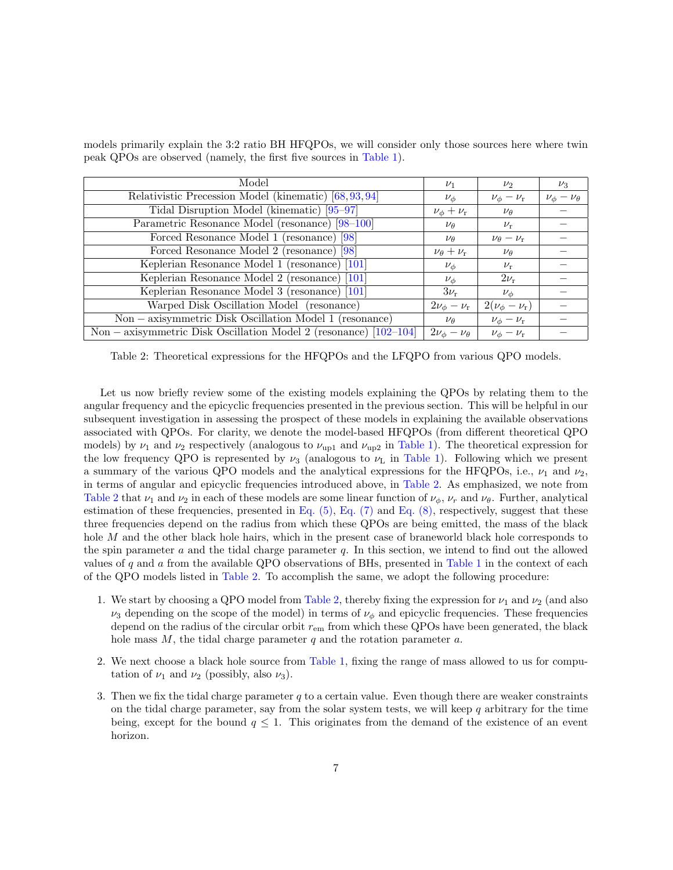| Model                                                               | $\nu_1$                    | $\nu_{2}$                    | $\nu_3$                   |
|---------------------------------------------------------------------|----------------------------|------------------------------|---------------------------|
| Relativistic Precession Model (kinematic) [68, 93, 94]              | $\nu_{\phi}$               | $\nu_{\phi}-\nu_{\rm r}$     | $\nu_{\phi}-\nu_{\theta}$ |
| Tidal Disruption Model (kinematic) [95–97]                          | $\nu_{\phi} + \nu_{\rm r}$ | $\nu_{\theta}$               |                           |
| Parametric Resonance Model (resonance) [98-100]                     | $\nu_{\theta}$             | $\nu_{\rm r}$                |                           |
| Forced Resonance Model 1 (resonance) [98]                           | $\nu_{\theta}$             | $\nu_{\theta} - \nu_{\rm r}$ |                           |
| Forced Resonance Model 2 (resonance) [98]                           | $\nu_{\theta} + \nu_{r}$   | $\nu_{\theta}$               |                           |
| Keplerian Resonance Model 1 (resonance) [101]                       | $\nu_{\phi}$               | $\nu_{\rm r}$                |                           |
| Keplerian Resonance Model 2 (resonance) [101]                       | $\nu_{\phi}$               | $2\nu_{\rm r}$               |                           |
| Keplerian Resonance Model 3 (resonance) [101]                       | $3\nu_{\rm r}$             | $\nu_{\phi}$                 |                           |
| Warped Disk Oscillation Model (resonance)                           | $2\nu_{\phi}-\nu_{\rm r}$  | $2(\nu_{\phi}-\nu_{\rm r})$  |                           |
| $Non - axisymmetric Disk Oscillation Model 1 (resonance)$           | $\nu_{\theta}$             | $\nu_{\phi}-\nu_{\rm r}$     |                           |
| Non – axisymmetric Disk Oscillation Model 2 (resonance) $[102-104]$ | $2\nu_{\phi}-\nu_{\theta}$ | $\nu_\phi - \nu_\text{r}$    |                           |

models primarily explain the 3:2 ratio BH HFQPOs, we will consider only those sources here where twin peak QPOs are observed (namely, the first five sources in [Table 1\)](#page-5-1).

<span id="page-6-0"></span>Table 2: Theoretical expressions for the HFQPOs and the LFQPO from various QPO models.

Let us now briefly review some of the existing models explaining the QPOs by relating them to the angular frequency and the epicyclic frequencies presented in the previous section. This will be helpful in our subsequent investigation in assessing the prospect of these models in explaining the available observations associated with QPOs. For clarity, we denote the model-based HFQPOs (from different theoretical QPO models) by  $\nu_1$  and  $\nu_2$  respectively (analogous to  $\nu_{\text{up1}}$  and  $\nu_{\text{up2}}$  in [Table 1\)](#page-5-1). The theoretical expression for the low frequency QPO is represented by  $\nu_3$  (analogous to  $\nu_L$  in [Table 1\)](#page-5-1). Following which we present a summary of the various QPO models and the analytical expressions for the HFQPOs, i.e.,  $\nu_1$  and  $\nu_2$ , in terms of angular and epicyclic frequencies introduced above, in [Table 2.](#page-6-0) As emphasized, we note from [Table 2](#page-6-0) that  $\nu_1$  and  $\nu_2$  in each of these models are some linear function of  $\nu_\phi$ ,  $\nu_r$  and  $\nu_\theta$ . Further, analytical estimation of these frequencies, presented in Eq.  $(5)$ , Eq.  $(7)$  and Eq.  $(8)$ , respectively, suggest that these three frequencies depend on the radius from which these QPOs are being emitted, the mass of the black hole M and the other black hole hairs, which in the present case of braneworld black hole corresponds to the spin parameter  $a$  and the tidal charge parameter  $q$ . In this section, we intend to find out the allowed values of q and  $a$  from the available QPO observations of BHs, presented in [Table 1](#page-5-1) in the context of each of the QPO models listed in [Table 2.](#page-6-0) To accomplish the same, we adopt the following procedure:

- 1. We start by choosing a QPO model from [Table 2,](#page-6-0) thereby fixing the expression for  $\nu_1$  and  $\nu_2$  (and also  $\nu_3$  depending on the scope of the model) in terms of  $\nu_\phi$  and epicyclic frequencies. These frequencies depend on the radius of the circular orbit  $r_{\rm em}$  from which these QPOs have been generated, the black hole mass  $M$ , the tidal charge parameter  $q$  and the rotation parameter  $a$ .
- 2. We next choose a black hole source from [Table 1,](#page-5-1) fixing the range of mass allowed to us for computation of  $\nu_1$  and  $\nu_2$  (possibly, also  $\nu_3$ ).
- 3. Then we fix the tidal charge parameter  $q$  to a certain value. Even though there are weaker constraints on the tidal charge parameter, say from the solar system tests, we will keep  $q$  arbitrary for the time being, except for the bound  $q \leq 1$ . This originates from the demand of the existence of an event horizon.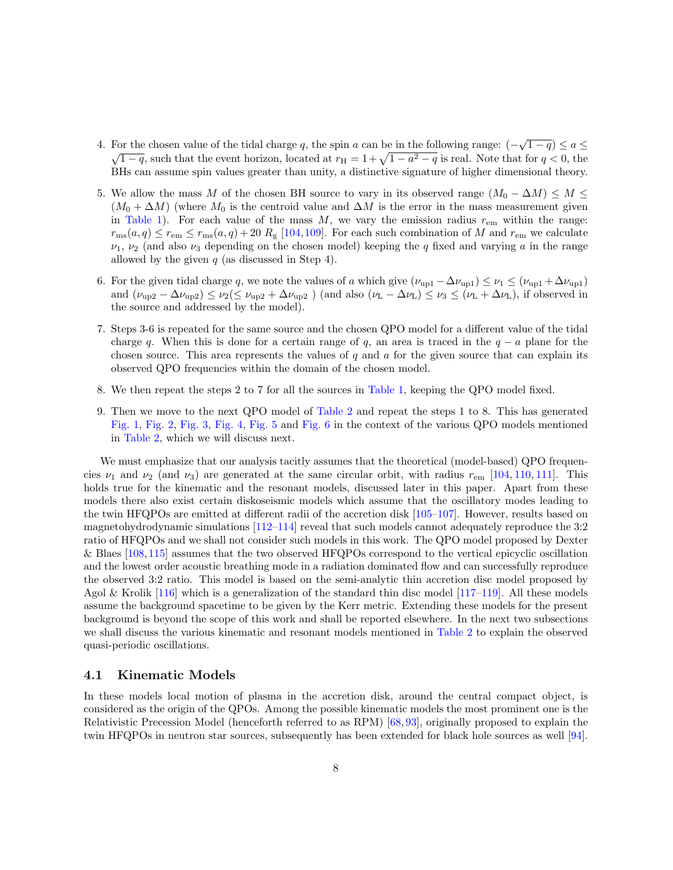- 4. For the chosen value of the tidal charge q, the spin a can be in the following range:  $(-\sqrt{1-q}) \le a \le$  $\sqrt{1-q}$ , such that the event horizon, located at  $r_H = 1 + \sqrt{1 - a^2 - q}$  is real. Note that for  $q < 0$ , the BHs can assume spin values greater than unity, a distinctive signature of higher dimensional theory.
- 5. We allow the mass M of the chosen BH source to vary in its observed range  $(M_0 \Delta M) \leq M \leq$  $(M_0 + \Delta M)$  (where  $M_0$  is the centroid value and  $\Delta M$  is the error in the mass measurement given in [Table 1\)](#page-5-1). For each value of the mass  $M$ , we vary the emission radius  $r_{\rm em}$  within the range:  $r_{\text{ms}}(a,q) \leq r_{\text{em}} \leq r_{\text{ms}}(a,q) + 20 R_{\text{g}}$  [\[104,](#page-32-5)[109\]](#page-32-6). For each such combination of M and  $r_{\text{em}}$  we calculate  $\nu_1, \nu_2$  (and also  $\nu_3$  depending on the chosen model) keeping the q fixed and varying a in the range allowed by the given  $q$  (as discussed in Step 4).
- 6. For the given tidal charge q, we note the values of a which give  $(\nu_{up1} \Delta \nu_{up1}) \leq \nu_1 \leq (\nu_{up1} + \Delta \nu_{up1})$ and  $(\nu_{\text{up2}} - \Delta \nu_{\text{up2}}) \leq \nu_2 (\leq \nu_{\text{up2}} + \Delta \nu_{\text{up2}})$  (and also  $(\nu_L - \Delta \nu_L) \leq \nu_3 \leq (\nu_L + \Delta \nu_L)$ , if observed in the source and addressed by the model).
- 7. Steps 3-6 is repeated for the same source and the chosen QPO model for a different value of the tidal charge q. When this is done for a certain range of q, an area is traced in the  $q - a$  plane for the chosen source. This area represents the values of  $q$  and  $q$  for the given source that can explain its observed QPO frequencies within the domain of the chosen model.
- 8. We then repeat the steps 2 to 7 for all the sources in [Table 1,](#page-5-1) keeping the QPO model fixed.
- 9. Then we move to the next QPO model of [Table 2](#page-6-0) and repeat the steps 1 to 8. This has generated [Fig. 1,](#page-8-0) [Fig. 2,](#page-10-0) [Fig. 3,](#page-11-0) [Fig. 4,](#page-12-0) [Fig. 5](#page-13-0) and [Fig. 6](#page-14-1) in the context of the various QPO models mentioned in [Table 2,](#page-6-0) which we will discuss next.

We must emphasize that our analysis tacitly assumes that the theoretical (model-based) QPO frequencies  $\nu_1$  and  $\nu_2$  (and  $\nu_3$ ) are generated at the same circular orbit, with radius  $r_{\rm em}$  [\[104,](#page-32-5) [110,](#page-32-7) [111\]](#page-32-8). This holds true for the kinematic and the resonant models, discussed later in this paper. Apart from these models there also exist certain diskoseismic models which assume that the oscillatory modes leading to the twin HFQPOs are emitted at different radii of the accretion disk [\[105–](#page-32-9)[107\]](#page-32-10). However, results based on magnetohydrodynamic simulations  $[112-114]$  $[112-114]$  reveal that such models cannot adequately reproduce the 3:2 ratio of HFQPOs and we shall not consider such models in this work. The QPO model proposed by Dexter & Blaes [\[108,](#page-32-0)[115\]](#page-33-2) assumes that the two observed HFQPOs correspond to the vertical epicyclic oscillation and the lowest order acoustic breathing mode in a radiation dominated flow and can successfully reproduce the observed 3:2 ratio. This model is based on the semi-analytic thin accretion disc model proposed by Agol & Krolik  $[116]$  which is a generalization of the standard thin disc model  $[117-119]$  $[117-119]$ . All these models assume the background spacetime to be given by the Kerr metric. Extending these models for the present background is beyond the scope of this work and shall be reported elsewhere. In the next two subsections we shall discuss the various kinematic and resonant models mentioned in [Table 2](#page-6-0) to explain the observed quasi-periodic oscillations.

#### <span id="page-7-0"></span>4.1 Kinematic Models

In these models local motion of plasma in the accretion disk, around the central compact object, is considered as the origin of the QPOs. Among the possible kinematic models the most prominent one is the Relativistic Precession Model (henceforth referred to as RPM) [\[68,](#page-29-11) [93\]](#page-31-7), originally proposed to explain the twin HFQPOs in neutron star sources, subsequently has been extended for black hole sources as well [\[94\]](#page-31-8).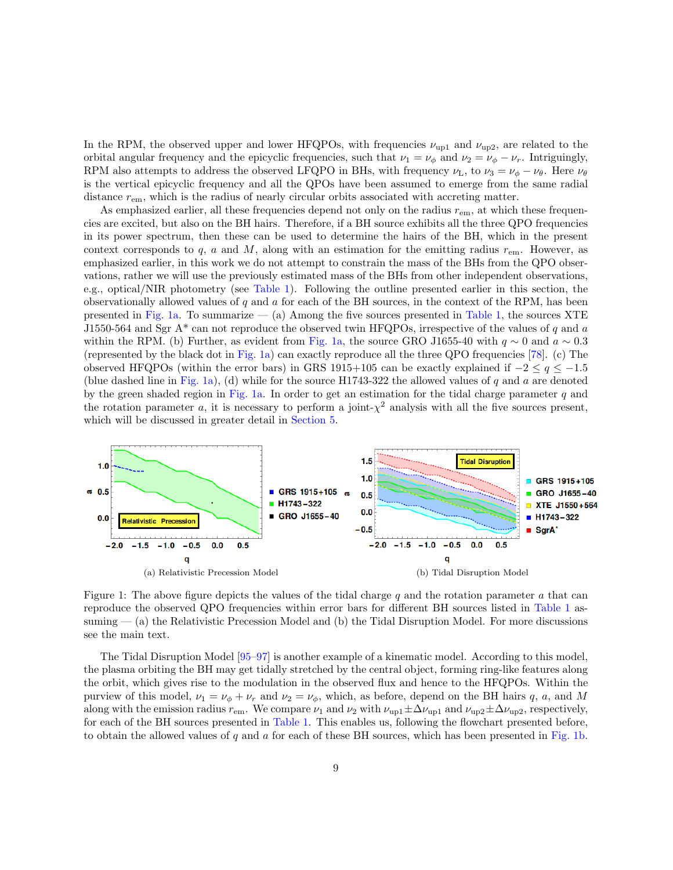In the RPM, the observed upper and lower HFQPOs, with frequencies  $\nu_{\text{up1}}$  and  $\nu_{\text{up2}}$ , are related to the orbital angular frequency and the epicyclic frequencies, such that  $\nu_1 = \nu_\phi$  and  $\nu_2 = \nu_\phi - \nu_r$ . Intriguingly, RPM also attempts to address the observed LFQPO in BHs, with frequency  $\nu_L$ , to  $\nu_3 = \nu_\phi - \nu_\theta$ . Here  $\nu_\theta$ is the vertical epicyclic frequency and all the QPOs have been assumed to emerge from the same radial distance  $r_{\rm em}$ , which is the radius of nearly circular orbits associated with accreting matter.

As emphasized earlier, all these frequencies depend not only on the radius  $r_{\rm em}$ , at which these frequencies are excited, but also on the BH hairs. Therefore, if a BH source exhibits all the three QPO frequencies in its power spectrum, then these can be used to determine the hairs of the BH, which in the present context corresponds to q, a and M, along with an estimation for the emitting radius  $r_{\rm em}$ . However, as emphasized earlier, in this work we do not attempt to constrain the mass of the BHs from the QPO observations, rather we will use the previously estimated mass of the BHs from other independent observations, e.g., optical/NIR photometry (see [Table 1\)](#page-5-1). Following the outline presented earlier in this section, the observationally allowed values of  $q$  and  $a$  for each of the BH sources, in the context of the RPM, has been presented in [Fig. 1a.](#page-8-1) To summarize  $-$  (a) Among the five sources presented in [Table 1,](#page-5-1) the sources XTE J1550-564 and Sgr A\* can not reproduce the observed twin HFQPOs, irrespective of the values of q and a within the RPM. (b) Further, as evident from [Fig. 1a,](#page-8-1) the source GRO J1655-40 with  $q \sim 0$  and  $a \sim 0.3$ (represented by the black dot in [Fig. 1a\)](#page-8-1) can exactly reproduce all the three QPO frequencies [\[78\]](#page-30-8). (c) The observed HFQPOs (within the error bars) in GRS 1915+105 can be exactly explained if  $-2 \le q \le -1.5$ (blue dashed line in [Fig. 1a\)](#page-8-1), (d) while for the source H1743-322 the allowed values of q and a are denoted by the green shaded region in [Fig. 1a.](#page-8-1) In order to get an estimation for the tidal charge parameter  $q$  and the rotation parameter a, it is necessary to perform a joint- $\chi^2$  analysis with all the five sources present, which will be discussed in greater detail in [Section 5.](#page-14-0)

<span id="page-8-1"></span>

<span id="page-8-2"></span><span id="page-8-0"></span>Figure 1: The above figure depicts the values of the tidal charge q and the rotation parameter  $a$  that can reproduce the observed QPO frequencies within error bars for different BH sources listed in [Table 1](#page-5-1) assuming  $-$  (a) the Relativistic Precession Model and (b) the Tidal Disruption Model. For more discussions see the main text.

The Tidal Disruption Model [\[95](#page-31-9)[–97\]](#page-31-10) is another example of a kinematic model. According to this model, the plasma orbiting the BH may get tidally stretched by the central object, forming ring-like features along the orbit, which gives rise to the modulation in the observed flux and hence to the HFQPOs. Within the purview of this model,  $\nu_1 = \nu_\phi + \nu_r$  and  $\nu_2 = \nu_\phi$ , which, as before, depend on the BH hairs q, a, and M along with the emission radius  $r_{em}$ . We compare  $\nu_1$  and  $\nu_2$  with  $\nu_{up1} \pm \Delta \nu_{up1}$  and  $\nu_{up2} \pm \Delta \nu_{up2}$ , respectively, for each of the BH sources presented in [Table 1.](#page-5-1) This enables us, following the flowchart presented before, to obtain the allowed values of  $q$  and  $a$  for each of these BH sources, which has been presented in [Fig. 1b.](#page-8-2)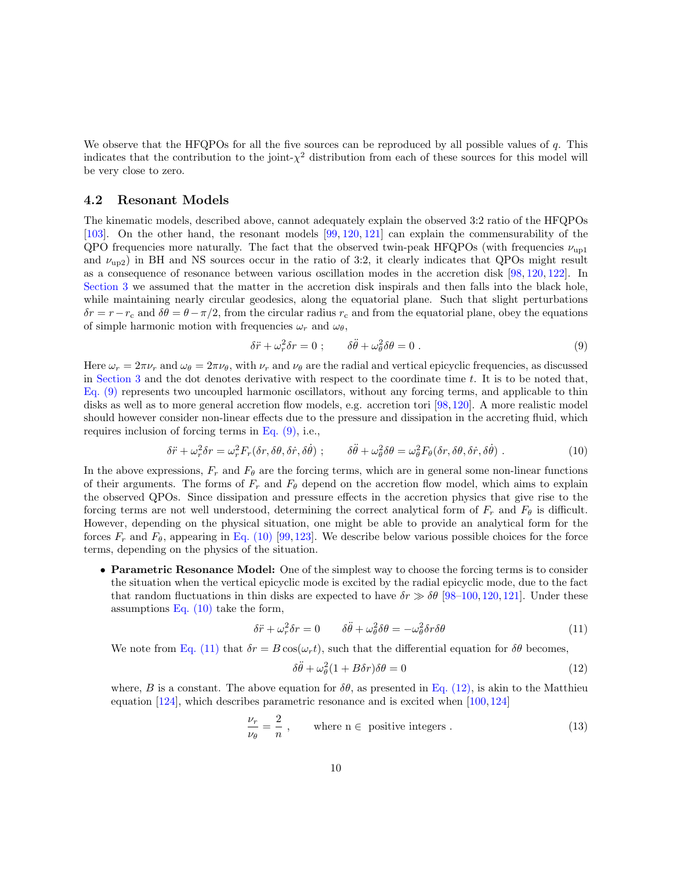We observe that the HFQPOs for all the five sources can be reproduced by all possible values of  $q$ . This indicates that the contribution to the joint- $\chi^2$  distribution from each of these sources for this model will be very close to zero.

#### <span id="page-9-4"></span>4.2 Resonant Models

The kinematic models, described above, cannot adequately explain the observed 3:2 ratio of the HFQPOs [\[103\]](#page-32-11). On the other hand, the resonant models [\[99,](#page-32-12) [120,](#page-33-6) [121\]](#page-33-7) can explain the commensurability of the QPO frequencies more naturally. The fact that the observed twin-peak HFQPOs (with frequencies  $\nu_{\text{up1}}$ and  $\nu_{\text{up2}}$ ) in BH and NS sources occur in the ratio of 3:2, it clearly indicates that QPOs might result as a consequence of resonance between various oscillation modes in the accretion disk [\[98,](#page-32-1) [120,](#page-33-6) [122\]](#page-33-8). In [Section 3](#page-3-0) we assumed that the matter in the accretion disk inspirals and then falls into the black hole, while maintaining nearly circular geodesics, along the equatorial plane. Such that slight perturbations  $\delta r = r - r_c$  and  $\delta \theta = \theta - \pi/2$ , from the circular radius  $r_c$  and from the equatorial plane, obey the equations of simple harmonic motion with frequencies  $\omega_r$  and  $\omega_\theta$ ,

<span id="page-9-1"></span><span id="page-9-0"></span>
$$
\delta \ddot{r} + \omega_r^2 \delta r = 0 \; ; \qquad \delta \ddot{\theta} + \omega_\theta^2 \delta \theta = 0 \; . \tag{9}
$$

Here  $\omega_r = 2\pi \nu_r$  and  $\omega_\theta = 2\pi \nu_\theta$ , with  $\nu_r$  and  $\nu_\theta$  are the radial and vertical epicyclic frequencies, as discussed in [Section 3](#page-3-0) and the dot denotes derivative with respect to the coordinate time t. It is to be noted that, [Eq. \(9\)](#page-9-0) represents two uncoupled harmonic oscillators, without any forcing terms, and applicable to thin disks as well as to more general accretion flow models, e.g. accretion tori [\[98,](#page-32-1)[120\]](#page-33-6). A more realistic model should however consider non-linear effects due to the pressure and dissipation in the accreting fluid, which requires inclusion of forcing terms in [Eq. \(9\),](#page-9-0) i.e.,

$$
\delta \ddot{r} + \omega_r^2 \delta r = \omega_r^2 F_r(\delta r, \delta \theta, \delta \dot{r}, \delta \dot{\theta}); \qquad \delta \ddot{\theta} + \omega_\theta^2 \delta \theta = \omega_\theta^2 F_\theta(\delta r, \delta \theta, \delta \dot{r}, \delta \dot{\theta}). \tag{10}
$$

In the above expressions,  $F_r$  and  $F_\theta$  are the forcing terms, which are in general some non-linear functions of their arguments. The forms of  $F_r$  and  $F_\theta$  depend on the accretion flow model, which aims to explain the observed QPOs. Since dissipation and pressure effects in the accretion physics that give rise to the forcing terms are not well understood, determining the correct analytical form of  $F_r$  and  $F_\theta$  is difficult. However, depending on the physical situation, one might be able to provide an analytical form for the forces  $F_r$  and  $F_\theta$ , appearing in [Eq. \(10\)](#page-9-1) [\[99,](#page-32-12)[123\]](#page-33-9). We describe below various possible choices for the force terms, depending on the physics of the situation.

• Parametric Resonance Model: One of the simplest way to choose the forcing terms is to consider the situation when the vertical epicyclic mode is excited by the radial epicyclic mode, due to the fact that random fluctuations in thin disks are expected to have  $\delta r \gg \delta \theta$  [\[98–](#page-32-1)[100,](#page-32-2) [120,](#page-33-6) [121\]](#page-33-7). Under these assumptions Eq.  $(10)$  take the form,

$$
\delta \ddot{r} + \omega_r^2 \delta r = 0 \qquad \delta \ddot{\theta} + \omega_\theta^2 \delta \theta = -\omega_\theta^2 \delta r \delta \theta \tag{11}
$$

We note from [Eq. \(11\)](#page-9-2) that  $\delta r = B \cos(\omega_r t)$ , such that the differential equation for  $\delta \theta$  becomes,

<span id="page-9-3"></span><span id="page-9-2"></span>
$$
\delta\ddot{\theta} + \omega_{\theta}^{2}(1 + B\delta r)\delta\theta = 0
$$
\n(12)

where, B is a constant. The above equation for  $\delta\theta$ , as presented in [Eq. \(12\),](#page-9-3) is akin to the Matthieu equation [\[124\]](#page-33-10), which describes parametric resonance and is excited when [\[100,](#page-32-2) [124\]](#page-33-10)

$$
\frac{\nu_r}{\nu_\theta} = \frac{2}{n}, \qquad \text{where } n \in \text{ positive integers}. \tag{13}
$$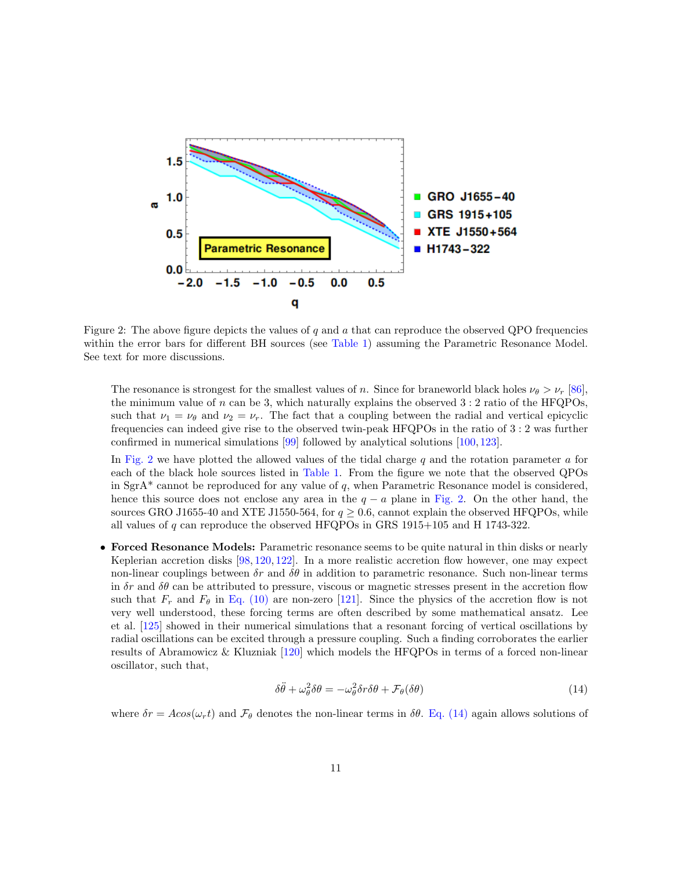

<span id="page-10-0"></span>Figure 2: The above figure depicts the values of q and  $a$  that can reproduce the observed QPO frequencies within the error bars for different BH sources (see [Table 1\)](#page-5-1) assuming the Parametric Resonance Model. See text for more discussions.

The resonance is strongest for the smallest values of n. Since for braneworld black holes  $\nu_\theta > \nu_r$  [\[86\]](#page-31-2), the minimum value of n can be 3, which naturally explains the observed  $3:2$  ratio of the HFQPOs, such that  $\nu_1 = \nu_\theta$  and  $\nu_2 = \nu_r$ . The fact that a coupling between the radial and vertical epicyclic frequencies can indeed give rise to the observed twin-peak HFQPOs in the ratio of 3 : 2 was further confirmed in numerical simulations [\[99\]](#page-32-12) followed by analytical solutions [\[100,](#page-32-2) [123\]](#page-33-9).

In [Fig. 2](#page-10-0) we have plotted the allowed values of the tidal charge  $q$  and the rotation parameter  $a$  for each of the black hole sources listed in [Table 1.](#page-5-1) From the figure we note that the observed QPOs in  $SgrA^*$  cannot be reproduced for any value of q, when Parametric Resonance model is considered, hence this source does not enclose any area in the  $q - a$  plane in [Fig. 2.](#page-10-0) On the other hand, the sources GRO J1655-40 and XTE J1550-564, for  $q \ge 0.6$ , cannot explain the observed HFQPOs, while all values of q can reproduce the observed HFQPOs in GRS 1915+105 and H 1743-322.

• Forced Resonance Models: Parametric resonance seems to be quite natural in thin disks or nearly Keplerian accretion disks [\[98,](#page-32-1) [120,](#page-33-6) [122\]](#page-33-8). In a more realistic accretion flow however, one may expect non-linear couplings between  $\delta r$  and  $\delta \theta$  in addition to parametric resonance. Such non-linear terms in  $\delta r$  and  $\delta \theta$  can be attributed to pressure, viscous or magnetic stresses present in the accretion flow such that  $F_r$  and  $F_\theta$  in [Eq. \(10\)](#page-9-1) are non-zero [\[121\]](#page-33-7). Since the physics of the accretion flow is not very well understood, these forcing terms are often described by some mathematical ansatz. Lee et al. [\[125\]](#page-33-11) showed in their numerical simulations that a resonant forcing of vertical oscillations by radial oscillations can be excited through a pressure coupling. Such a finding corroborates the earlier results of Abramowicz & Kluzniak [\[120\]](#page-33-6) which models the HFQPOs in terms of a forced non-linear oscillator, such that,

<span id="page-10-1"></span>
$$
\delta\ddot{\theta} + \omega_\theta^2 \delta\theta = -\omega_\theta^2 \delta r \delta\theta + \mathcal{F}_\theta(\delta\theta) \tag{14}
$$

where  $\delta r = A\cos(\omega_r t)$  and  $\mathcal{F}_{\theta}$  denotes the non-linear terms in  $\delta \theta$ . [Eq. \(14\)](#page-10-1) again allows solutions of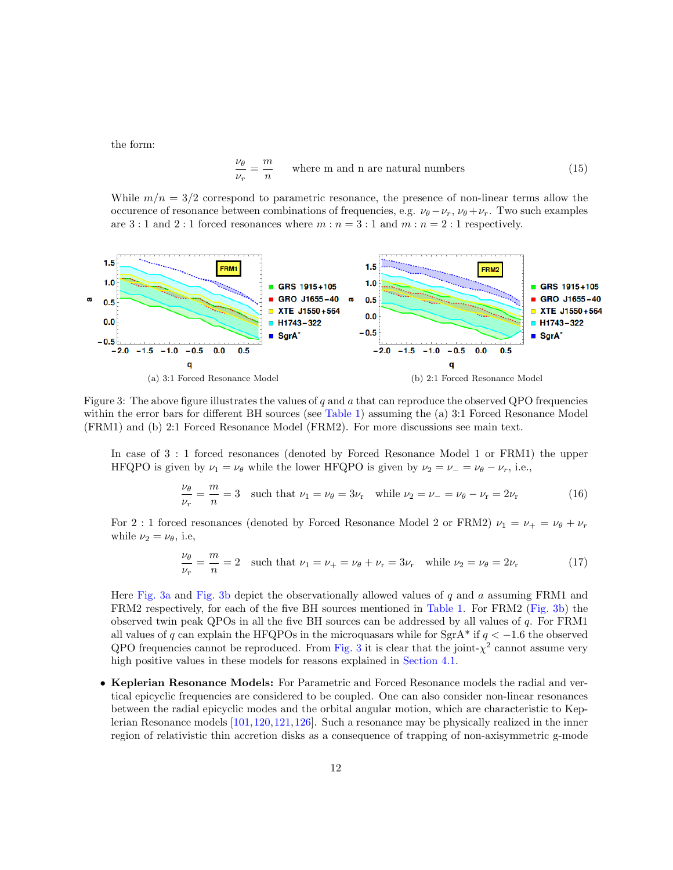the form:

$$
\frac{\nu_{\theta}}{\nu_{r}} = \frac{m}{n}
$$
 where m and n are natural numbers (15)

While  $m/n = 3/2$  correspond to parametric resonance, the presence of non-linear terms allow the occurence of resonance between combinations of frequencies, e.g.  $\nu_{\theta} - \nu_{r}$ ,  $\nu_{\theta} + \nu_{r}$ . Two such examples are 3 : 1 and 2 : 1 forced resonances where  $m : n = 3 : 1$  and  $m : n = 2 : 1$  respectively.

<span id="page-11-1"></span>

<span id="page-11-0"></span>Figure 3: The above figure illustrates the values of  $q$  and  $q$  that can reproduce the observed QPO frequencies within the error bars for different BH sources (see [Table 1\)](#page-5-1) assuming the (a) 3:1 Forced Resonance Model (FRM1) and (b) 2:1 Forced Resonance Model (FRM2). For more discussions see main text.

In case of 3 : 1 forced resonances (denoted by Forced Resonance Model 1 or FRM1) the upper HFQPO is given by  $\nu_1 = \nu_\theta$  while the lower HFQPO is given by  $\nu_2 = \nu_- = \nu_\theta - \nu_r$ , i.e.,

<span id="page-11-2"></span>
$$
\frac{\nu_{\theta}}{\nu_{r}} = \frac{m}{n} = 3 \quad \text{such that } \nu_{1} = \nu_{\theta} = 3\nu_{r} \quad \text{while } \nu_{2} = \nu_{-} = \nu_{\theta} - \nu_{r} = 2\nu_{r} \tag{16}
$$

For 2 : 1 forced resonances (denoted by Forced Resonance Model 2 or FRM2)  $\nu_1 = \nu_+ = \nu_\theta + \nu_r$ while  $\nu_2 = \nu_\theta$ , i.e.

$$
\frac{\nu_{\theta}}{\nu_{r}} = \frac{m}{n} = 2 \quad \text{such that } \nu_{1} = \nu_{+} = \nu_{\theta} + \nu_{r} = 3\nu_{r} \quad \text{while } \nu_{2} = \nu_{\theta} = 2\nu_{r} \tag{17}
$$

Here [Fig. 3a](#page-11-1) and [Fig. 3b](#page-11-2) depict the observationally allowed values of  $q$  and  $a$  assuming FRM1 and FRM2 respectively, for each of the five BH sources mentioned in [Table 1.](#page-5-1) For FRM2 [\(Fig. 3b\)](#page-11-2) the observed twin peak QPOs in all the five BH sources can be addressed by all values of q. For FRM1 all values of q can explain the HFQPOs in the microquasars while for  $SgrA^*$  if  $q < -1.6$  the observed QPO frequencies cannot be reproduced. From [Fig. 3](#page-11-0) it is clear that the joint- $\chi^2$  cannot assume very high positive values in these models for reasons explained in [Section 4.1.](#page-7-0)

• Keplerian Resonance Models: For Parametric and Forced Resonance models the radial and vertical epicyclic frequencies are considered to be coupled. One can also consider non-linear resonances between the radial epicyclic modes and the orbital angular motion, which are characteristic to Keplerian Resonance models [\[101,](#page-32-3)[120,](#page-33-6)[121,](#page-33-7)[126\]](#page-33-12). Such a resonance may be physically realized in the inner region of relativistic thin accretion disks as a consequence of trapping of non-axisymmetric g-mode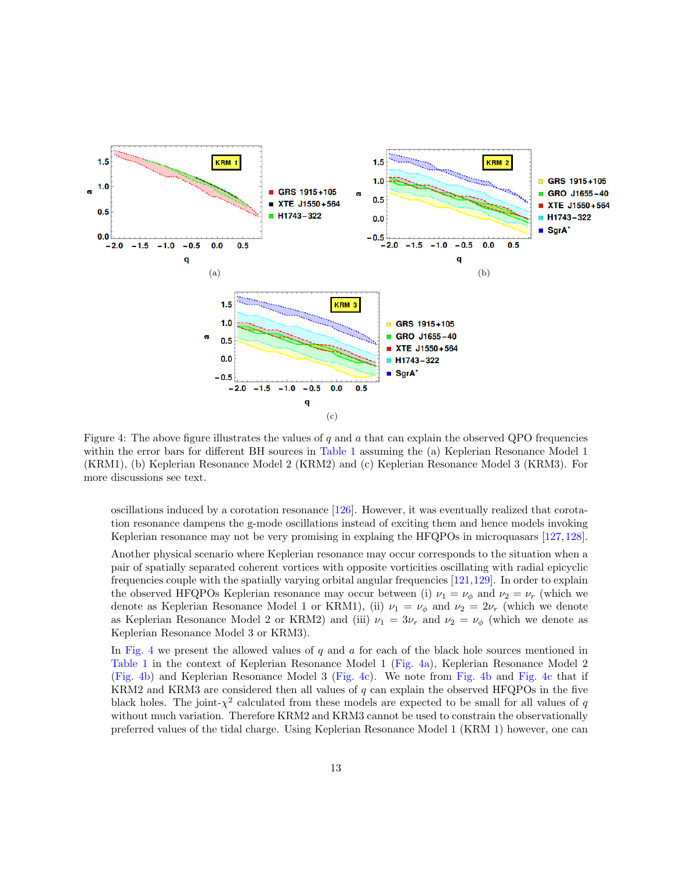<span id="page-12-2"></span><span id="page-12-1"></span>

<span id="page-12-3"></span><span id="page-12-0"></span>Figure 4: The above figure illustrates the values of q and  $\alpha$  that can explain the observed QPO frequencies within the error bars for different BH sources in [Table 1](#page-5-1) assuming the (a) Keplerian Resonance Model 1 (KRM1), (b) Keplerian Resonance Model 2 (KRM2) and (c) Keplerian Resonance Model 3 (KRM3). For more discussions see text.

oscillations induced by a corotation resonance  $[126]$ . However, it was eventually realized that corotation resonance dampens the g-mode oscillations instead of exciting them and hence models invoking Keplerian resonance may not be very promising in explaing the HFQPOs in microquasars [\[127,](#page-34-0)[128\]](#page-34-1).

Another physical scenario where Keplerian resonance may occur corresponds to the situation when a pair of spatially separated coherent vortices with opposite vorticities oscillating with radial epicyclic frequencies couple with the spatially varying orbital angular frequencies [\[121,](#page-33-7)[129\]](#page-34-2). In order to explain the observed HFQPOs Keplerian resonance may occur between (i)  $\nu_1 = \nu_\phi$  and  $\nu_2 = \nu_r$  (which we denote as Keplerian Resonance Model 1 or KRM1), (ii)  $\nu_1 = \nu_\phi$  and  $\nu_2 = 2\nu_r$  (which we denote as Keplerian Resonance Model 2 or KRM2) and (iii)  $\nu_1 = 3\nu_r$  and  $\nu_2 = \nu_\phi$  (which we denote as Keplerian Resonance Model 3 or KRM3).

In [Fig. 4](#page-12-0) we present the allowed values of q and a for each of the black hole sources mentioned in [Table 1](#page-5-1) in the context of Keplerian Resonance Model 1 [\(Fig. 4a\)](#page-12-1), Keplerian Resonance Model 2 [\(Fig. 4b\)](#page-12-2) and Keplerian Resonance Model 3 [\(Fig. 4c\)](#page-12-3). We note from [Fig. 4b](#page-12-2) and [Fig. 4c](#page-12-3) that if KRM2 and KRM3 are considered then all values of  $q$  can explain the observed HFQPOs in the five black holes. The joint- $\chi^2$  calculated from these models are expected to be small for all values of q without much variation. Therefore KRM2 and KRM3 cannot be used to constrain the observationally preferred values of the tidal charge. Using Keplerian Resonance Model 1 (KRM 1) however, one can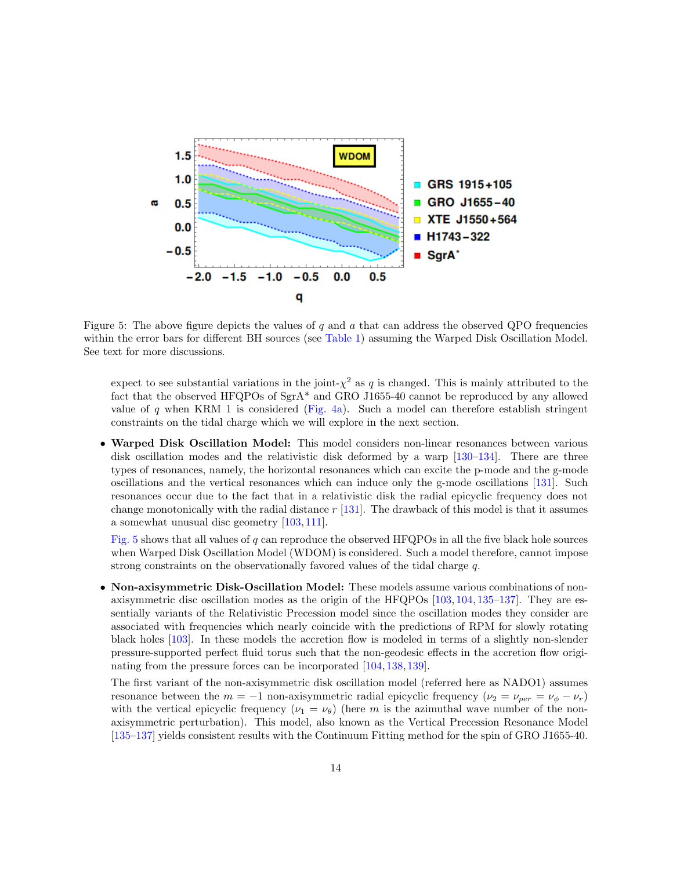

<span id="page-13-0"></span>Figure 5: The above figure depicts the values of  $q$  and  $q$  that can address the observed QPO frequencies within the error bars for different BH sources (see [Table 1\)](#page-5-1) assuming the Warped Disk Oscillation Model. See text for more discussions.

expect to see substantial variations in the joint- $\chi^2$  as q is changed. This is mainly attributed to the fact that the observed HFQPOs of SgrA\* and GRO J1655-40 cannot be reproduced by any allowed value of q when KRM 1 is considered [\(Fig. 4a\)](#page-12-1). Such a model can therefore establish stringent constraints on the tidal charge which we will explore in the next section.

• Warped Disk Oscillation Model: This model considers non-linear resonances between various disk oscillation modes and the relativistic disk deformed by a warp [\[130–](#page-34-3)[134\]](#page-34-4). There are three types of resonances, namely, the horizontal resonances which can excite the p-mode and the g-mode oscillations and the vertical resonances which can induce only the g-mode oscillations [\[131\]](#page-34-5). Such resonances occur due to the fact that in a relativistic disk the radial epicyclic frequency does not change monotonically with the radial distance  $r$  [\[131\]](#page-34-5). The drawback of this model is that it assumes a somewhat unusual disc geometry [\[103,](#page-32-11) [111\]](#page-32-8).

[Fig. 5](#page-13-0) shows that all values of q can reproduce the observed HFQPOs in all the five black hole sources when Warped Disk Oscillation Model (WDOM) is considered. Such a model therefore, cannot impose strong constraints on the observationally favored values of the tidal charge q.

• Non-axisymmetric Disk-Oscillation Model: These models assume various combinations of nonaxisymmetric disc oscillation modes as the origin of the HFQPOs [\[103,](#page-32-11) [104,](#page-32-5) [135](#page-34-6)[–137\]](#page-34-7). They are essentially variants of the Relativistic Precession model since the oscillation modes they consider are associated with frequencies which nearly coincide with the predictions of RPM for slowly rotating black holes [\[103\]](#page-32-11). In these models the accretion flow is modeled in terms of a slightly non-slender pressure-supported perfect fluid torus such that the non-geodesic effects in the accretion flow originating from the pressure forces can be incorporated [\[104,](#page-32-5) [138,](#page-34-8) [139\]](#page-34-9).

The first variant of the non-axisymmetric disk oscillation model (referred here as NADO1) assumes resonance between the  $m = -1$  non-axisymmetric radial epicyclic frequency  $(\nu_2 = \nu_{per} = \nu_{\phi} - \nu_r)$ with the vertical epicyclic frequency ( $\nu_1 = \nu_\theta$ ) (here m is the azimuthal wave number of the nonaxisymmetric perturbation). This model, also known as the Vertical Precession Resonance Model [\[135–](#page-34-6)[137\]](#page-34-7) yields consistent results with the Continuum Fitting method for the spin of GRO J1655-40.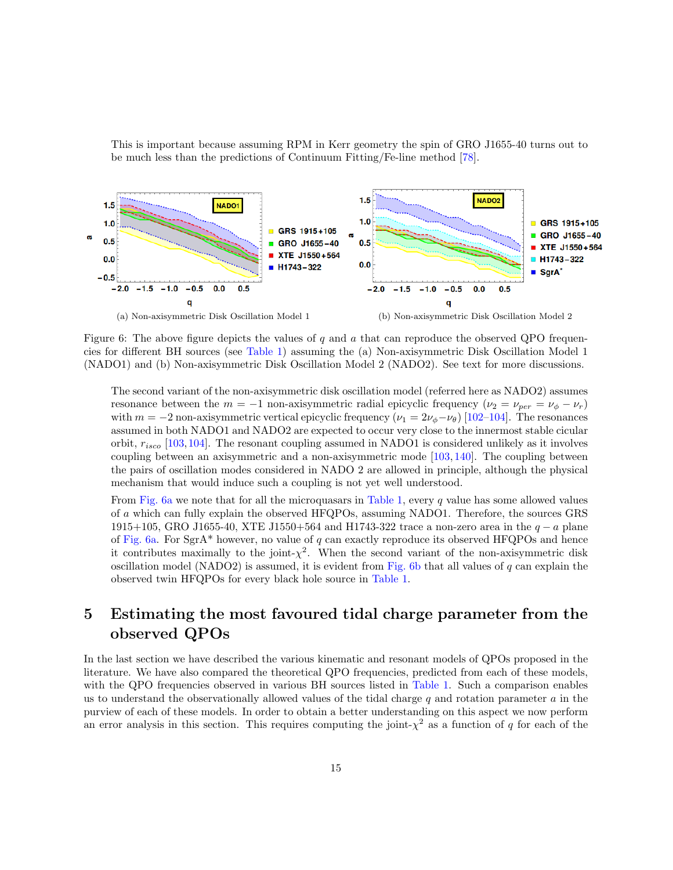This is important because assuming RPM in Kerr geometry the spin of GRO J1655-40 turns out to be much less than the predictions of Continuum Fitting/Fe-line method [\[78\]](#page-30-8).

<span id="page-14-2"></span>

<span id="page-14-1"></span>Figure 6: The above figure depicts the values of q and  $a$  that can reproduce the observed QPO frequencies for different BH sources (see [Table 1\)](#page-5-1) assuming the (a) Non-axisymmetric Disk Oscillation Model 1 (NADO1) and (b) Non-axisymmetric Disk Oscillation Model 2 (NADO2). See text for more discussions.

<span id="page-14-3"></span>The second variant of the non-axisymmetric disk oscillation model (referred here as NADO2) assumes resonance between the  $m = -1$  non-axisymmetric radial epicyclic frequency  $(\nu_2 = \nu_{per} = \nu_{\phi} - \nu_r)$ with  $m = -2$  non-axisymmetric vertical epicyclic frequency  $(\nu_1 = 2\nu_\phi - \nu_\theta)$  [\[102](#page-32-4)[–104\]](#page-32-5). The resonances assumed in both NADO1 and NADO2 are expected to occur very close to the innermost stable cicular orbit,  $r_{isco}$  [\[103,](#page-32-11)[104\]](#page-32-5). The resonant coupling assumed in NADO1 is considered unlikely as it involves coupling between an axisymmetric and a non-axisymmetric mode [\[103,](#page-32-11) [140\]](#page-34-10). The coupling between the pairs of oscillation modes considered in NADO 2 are allowed in principle, although the physical mechanism that would induce such a coupling is not yet well understood.

From [Fig. 6a](#page-14-2) we note that for all the microquasars in [Table 1,](#page-5-1) every  $q$  value has some allowed values of a which can fully explain the observed HFQPOs, assuming NADO1. Therefore, the sources GRS 1915+105, GRO J1655-40, XTE J1550+564 and H1743-322 trace a non-zero area in the  $q - a$  plane of [Fig. 6a.](#page-14-2) For SgrA\* however, no value of q can exactly reproduce its observed HFQPOs and hence it contributes maximally to the joint- $\chi^2$ . When the second variant of the non-axisymmetric disk oscillation model (NADO2) is assumed, it is evident from [Fig. 6b](#page-14-3) that all values of q can explain the observed twin HFQPOs for every black hole source in [Table 1.](#page-5-1)

## <span id="page-14-0"></span>5 Estimating the most favoured tidal charge parameter from the observed QPOs

In the last section we have described the various kinematic and resonant models of QPOs proposed in the literature. We have also compared the theoretical QPO frequencies, predicted from each of these models, with the QPO frequencies observed in various BH sources listed in [Table 1.](#page-5-1) Such a comparison enables us to understand the observationally allowed values of the tidal charge q and rotation parameter  $a$  in the purview of each of these models. In order to obtain a better understanding on this aspect we now perform an error analysis in this section. This requires computing the joint- $\chi^2$  as a function of q for each of the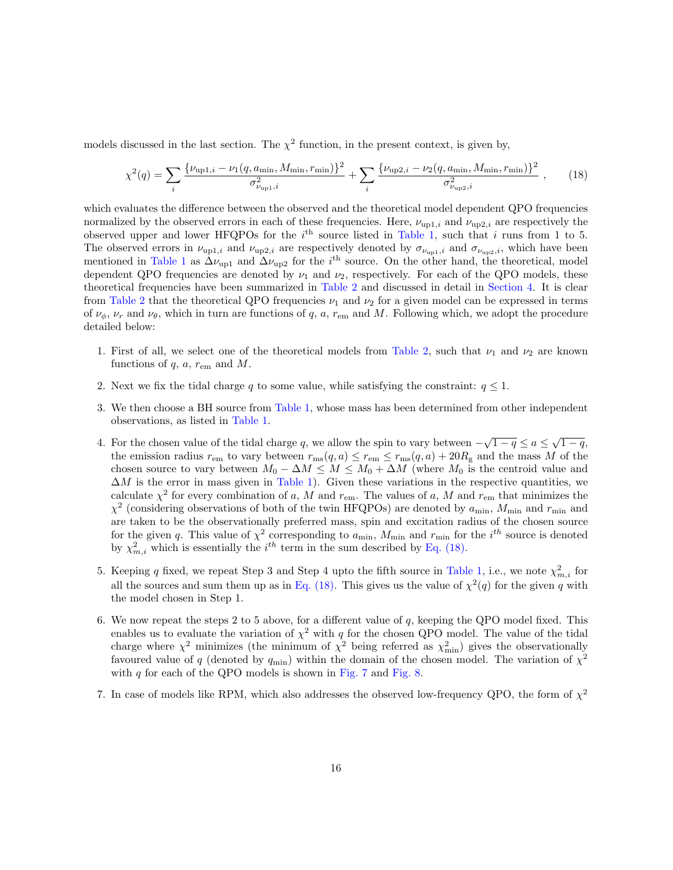models discussed in the last section. The  $\chi^2$  function, in the present context, is given by,

<span id="page-15-0"></span>
$$
\chi^2(q) = \sum_{i} \frac{\{\nu_{\text{up1},i} - \nu_1(q, a_{\text{min}}, M_{\text{min}}, r_{\text{min}})\}^2}{\sigma_{\nu_{\text{up1},i}}^2} + \sum_{i} \frac{\{\nu_{\text{up2},i} - \nu_2(q, a_{\text{min}}, M_{\text{min}}, r_{\text{min}})\}^2}{\sigma_{\nu_{\text{up2},i}}^2},\qquad(18)
$$

which evaluates the difference between the observed and the theoretical model dependent QPO frequencies normalized by the observed errors in each of these frequencies. Here,  $\nu_{\text{up1},i}$  and  $\nu_{\text{up2},i}$  are respectively the observed upper and lower HFQPOs for the  $i^{\text{th}}$  source listed in [Table 1,](#page-5-1) such that i runs from 1 to 5. The observed errors in  $\nu_{\text{up1},i}$  and  $\nu_{\text{up2},i}$  are respectively denoted by  $\sigma_{\nu_{\text{up1},i}}$  and  $\sigma_{\nu_{\text{up2},i}}$ , which have been mentioned in [Table 1](#page-5-1) as  $\Delta \nu_{\text{up1}}$  and  $\Delta \nu_{\text{up2}}$  for the i<sup>th</sup> source. On the other hand, the theoretical, model dependent QPO frequencies are denoted by  $\nu_1$  and  $\nu_2$ , respectively. For each of the QPO models, these theoretical frequencies have been summarized in [Table 2](#page-6-0) and discussed in detail in [Section 4.](#page-5-0) It is clear from [Table 2](#page-6-0) that the theoretical QPO frequencies  $\nu_1$  and  $\nu_2$  for a given model can be expressed in terms of  $\nu_{\phi}$ ,  $\nu_{r}$  and  $\nu_{\theta}$ , which in turn are functions of q, a,  $r_{\text{em}}$  and M. Following which, we adopt the procedure detailed below:

- 1. First of all, we select one of the theoretical models from [Table 2,](#page-6-0) such that  $\nu_1$  and  $\nu_2$  are known functions of  $q$ ,  $a$ ,  $r_{\rm em}$  and  $M$ .
- 2. Next we fix the tidal charge q to some value, while satisfying the constraint:  $q \leq 1$ .
- 3. We then choose a BH source from [Table 1,](#page-5-1) whose mass has been determined from other independent observations, as listed in [Table 1.](#page-5-1)
- 4. For the chosen value of the tidal charge q, we allow the spin to vary between  $-\sqrt{1-q} \le a \le \sqrt{1-q}$ , the emission radius  $r_{\rm em}$  to vary between  $r_{\rm ms}(q, a) \le r_{\rm em} \le r_{\rm ms}(q, a) + 20R_{\rm g}$  and the mass M of the chosen source to vary between  $M_0 - \Delta M \leq M \leq M_0 + \Delta M$  (where  $M_0$  is the centroid value and  $\Delta M$  is the error in mass given in [Table 1\)](#page-5-1). Given these variations in the respective quantities, we calculate  $\chi^2$  for every combination of a, M and  $r_{\rm em}$ . The values of a, M and  $r_{\rm em}$  that minimizes the  $\chi^2$  (considering observations of both of the twin HFQPOs) are denoted by  $a_{\text{min}}$ ,  $M_{\text{min}}$  and  $r_{\text{min}}$  and are taken to be the observationally preferred mass, spin and excitation radius of the chosen source for the given q. This value of  $\chi^2$  corresponding to  $a_{\text{min}}$ ,  $M_{\text{min}}$  and  $r_{\text{min}}$  for the  $i^{th}$  source is denoted by  $\chi^2_{m,i}$  which is essentially the  $i^{th}$  term in the sum described by [Eq. \(18\).](#page-15-0)
- 5. Keeping q fixed, we repeat Step 3 and Step 4 upto the fifth source in [Table 1,](#page-5-1) i.e., we note  $\chi^2_{m,i}$  for all the sources and sum them up as in [Eq. \(18\).](#page-15-0) This gives us the value of  $\chi^2(q)$  for the given q with the model chosen in Step 1.
- 6. We now repeat the steps 2 to 5 above, for a different value of  $q$ , keeping the QPO model fixed. This enables us to evaluate the variation of  $\chi^2$  with q for the chosen QPO model. The value of the tidal charge where  $\chi^2$  minimizes (the minimum of  $\chi^2$  being referred as  $\chi^2_{\rm min}$ ) gives the observationally favoured value of q (denoted by  $q_{\text{min}}$ ) within the domain of the chosen model. The variation of  $\chi^2$ with  $q$  for each of the QPO models is shown in [Fig. 7](#page-20-0) and [Fig. 8.](#page-22-0)
- 7. In case of models like RPM, which also addresses the observed low-frequency QPO, the form of  $\chi^2$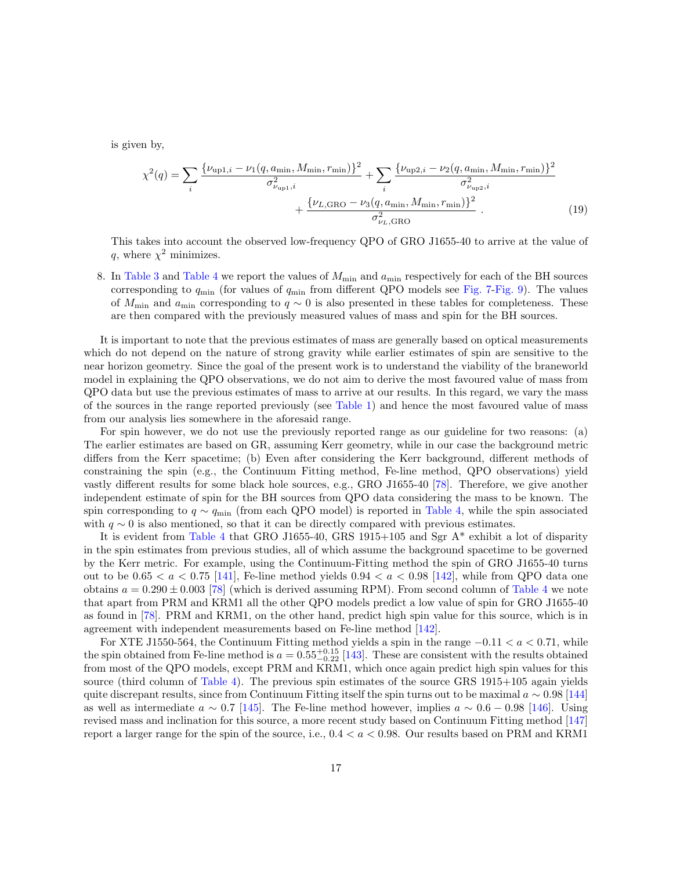is given by,

$$
\chi^{2}(q) = \sum_{i} \frac{\{\nu_{\text{up1},i} - \nu_{1}(q, a_{\text{min}}, M_{\text{min}}, r_{\text{min}})\}^{2}}{\sigma_{\nu_{\text{up1},i}}^{2}} + \sum_{i} \frac{\{\nu_{\text{up2},i} - \nu_{2}(q, a_{\text{min}}, M_{\text{min}}, r_{\text{min}})\}^{2}}{\sigma_{\nu_{\text{up2},i}}^{2}} + \frac{\{\nu_{L, \text{GRO}} - \nu_{3}(q, a_{\text{min}}, M_{\text{min}}, r_{\text{min}})\}^{2}}{\sigma_{\nu_{L, \text{GRO}}^{2}}^{2}}.
$$
\n(19)

This takes into account the observed low-frequency QPO of GRO J1655-40 to arrive at the value of q, where  $\chi^2$  minimizes.

8. In [Table 3](#page-17-0) and [Table 4](#page-19-0) we report the values of  $M_{\text{min}}$  and  $a_{\text{min}}$  respectively for each of the BH sources corresponding to  $q_{\text{min}}$  (for values of  $q_{\text{min}}$  from different QPO models see [Fig. 7-](#page-20-0)[Fig. 9\)](#page-23-0). The values of  $M_{\text{min}}$  and  $a_{\text{min}}$  corresponding to  $q \sim 0$  is also presented in these tables for completeness. These are then compared with the previously measured values of mass and spin for the BH sources.

It is important to note that the previous estimates of mass are generally based on optical measurements which do not depend on the nature of strong gravity while earlier estimates of spin are sensitive to the near horizon geometry. Since the goal of the present work is to understand the viability of the braneworld model in explaining the QPO observations, we do not aim to derive the most favoured value of mass from QPO data but use the previous estimates of mass to arrive at our results. In this regard, we vary the mass of the sources in the range reported previously (see [Table 1\)](#page-5-1) and hence the most favoured value of mass from our analysis lies somewhere in the aforesaid range.

For spin however, we do not use the previously reported range as our guideline for two reasons: (a) The earlier estimates are based on GR, assuming Kerr geometry, while in our case the background metric differs from the Kerr spacetime; (b) Even after considering the Kerr background, different methods of constraining the spin (e.g., the Continuum Fitting method, Fe-line method, QPO observations) yield vastly different results for some black hole sources, e.g., GRO J1655-40 [\[78\]](#page-30-8). Therefore, we give another independent estimate of spin for the BH sources from QPO data considering the mass to be known. The spin corresponding to  $q \sim q_{\rm min}$  (from each QPO model) is reported in [Table 4,](#page-19-0) while the spin associated with  $q \sim 0$  is also mentioned, so that it can be directly compared with previous estimates.

It is evident from [Table 4](#page-19-0) that GRO J1655-40, GRS 1915+105 and Sgr A\* exhibit a lot of disparity in the spin estimates from previous studies, all of which assume the background spacetime to be governed by the Kerr metric. For example, using the Continuum-Fitting method the spin of GRO J1655-40 turns out to be  $0.65 < a < 0.75$  [\[141\]](#page-34-11), Fe-line method yields  $0.94 < a < 0.98$  [\[142\]](#page-35-0), while from QPO data one obtains  $a = 0.290 \pm 0.003$  [\[78\]](#page-30-8) (which is derived assuming RPM). From second column of [Table 4](#page-19-0) we note that apart from PRM and KRM1 all the other QPO models predict a low value of spin for GRO J1655-40 as found in [\[78\]](#page-30-8). PRM and KRM1, on the other hand, predict high spin value for this source, which is in agreement with independent measurements based on Fe-line method [\[142\]](#page-35-0).

For XTE J1550-564, the Continuum Fitting method yields a spin in the range  $-0.11 < a < 0.71$ , while the spin obtained from Fe-line method is  $a = 0.55^{+0.15}_{-0.22}$  [\[143\]](#page-35-1). These are consistent with the results obtained from most of the QPO models, except PRM and KRM1, which once again predict high spin values for this source (third column of [Table 4\)](#page-19-0). The previous spin estimates of the source GRS 1915+105 again yields quite discrepant results, since from Continuum Fitting itself the spin turns out to be maximal  $a \sim 0.98$  [\[144\]](#page-35-2) as well as intermediate  $a \sim 0.7$  [\[145\]](#page-35-3). The Fe-line method however, implies  $a \sim 0.6 - 0.98$  [\[146\]](#page-35-4). Using revised mass and inclination for this source, a more recent study based on Continuum Fitting method [\[147\]](#page-35-5) report a larger range for the spin of the source, i.e.,  $0.4 < a < 0.98$ . Our results based on PRM and KRM1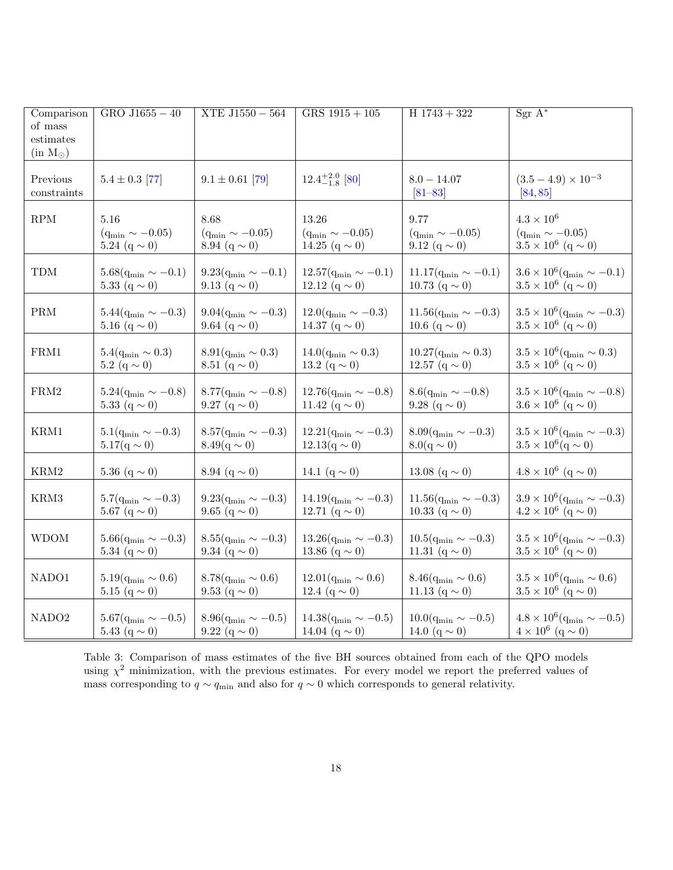| Comparison<br>of mass<br>estimates<br>$(in M_{\odot})$ | $GRO$ J1655 $-40$             | $XTE$ J1550 - 564             | $GRS$ 1915 + 105               | $H$ 1743 + 322                 | $Sgr A^*$                                   |
|--------------------------------------------------------|-------------------------------|-------------------------------|--------------------------------|--------------------------------|---------------------------------------------|
| Previous<br>constraints                                | $5.4 \pm 0.3$ [77]            | $9.1 \pm 0.61$ [79]           | $12.4^{+2.0}_{-1.8}$ [80]      | $8.0 - 14.07$<br>$[81 - 83]$   | $(3.5-4.9)\times10^{-3}$<br>[84, 85]        |
| RPM                                                    | 5.16                          | 8.68                          | 13.26                          | 9.77                           | $4.3 \times 10^{6}$                         |
|                                                        | $(q_{\rm min} \sim -0.05)$    | $(q_{\min} \sim -0.05)$       | $(q_{\min} \sim -0.05)$        | $(q_{\rm min} \sim -0.05)$     | $(q_{\min} \sim -0.05)$                     |
|                                                        | 5.24 $(q \sim 0)$             | 8.94 $(q \sim 0)$             | 14.25 $(q \sim 0)$             | 9.12 $(q \sim 0)$              | $3.5 \times 10^6$ (q $\sim$ 0)              |
| TDM                                                    | $5.68(q_{\rm min} \sim -0.1)$ | $9.23(q_{\rm min} \sim -0.1)$ | $12.57(q_{\rm min} \sim -0.1)$ | $11.17(q_{\rm min} \sim -0.1)$ | $3.6 \times 10^6 (q_{\min} \sim -0.1)$      |
|                                                        | 5.33 $(q \sim 0)$             | 9.13 $(q \sim 0)$             | 12.12 $(q \sim 0)$             | 10.73 $(q \sim 0)$             | $3.5 \times 10^6$ (q $\sim$ 0)              |
| $\mathbf{PRM}$                                         | $5.44(q_{\rm min} \sim -0.3)$ | $9.04(q_{\rm min} \sim -0.3)$ | $12.0(q_{\rm min} \sim -0.3)$  | $11.56(q_{\rm min} \sim -0.3)$ | $3.5\times 10^6 (q_{\rm min}\sim -0.3)$     |
|                                                        | 5.16 $(q \sim 0)$             | 9.64 $(q \sim 0)$             | 14.37 $(q \sim 0)$             | 10.6 $(q \sim 0)$              | $3.5 \times 10^6$ (q $\sim$ 0)              |
| ${\rm FRM1}$                                           | $5.4(q_{\rm min} \sim 0.3)$   | $8.91(q_{\rm min} \sim 0.3)$  | $14.0(q_{\rm min} \sim 0.3)$   | $10.27(q_{\rm min} \sim 0.3)$  | $3.5 \times 10^6 (q_{\rm min} \sim 0.3)$    |
|                                                        | 5.2 $(q \sim 0)$              | 8.51 $(q \sim 0)$             | 13.2 $(q \sim 0)$              | 12.57 $(q \sim 0)$             | $3.5 \times 10^6$ (q $\sim 0$ )             |
| ${\rm FRM2}$                                           | $5.24(q_{\rm min} \sim -0.8)$ | $8.77(q_{\rm min} \sim -0.8)$ | $12.76(q_{\rm min} \sim -0.8)$ | $8.6(q_{\rm min} \sim -0.8)$   | $3.5 \times 10^6 (q_{min} \sim -0.8)$       |
|                                                        | 5.33 $(q \sim 0)$             | 9.27 $(q \sim 0)$             | 11.42 $(q \sim 0)$             | 9.28 (q $\sim$ 0)              | $3.6 \times 10^6$ (q $\sim 0$ )             |
| KRM1                                                   | $5.1(q_{\rm min} \sim -0.3)$  | $8.57(q_{\rm min} \sim -0.3)$ | $12.21(q_{\rm min} \sim -0.3)$ | $8.09(q_{\rm min} \sim -0.3)$  | $3.5 \times 10^6$ (q <sub>min</sub> ~ -0.3) |
|                                                        | $5.17(q \sim 0)$              | $8.49(q \sim 0)$              | $12.13(q \sim 0)$              | $8.0(q \sim 0)$                | $3.5 \times 10^6$ (q $\sim 0$ )             |
| $\rm KRM2$                                             | 5.36 $(q \sim 0)$             | 8.94 $(q \sim 0)$             | 14.1 $(q \sim 0)$              | 13.08 $(q \sim 0)$             | $4.8 \times 10^6$ (q $\sim$ 0)              |
| KRM3                                                   | $5.7(q_{\rm min} \sim -0.3)$  | $9.23(q_{\rm min} \sim -0.3)$ | $14.19(q_{\rm min} \sim -0.3)$ | $11.56(q_{\rm min} \sim -0.3)$ | $3.9\times10^6 (q_{\rm min}\sim-0.3)$       |
|                                                        | 5.67 $(q \sim 0)$             | 9.65 $(q \sim 0)$             | 12.71 $(q \sim 0)$             | 10.33 $(q \sim 0)$             | $4.2 \times 10^6$ (q $\sim 0$ )             |
| <b>WDOM</b>                                            | $5.66(q_{\rm min} \sim -0.3)$ | $8.55(q_{\rm min} \sim -0.3)$ | $13.26(q_{\rm min} \sim -0.3)$ | $10.5(q_{\rm min} \sim -0.3)$  | $3.5 \times 10^6$ (q <sub>min</sub> ~ -0.3) |
|                                                        | 5.34 $(q \sim 0)$             | 9.34 $(q \sim 0)$             | 13.86 $(q \sim 0)$             | 11.31 $(q \sim 0)$             | $3.5 \times 10^6$ (q $\sim$ 0)              |
| NADO1                                                  | $5.19(q_{\rm min} \sim 0.6)$  | $8.78(q_{\rm min} \sim 0.6)$  | $12.01(q_{\rm min} \sim 0.6)$  | $8.46(q_{\rm min} \sim 0.6)$   | $3.5 \times 10^6 (q_{\min} \sim 0.6)$       |
|                                                        | 5.15 $(q \sim 0)$             | 9.53 $(q \sim 0)$             | 12.4 $(q \sim 0)$              | 11.13 $(q \sim 0)$             | $3.5 \times 10^6$ (q $\sim 0$ )             |
| NADO <sub>2</sub>                                      | $5.67(q_{\rm min} \sim -0.5)$ | $8.96(q_{\rm min} \sim -0.5)$ | $14.38(q_{\rm min} \sim -0.5)$ | $10.0(q_{\rm min} \sim -0.5)$  | $4.8 \times 10^6 (q_{\rm min} \sim -0.5)$   |
|                                                        | 5.43 $(q \sim 0)$             | 9.22 $(q \sim 0)$             | 14.04 $(q \sim 0)$             | 14.0 $(q \sim 0)$              | $4\times10^6$ $({\rm q}\sim0)$              |

<span id="page-17-0"></span>Table 3: Comparison of mass estimates of the five BH sources obtained from each of the QPO models using  $\chi^2$  minimization, with the previous estimates. For every model we report the preferred values of mass corresponding to  $q \sim q_{\text{min}}$  and also for  $q \sim 0$  which corresponds to general relativity.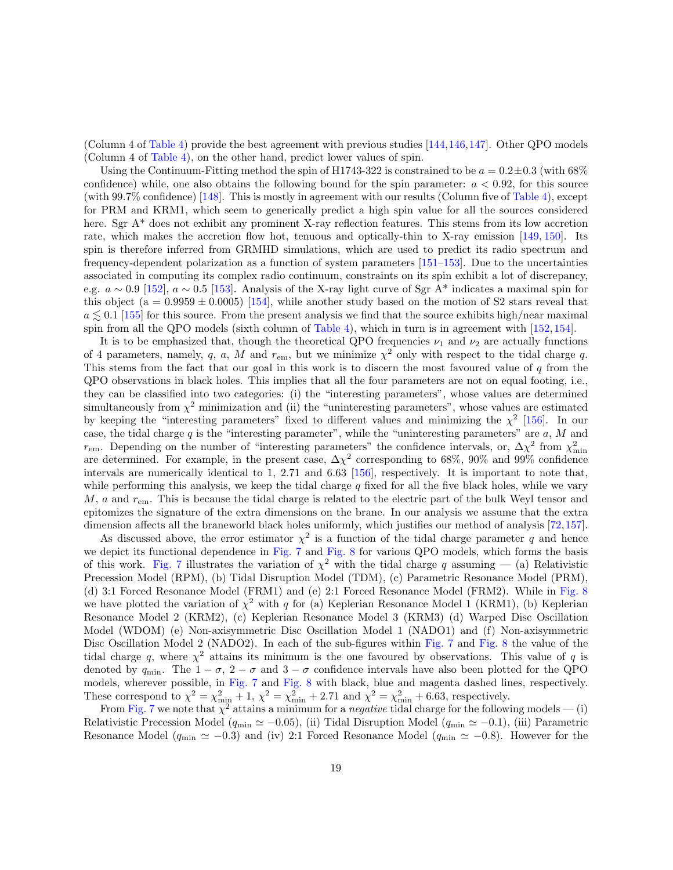(Column 4 of [Table 4\)](#page-19-0) provide the best agreement with previous studies [\[144,](#page-35-2)[146,](#page-35-4)[147\]](#page-35-5). Other QPO models (Column 4 of [Table 4\)](#page-19-0), on the other hand, predict lower values of spin.

Using the Continuum-Fitting method the spin of H1743-322 is constrained to be  $a = 0.2 \pm 0.3$  (with 68%) confidence) while, one also obtains the following bound for the spin parameter:  $a < 0.92$ , for this source (with 99.7% confidence) [\[148\]](#page-35-6). This is mostly in agreement with our results (Column five of [Table 4\)](#page-19-0), except for PRM and KRM1, which seem to generically predict a high spin value for all the sources considered here. Sgr A<sup>\*</sup> does not exhibit any prominent X-ray reflection features. This stems from its low accretion rate, which makes the accretion flow hot, tenuous and optically-thin to X-ray emission [\[149,](#page-35-7) [150\]](#page-35-8). Its spin is therefore inferred from GRMHD simulations, which are used to predict its radio spectrum and frequency-dependent polarization as a function of system parameters [\[151–](#page-35-9)[153\]](#page-35-10). Due to the uncertainties associated in computing its complex radio continuum, constraints on its spin exhibit a lot of discrepancy, e.g.  $a \sim 0.9$  [\[152\]](#page-35-11),  $a \sim 0.5$  [\[153\]](#page-35-10). Analysis of the X-ray light curve of Sgr A\* indicates a maximal spin for this object (a =  $0.9959 \pm 0.0005$ ) [\[154\]](#page-35-12), while another study based on the motion of S2 stars reveal that  $a \leq 0.1$  [\[155\]](#page-35-13) for this source. From the present analysis we find that the source exhibits high/near maximal spin from all the QPO models (sixth column of [Table 4\)](#page-19-0), which in turn is in agreement with [\[152,](#page-35-11) [154\]](#page-35-12).

It is to be emphasized that, though the theoretical QPO frequencies  $\nu_1$  and  $\nu_2$  are actually functions of 4 parameters, namely, q, a, M and  $r_{\rm em}$ , but we minimize  $\chi^2$  only with respect to the tidal charge q. This stems from the fact that our goal in this work is to discern the most favoured value of q from the QPO observations in black holes. This implies that all the four parameters are not on equal footing, i.e., they can be classified into two categories: (i) the "interesting parameters", whose values are determined simultaneously from  $\chi^2$  minimization and (ii) the "uninteresting parameters", whose values are estimated by keeping the "interesting parameters" fixed to different values and minimizing the  $\chi^2$  [\[156\]](#page-35-14). In our case, the tidal charge q is the "interesting parameter", while the "uninteresting parameters" are  $a, M$  and  $r_{\rm em}$ . Depending on the number of "interesting parameters" the confidence intervals, or,  $\Delta \chi^2$  from  $\chi^2_{\rm min}$  are determined. For example, in the present case,  $\Delta \chi^2$  corresponding to 68%, 90% and 99% confidence intervals are numerically identical to 1, 2.71 and 6.63 [\[156\]](#page-35-14), respectively. It is important to note that, while performing this analysis, we keep the tidal charge  $q$  fixed for all the five black holes, while we vary  $M$ , a and  $r_{\rm em}$ . This is because the tidal charge is related to the electric part of the bulk Weyl tensor and epitomizes the signature of the extra dimensions on the brane. In our analysis we assume that the extra dimension affects all the braneworld black holes uniformly, which justifies our method of analysis [\[72,](#page-30-13)[157\]](#page-36-0).

As discussed above, the error estimator  $\chi^2$  is a function of the tidal charge parameter q and hence we depict its functional dependence in [Fig. 7](#page-20-0) and [Fig. 8](#page-22-0) for various QPO models, which forms the basis of this work. [Fig. 7](#page-20-0) illustrates the variation of  $\chi^2$  with the tidal charge q assuming – (a) Relativistic Precession Model (RPM), (b) Tidal Disruption Model (TDM), (c) Parametric Resonance Model (PRM), (d) 3:1 Forced Resonance Model (FRM1) and (e) 2:1 Forced Resonance Model (FRM2). While in [Fig. 8](#page-22-0) we have plotted the variation of  $\chi^2$  with q for (a) Keplerian Resonance Model 1 (KRM1), (b) Keplerian Resonance Model 2 (KRM2), (c) Keplerian Resonance Model 3 (KRM3) (d) Warped Disc Oscillation Model (WDOM) (e) Non-axisymmetric Disc Oscillation Model 1 (NADO1) and (f) Non-axisymmetric Disc Oscillation Model 2 (NADO2). In each of the sub-figures within [Fig. 7](#page-20-0) and [Fig. 8](#page-22-0) the value of the tidal charge q, where  $\chi^2$  attains its minimum is the one favoured by observations. This value of q is denoted by  $q_{\text{min}}$ . The  $1 - \sigma$ ,  $2 - \sigma$  and  $3 - \sigma$  confidence intervals have also been plotted for the QPO models, wherever possible, in [Fig. 7](#page-20-0) and [Fig. 8](#page-22-0) with black, blue and magenta dashed lines, respectively. These correspond to  $\chi^2 = \chi^2_{\text{min}} + 1$ ,  $\chi^2 = \chi^2_{\text{min}} + 2.71$  and  $\chi^2 = \chi^2_{\text{min}} + 6.63$ , respectively.

From [Fig. 7](#page-20-0) we note that  $\chi^2$  attains a minimum for a *negative* tidal charge for the following models — (i) Relativistic Precession Model ( $q_{\min} \simeq -0.05$ ), (ii) Tidal Disruption Model ( $q_{\min} \simeq -0.1$ ), (iii) Parametric Resonance Model ( $q_{\min} \simeq -0.3$ ) and (iv) 2:1 Forced Resonance Model ( $q_{\min} \simeq -0.8$ ). However for the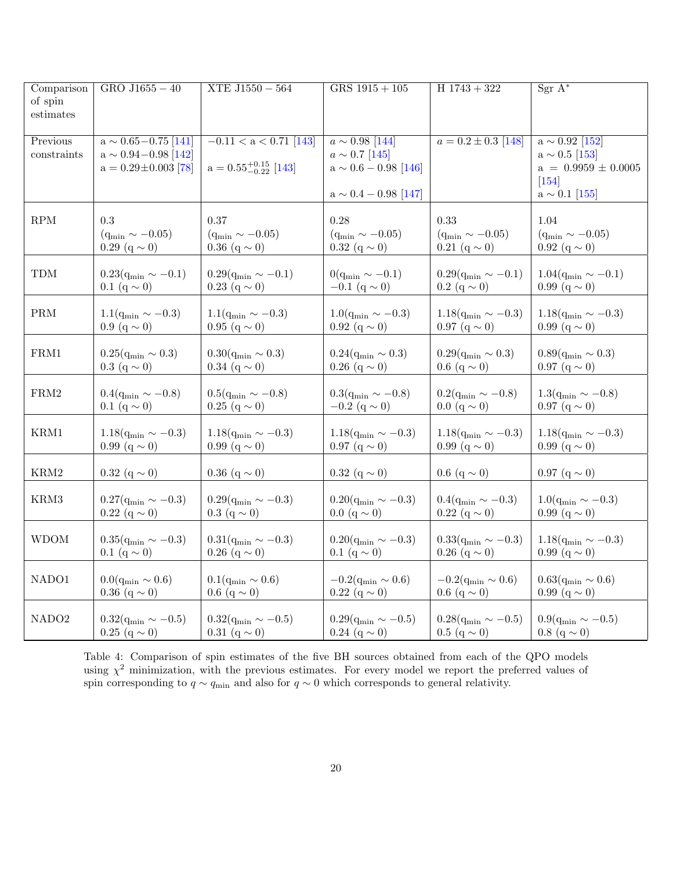| Comparison        | $GRO$ J1655 $-40$             | $XTE$ J1550 $-$ 564              | $GRS$ 1915 + 105              | $H$ 1743 + 322                | $Sgr A^*$                     |
|-------------------|-------------------------------|----------------------------------|-------------------------------|-------------------------------|-------------------------------|
| of spin           |                               |                                  |                               |                               |                               |
| estimates         |                               |                                  |                               |                               |                               |
|                   |                               |                                  |                               |                               |                               |
| Previous          | $a \sim 0.65 - 0.75$ [141]    | $-0.11 < a < 0.71$ [143]         | $a \sim 0.98$ [144]           | $a = 0.2 \pm 0.3$ [148]       | $a \sim 0.92$ [152]           |
| constraints       | $a \sim 0.94 - 0.98$ [142]    |                                  | $a \sim 0.7$ [145]            |                               | $a \sim 0.5$ [153]            |
|                   | $a = 0.29 \pm 0.003$ [78]     | $a = 0.55^{+0.15}_{-0.22}$ [143] | $a \sim 0.6 - 0.98$ [146]     |                               | $a = 0.9959 \pm 0.0005$       |
|                   |                               |                                  |                               |                               |                               |
|                   |                               |                                  |                               |                               | $[154]$                       |
|                   |                               |                                  | $a \sim 0.4 - 0.98$ [147]     |                               | $a \sim 0.1$ [155]            |
|                   |                               |                                  |                               |                               |                               |
| RPM               | 0.3                           | 0.37                             | 0.28                          | 0.33                          | 1.04                          |
|                   | $(q_{\rm min} \sim -0.05)$    | $(q_{\rm min} \sim -0.05)$       | $(q_{\min} \sim -0.05)$       | $(q_{\rm min} \sim -0.05)$    | $(q_{\rm min} \sim -0.05)$    |
|                   | $0.29~({\rm q}\sim 0)$        | 0.36 $(q \sim 0)$                | $0.32~(q \sim 0)$             | $0.21~({\rm q}\sim 0)$        | 0.92 $(q \sim 0)$             |
|                   |                               |                                  |                               |                               |                               |
| <b>TDM</b>        | $0.23(q_{\rm min} \sim -0.1)$ | $0.29(q_{\rm min} \sim -0.1)$    | $0(q_{\min} \sim -0.1)$       | $0.29(q_{\rm min} \sim -0.1)$ | $1.04(q_{\rm min} \sim -0.1)$ |
|                   | 0.1 (q $\sim$ 0)              | $0.23$ (q $\sim$ 0)              | $-0.1$ (q $\sim$ 0)           | $0.2$ (q $\sim$ 0)            | 0.99 $(q \sim 0)$             |
|                   |                               |                                  |                               |                               |                               |
| PRM               | $1.1(q_{\rm min} \sim -0.3)$  | $1.1(q_{\rm min} \sim -0.3)$     | $1.0(q_{\rm min} \sim -0.3)$  | $1.18(q_{\rm min} \sim -0.3)$ | $1.18(q_{\rm min} \sim -0.3)$ |
|                   | 0.9 (q $\sim$ 0)              | 0.95 $(q \sim 0)$                | 0.92 $(q \sim 0)$             | $0.97~(q \sim 0)$             | 0.99 $(q \sim 0)$             |
|                   |                               |                                  |                               |                               |                               |
| FRM1              | $0.25(q_{\rm min} \sim 0.3)$  | $0.30(q_{\rm min} \sim 0.3)$     | $0.24(q_{\rm min} \sim 0.3)$  | $0.29(q_{\rm min} \sim 0.3)$  | $0.89(q_{\rm min} \sim 0.3)$  |
|                   | $0.3~({\rm q}\sim 0)$         | 0.34 (q $\sim$ 0)                |                               | 0.6 (q $\sim$ 0)              | $0.97$ (q $\sim$ 0)           |
|                   |                               |                                  | $0.26$ (q $\sim$ 0)           |                               |                               |
|                   |                               |                                  |                               |                               |                               |
| ${\rm FRM2}$      | $0.4(q_{\rm min} \sim -0.8)$  | $0.5(q_{\rm min} \sim -0.8)$     | $0.3(q_{\rm min} \sim -0.8)$  | $0.2(q_{\rm min} \sim -0.8)$  | $1.3(q_{\rm min} \sim -0.8)$  |
|                   | 0.1 $(q \sim 0)$              | $0.25 (q \sim 0)$                | $-0.2$ (q $\sim$ 0)           | $0.0 (q \sim 0)$              | $0.97$ (q $\sim$ 0)           |
|                   |                               |                                  |                               |                               |                               |
| KRM1              | $1.18(q_{\rm min} \sim -0.3)$ | $1.18(q_{\rm min} \sim -0.3)$    | $1.18(q_{\rm min} \sim -0.3)$ | $1.18(q_{\rm min} \sim -0.3)$ | $1.18(q_{\rm min} \sim -0.3)$ |
|                   | 0.99 $(q \sim 0)$             | 0.99 $(q \sim 0)$                | $0.97~(q \sim 0)$             | 0.99 $(q \sim 0)$             | 0.99 $(q \sim 0)$             |
|                   |                               |                                  |                               |                               |                               |
| $\rm KRM2$        | $0.32~({\rm q}\sim 0)$        | $0.36$ (q $\sim$ 0)              | $0.32$ (q $\sim$ 0)           | 0.6 $(q \sim 0)$              | $0.97~({\rm q}\sim 0)$        |
|                   |                               |                                  |                               |                               |                               |
| KRM3              | $0.27(q_{\rm min} \sim -0.3)$ | $0.29(q_{\rm min} \sim -0.3)$    | $0.20(q_{\rm min} \sim -0.3)$ | $0.4(q_{\rm min} \sim -0.3)$  | $1.0(q_{\rm min} \sim -0.3)$  |
|                   | $0.22~(q \sim 0)$             | $0.3~({\rm q}\sim 0)$            | $0.0 (q \sim 0)$              | $0.22$ (q $\sim$ 0)           | 0.99 (q $\sim$ 0)             |
|                   |                               |                                  |                               |                               |                               |
| <b>WDOM</b>       | $0.35(q_{\rm min} \sim -0.3)$ | $0.31(q_{\rm min} \sim -0.3)$    | $0.20(q_{\rm min} \sim -0.3)$ | $0.33(q_{\rm min} \sim -0.3)$ | $1.18(q_{\rm min} \sim -0.3)$ |
|                   | 0.1 $(q \sim 0)$              | $0.26$ (q $\sim$ 0)              | 0.1 $(q \sim 0)$              | 0.26 $(q \sim 0)$             | 0.99 $(q \sim 0)$             |
|                   |                               |                                  |                               |                               |                               |
| NADO1             | $0.0(q_{\rm min} \sim 0.6)$   | $0.1(q_{\rm min} \sim 0.6)$      | $-0.2(q_{\rm min} \sim 0.6)$  | $-0.2(q_{\rm min} \sim 0.6)$  | $0.63(q_{\rm min} \sim 0.6)$  |
|                   |                               |                                  |                               |                               |                               |
|                   | 0.36 $(q \sim 0)$             | 0.6 (q $\sim$ 0)                 | $0.22~(q \sim 0)$             | 0.6 (q $\sim$ 0)              | 0.99 $(q \sim 0)$             |
|                   |                               |                                  |                               |                               |                               |
| NADO <sub>2</sub> | $0.32(q_{\rm min} \sim -0.5)$ | $0.32(q_{\rm min} \sim -0.5)$    | $0.29(q_{\rm min} \sim -0.5)$ | $0.28(q_{\rm min} \sim -0.5)$ | $0.9(q_{\rm min} \sim -0.5)$  |
|                   | $0.25 \; (q \sim 0)$          | 0.31 $(q \sim 0)$                | $0.24~({\rm q}\sim 0)$        | $0.5 (q \sim 0)$              | $0.8 (q \sim 0)$              |

<span id="page-19-0"></span>Table 4: Comparison of spin estimates of the five BH sources obtained from each of the QPO models using  $\chi^2$  minimization, with the previous estimates. For every model we report the preferred values of spin corresponding to  $q \sim q_{\text{min}}$  and also for  $q \sim 0$  which corresponds to general relativity.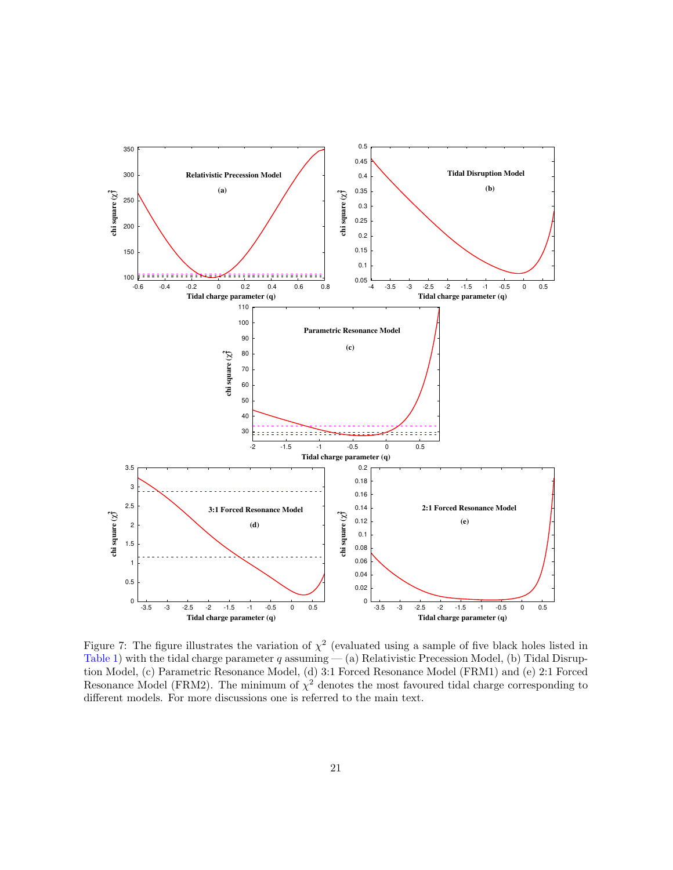

<span id="page-20-0"></span>Figure 7: The figure illustrates the variation of  $\chi^2$  (evaluated using a sample of five black holes listed in [Table 1\)](#page-5-1) with the tidal charge parameter  $q$  assuming  $-$  (a) Relativistic Precession Model, (b) Tidal Disruption Model, (c) Parametric Resonance Model, (d) 3:1 Forced Resonance Model (FRM1) and (e) 2:1 Forced Resonance Model (FRM2). The minimum of  $\chi^2$  denotes the most favoured tidal charge corresponding to different models. For more discussions one is referred to the main text.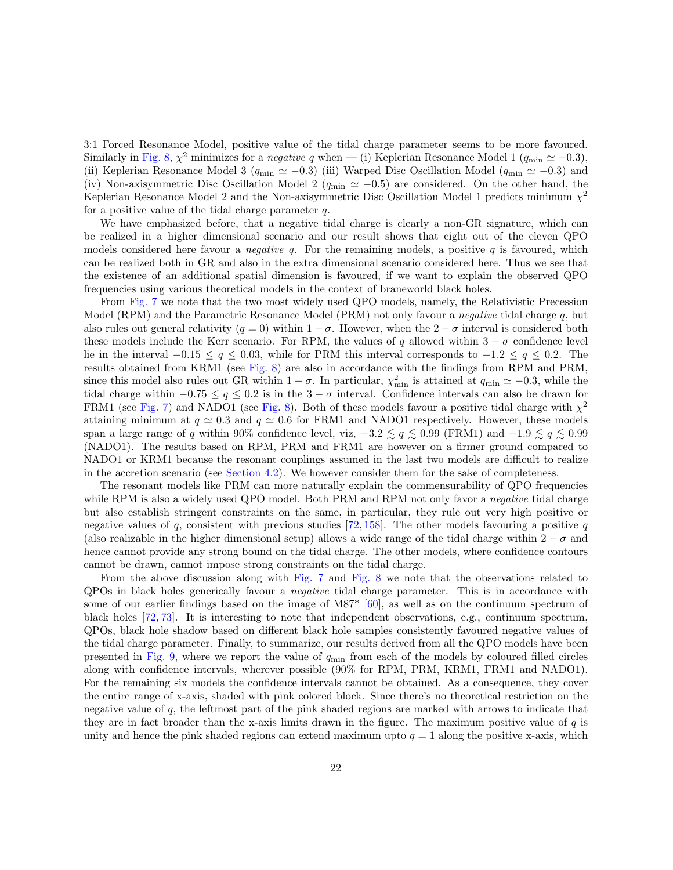3:1 Forced Resonance Model, positive value of the tidal charge parameter seems to be more favoured. Similarly in [Fig. 8,](#page-22-0)  $\chi^2$  minimizes for a *negative q* when — (i) Keplerian Resonance Model 1 ( $q_{\min} \simeq -0.3$ ), (ii) Keplerian Resonance Model 3 ( $q_{\min} \simeq -0.3$ ) (iii) Warped Disc Oscillation Model ( $q_{\min} \simeq -0.3$ ) and (iv) Non-axisymmetric Disc Oscillation Model 2 ( $q_{\min} \approx -0.5$ ) are considered. On the other hand, the Keplerian Resonance Model 2 and the Non-axisymmetric Disc Oscillation Model 1 predicts minimum  $\chi^2$ for a positive value of the tidal charge parameter  $q$ .

We have emphasized before, that a negative tidal charge is clearly a non-GR signature, which can be realized in a higher dimensional scenario and our result shows that eight out of the eleven QPO models considered here favour a *negative q*. For the remaining models, a positive q is favoured, which can be realized both in GR and also in the extra dimensional scenario considered here. Thus we see that the existence of an additional spatial dimension is favoured, if we want to explain the observed QPO frequencies using various theoretical models in the context of braneworld black holes.

From [Fig. 7](#page-20-0) we note that the two most widely used QPO models, namely, the Relativistic Precession Model (RPM) and the Parametric Resonance Model (PRM) not only favour a *negative* tidal charge q, but also rules out general relativity ( $q = 0$ ) within  $1 - \sigma$ . However, when the  $2 - \sigma$  interval is considered both these models include the Kerr scenario. For RPM, the values of q allowed within  $3 - \sigma$  confidence level lie in the interval  $-0.15 \le q \le 0.03$ , while for PRM this interval corresponds to  $-1.2 \le q \le 0.2$ . The results obtained from KRM1 (see [Fig. 8\)](#page-22-0) are also in accordance with the findings from RPM and PRM, since this model also rules out GR within  $1 - \sigma$ . In particular,  $\chi^2_{\rm min}$  is attained at  $q_{\rm min} \simeq -0.3$ , while the tidal charge within  $-0.75 \le q \le 0.2$  is in the  $3 - \sigma$  interval. Confidence intervals can also be drawn for FRM1 (see [Fig. 7\)](#page-20-0) and NADO1 (see [Fig. 8\)](#page-22-0). Both of these models favour a positive tidal charge with  $\chi^2$ attaining minimum at  $q \approx 0.3$  and  $q \approx 0.6$  for FRM1 and NADO1 respectively. However, these models span a large range of q within 90% confidence level, viz,  $-3.2 \lesssim q \lesssim 0.99$  (FRM1) and  $-1.9 \lesssim q \lesssim 0.99$ (NADO1). The results based on RPM, PRM and FRM1 are however on a firmer ground compared to NADO1 or KRM1 because the resonant couplings assumed in the last two models are difficult to realize in the accretion scenario (see [Section 4.2\)](#page-9-4). We however consider them for the sake of completeness.

The resonant models like PRM can more naturally explain the commensurability of QPO frequencies while RPM is also a widely used QPO model. Both PRM and RPM not only favor a *negative* tidal charge but also establish stringent constraints on the same, in particular, they rule out very high positive or negative values of q, consistent with previous studies [\[72,](#page-30-13) [158\]](#page-36-1). The other models favouring a positive q (also realizable in the higher dimensional setup) allows a wide range of the tidal charge within  $2 - \sigma$  and hence cannot provide any strong bound on the tidal charge. The other models, where confidence contours cannot be drawn, cannot impose strong constraints on the tidal charge.

From the above discussion along with [Fig. 7](#page-20-0) and [Fig. 8](#page-22-0) we note that the observations related to QPOs in black holes generically favour a negative tidal charge parameter. This is in accordance with some of our earlier findings based on the image of M87\* [\[60\]](#page-29-3), as well as on the continuum spectrum of black holes [\[72,](#page-30-13) [73\]](#page-30-3). It is interesting to note that independent observations, e.g., continuum spectrum, QPOs, black hole shadow based on different black hole samples consistently favoured negative values of the tidal charge parameter. Finally, to summarize, our results derived from all the QPO models have been presented in [Fig. 9,](#page-23-0) where we report the value of  $q_{\min}$  from each of the models by coloured filled circles along with confidence intervals, wherever possible (90% for RPM, PRM, KRM1, FRM1 and NADO1). For the remaining six models the confidence intervals cannot be obtained. As a consequence, they cover the entire range of x-axis, shaded with pink colored block. Since there's no theoretical restriction on the negative value of q, the leftmost part of the pink shaded regions are marked with arrows to indicate that they are in fact broader than the x-axis limits drawn in the figure. The maximum positive value of q is unity and hence the pink shaded regions can extend maximum upto  $q = 1$  along the positive x-axis, which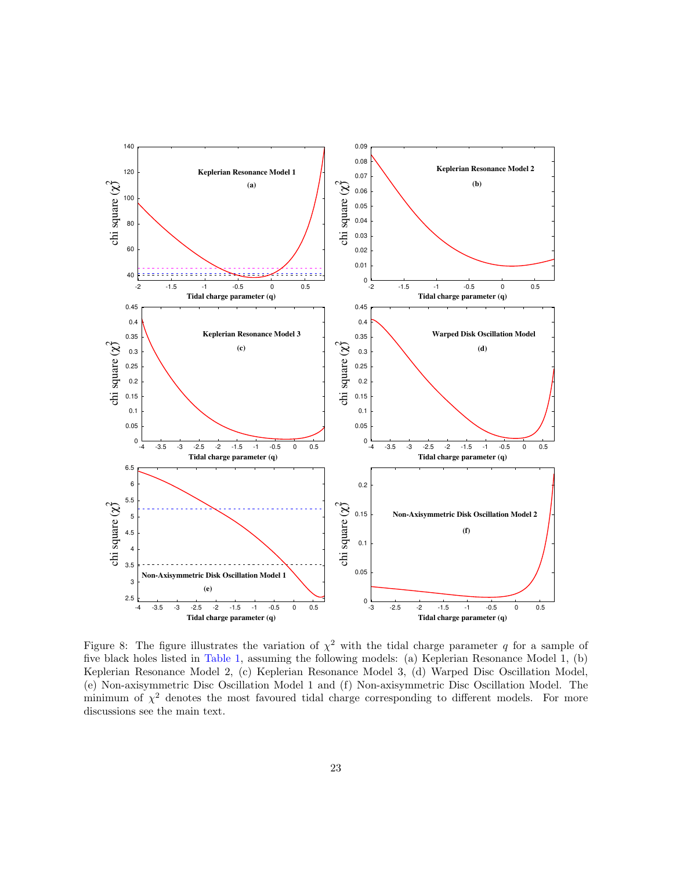

<span id="page-22-0"></span>Figure 8: The figure illustrates the variation of  $\chi^2$  with the tidal charge parameter q for a sample of five black holes listed in [Table 1,](#page-5-1) assuming the following models: (a) Keplerian Resonance Model 1, (b) Keplerian Resonance Model 2, (c) Keplerian Resonance Model 3, (d) Warped Disc Oscillation Model, (e) Non-axisymmetric Disc Oscillation Model 1 and (f) Non-axisymmetric Disc Oscillation Model. The minimum of  $\chi^2$  denotes the most favoured tidal charge corresponding to different models. For more discussions see the main text.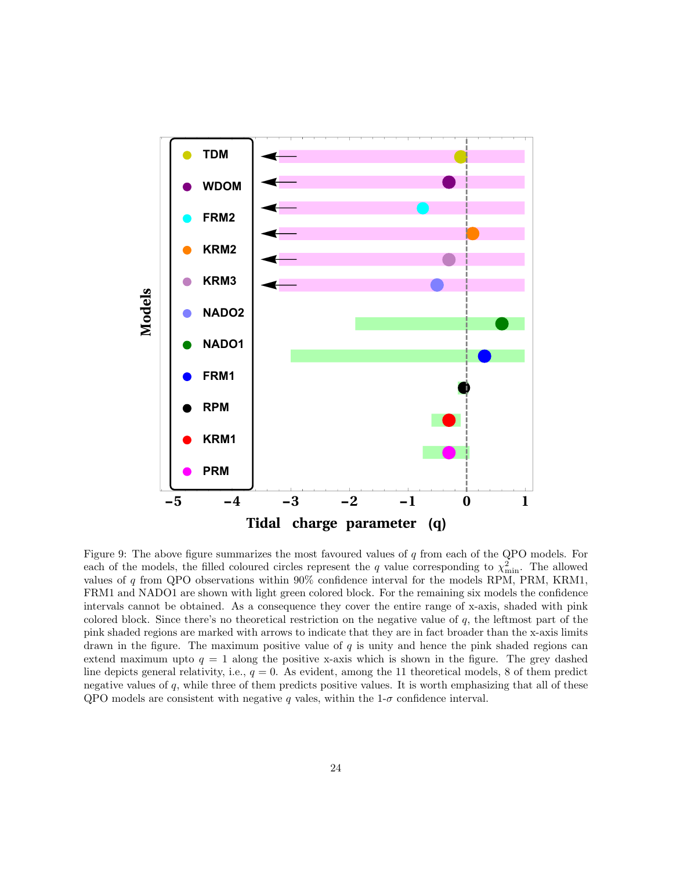

<span id="page-23-0"></span>Figure 9: The above figure summarizes the most favoured values of  $q$  from each of the QPO models. For each of the models, the filled coloured circles represent the q value corresponding to  $\chi^2_{\rm min}$ . The allowed values of q from QPO observations within 90% confidence interval for the models RPM, PRM, KRM1, FRM1 and NADO1 are shown with light green colored block. For the remaining six models the confidence intervals cannot be obtained. As a consequence they cover the entire range of x-axis, shaded with pink colored block. Since there's no theoretical restriction on the negative value of  $q$ , the leftmost part of the pink shaded regions are marked with arrows to indicate that they are in fact broader than the x-axis limits drawn in the figure. The maximum positive value of  $q$  is unity and hence the pink shaded regions can extend maximum upto  $q = 1$  along the positive x-axis which is shown in the figure. The grey dashed line depicts general relativity, i.e.,  $q = 0$ . As evident, among the 11 theoretical models, 8 of them predict negative values of  $q$ , while three of them predicts positive values. It is worth emphasizing that all of these QPO models are consistent with negative q vales, within the  $1-\sigma$  confidence interval.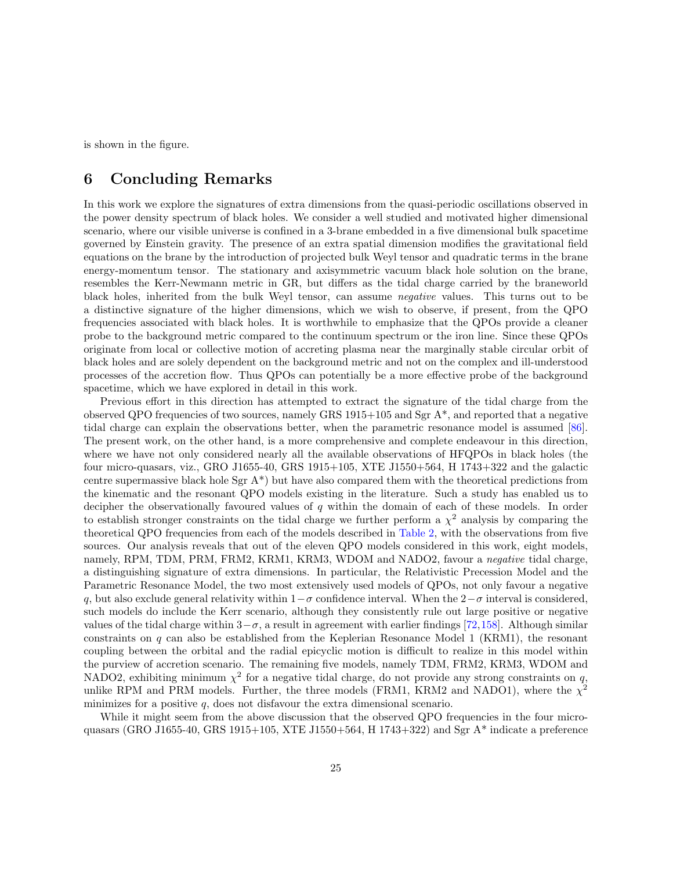is shown in the figure.

## <span id="page-24-0"></span>6 Concluding Remarks

In this work we explore the signatures of extra dimensions from the quasi-periodic oscillations observed in the power density spectrum of black holes. We consider a well studied and motivated higher dimensional scenario, where our visible universe is confined in a 3-brane embedded in a five dimensional bulk spacetime governed by Einstein gravity. The presence of an extra spatial dimension modifies the gravitational field equations on the brane by the introduction of projected bulk Weyl tensor and quadratic terms in the brane energy-momentum tensor. The stationary and axisymmetric vacuum black hole solution on the brane, resembles the Kerr-Newmann metric in GR, but differs as the tidal charge carried by the braneworld black holes, inherited from the bulk Weyl tensor, can assume negative values. This turns out to be a distinctive signature of the higher dimensions, which we wish to observe, if present, from the QPO frequencies associated with black holes. It is worthwhile to emphasize that the QPOs provide a cleaner probe to the background metric compared to the continuum spectrum or the iron line. Since these QPOs originate from local or collective motion of accreting plasma near the marginally stable circular orbit of black holes and are solely dependent on the background metric and not on the complex and ill-understood processes of the accretion flow. Thus QPOs can potentially be a more effective probe of the background spacetime, which we have explored in detail in this work.

Previous effort in this direction has attempted to extract the signature of the tidal charge from the observed QPO frequencies of two sources, namely GRS 1915+105 and Sgr A\*, and reported that a negative tidal charge can explain the observations better, when the parametric resonance model is assumed [\[86\]](#page-31-2). The present work, on the other hand, is a more comprehensive and complete endeavour in this direction, where we have not only considered nearly all the available observations of HFQPOs in black holes (the four micro-quasars, viz., GRO J1655-40, GRS 1915+105, XTE J1550+564, H 1743+322 and the galactic centre supermassive black hole Sgr  $A^*$ ) but have also compared them with the theoretical predictions from the kinematic and the resonant QPO models existing in the literature. Such a study has enabled us to decipher the observationally favoured values of q within the domain of each of these models. In order to establish stronger constraints on the tidal charge we further perform a  $\chi^2$  analysis by comparing the theoretical QPO frequencies from each of the models described in [Table 2,](#page-6-0) with the observations from five sources. Our analysis reveals that out of the eleven QPO models considered in this work, eight models, namely, RPM, TDM, PRM, FRM2, KRM1, KRM3, WDOM and NADO2, favour a *negative* tidal charge, a distinguishing signature of extra dimensions. In particular, the Relativistic Precession Model and the Parametric Resonance Model, the two most extensively used models of QPOs, not only favour a negative q, but also exclude general relativity within  $1-\sigma$  confidence interval. When the  $2-\sigma$  interval is considered, such models do include the Kerr scenario, although they consistently rule out large positive or negative values of the tidal charge within  $3-\sigma$ , a result in agreement with earlier findings [\[72,](#page-30-13)[158\]](#page-36-1). Although similar constraints on q can also be established from the Keplerian Resonance Model 1 (KRM1), the resonant coupling between the orbital and the radial epicyclic motion is difficult to realize in this model within the purview of accretion scenario. The remaining five models, namely TDM, FRM2, KRM3, WDOM and NADO2, exhibiting minimum  $\chi^2$  for a negative tidal charge, do not provide any strong constraints on q, unlike RPM and PRM models. Further, the three models (FRM1, KRM2 and NADO1), where the  $\chi^2$ minimizes for a positive  $q$ , does not disfavour the extra dimensional scenario.

While it might seem from the above discussion that the observed QPO frequencies in the four microquasars (GRO J1655-40, GRS 1915+105, XTE J1550+564, H 1743+322) and Sgr  $A^*$  indicate a preference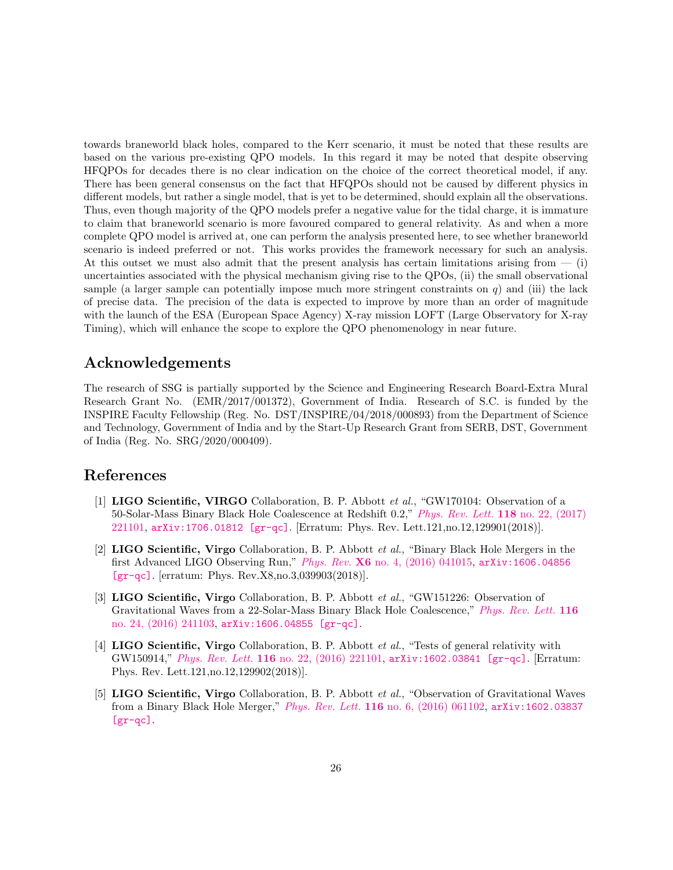towards braneworld black holes, compared to the Kerr scenario, it must be noted that these results are based on the various pre-existing QPO models. In this regard it may be noted that despite observing HFQPOs for decades there is no clear indication on the choice of the correct theoretical model, if any. There has been general consensus on the fact that HFQPOs should not be caused by different physics in different models, but rather a single model, that is yet to be determined, should explain all the observations. Thus, even though majority of the QPO models prefer a negative value for the tidal charge, it is immature to claim that braneworld scenario is more favoured compared to general relativity. As and when a more complete QPO model is arrived at, one can perform the analysis presented here, to see whether braneworld scenario is indeed preferred or not. This works provides the framework necessary for such an analysis. At this outset we must also admit that the present analysis has certain limitations arising from  $-$  (i) uncertainties associated with the physical mechanism giving rise to the QPOs, (ii) the small observational sample (a larger sample can potentially impose much more stringent constraints on  $q$ ) and (iii) the lack of precise data. The precision of the data is expected to improve by more than an order of magnitude with the launch of the ESA (European Space Agency) X-ray mission LOFT (Large Observatory for X-ray Timing), which will enhance the scope to explore the QPO phenomenology in near future.

## Acknowledgements

The research of SSG is partially supported by the Science and Engineering Research Board-Extra Mural Research Grant No. (EMR/2017/001372), Government of India. Research of S.C. is funded by the INSPIRE Faculty Fellowship (Reg. No. DST/INSPIRE/04/2018/000893) from the Department of Science and Technology, Government of India and by the Start-Up Research Grant from SERB, DST, Government of India (Reg. No. SRG/2020/000409).

## References

- <span id="page-25-0"></span>[1] LIGO Scientific, VIRGO Collaboration, B. P. Abbott et al., "GW170104: Observation of a 50-Solar-Mass Binary Black Hole Coalescence at Redshift 0.2," [Phys. Rev. Lett.](http://dx.doi.org/10.1103/PhysRevLett.118.221101, 10.1103/PhysRevLett.121.129901) 118 no. 22, (2017) [221101,](http://dx.doi.org/10.1103/PhysRevLett.118.221101, 10.1103/PhysRevLett.121.129901) [arXiv:1706.01812 \[gr-qc\]](http://arxiv.org/abs/1706.01812). [Erratum: Phys. Rev. Lett.121,no.12,129901(2018)].
- [2] LIGO Scientific, Virgo Collaboration, B. P. Abbott et al., "Binary Black Hole Mergers in the first Advanced LIGO Observing Run," Phys. Rev. X6 [no. 4, \(2016\) 041015,](http://dx.doi.org/10.1103/PhysRevX.6.041015, 10.1103/PhysRevX.8.039903) [arXiv:1606.04856](http://arxiv.org/abs/1606.04856) [\[gr-qc\]](http://arxiv.org/abs/1606.04856). [erratum: Phys. Rev.X8,no.3,039903(2018)].
- [3] LIGO Scientific, Virgo Collaboration, B. P. Abbott et al., "GW151226: Observation of Gravitational Waves from a 22-Solar-Mass Binary Black Hole Coalescence," [Phys. Rev. Lett.](http://dx.doi.org/10.1103/PhysRevLett.116.241103) 116 [no. 24, \(2016\) 241103,](http://dx.doi.org/10.1103/PhysRevLett.116.241103) [arXiv:1606.04855 \[gr-qc\]](http://arxiv.org/abs/1606.04855).
- [4] LIGO Scientific, Virgo Collaboration, B. P. Abbott *et al.*, "Tests of general relativity with GW150914," Phys. Rev. Lett. 116 [no. 22, \(2016\) 221101,](http://dx.doi.org/10.1103/PhysRevLett.116.221101, 10.1103/PhysRevLett.121.129902) [arXiv:1602.03841 \[gr-qc\]](http://arxiv.org/abs/1602.03841). [Erratum: Phys. Rev. Lett.121,no.12,129902(2018)].
- <span id="page-25-1"></span>[5] LIGO Scientific, Virgo Collaboration, B. P. Abbott et al., "Observation of Gravitational Waves from a Binary Black Hole Merger," Phys. Rev. Lett. 116 [no. 6, \(2016\) 061102,](http://dx.doi.org/10.1103/PhysRevLett.116.061102) [arXiv:1602.03837](http://arxiv.org/abs/1602.03837)  $[gr-qc]$ .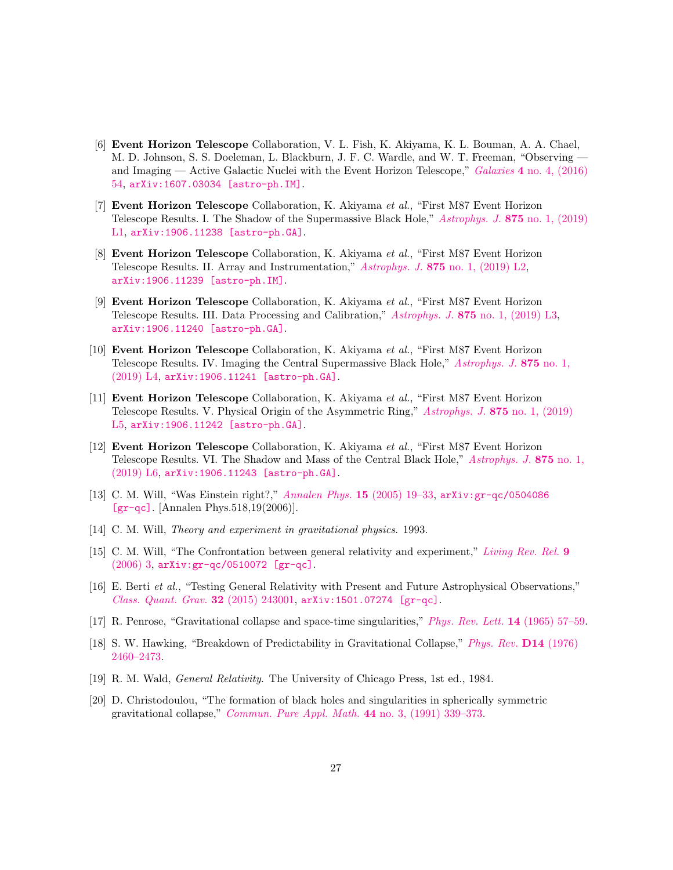- <span id="page-26-0"></span>[6] Event Horizon Telescope Collaboration, V. L. Fish, K. Akiyama, K. L. Bouman, A. A. Chael, M. D. Johnson, S. S. Doeleman, L. Blackburn, J. F. C. Wardle, and W. T. Freeman, "Observing and Imaging — Active Galactic Nuclei with the Event Horizon Telescope," Galaxies 4 [no. 4, \(2016\)](http://dx.doi.org/10.3390/galaxies4040054) [54,](http://dx.doi.org/10.3390/galaxies4040054) [arXiv:1607.03034 \[astro-ph.IM\]](http://arxiv.org/abs/1607.03034).
- [7] Event Horizon Telescope Collaboration, K. Akiyama et al., "First M87 Event Horizon Telescope Results. I. The Shadow of the Supermassive Black Hole," [Astrophys. J.](http://dx.doi.org/10.3847/2041-8213/ab0ec7) 875 no. 1, (2019) [L1,](http://dx.doi.org/10.3847/2041-8213/ab0ec7) [arXiv:1906.11238 \[astro-ph.GA\]](http://arxiv.org/abs/1906.11238).
- [8] Event Horizon Telescope Collaboration, K. Akiyama et al., "First M87 Event Horizon Telescope Results. II. Array and Instrumentation," Astrophys. J. 875 [no. 1, \(2019\) L2,](http://dx.doi.org/10.3847/2041-8213/ab0c96) [arXiv:1906.11239 \[astro-ph.IM\]](http://arxiv.org/abs/1906.11239).
- [9] Event Horizon Telescope Collaboration, K. Akiyama et al., "First M87 Event Horizon Telescope Results. III. Data Processing and Calibration," Astrophys. J. 875 [no. 1, \(2019\) L3,](http://dx.doi.org/10.3847/2041-8213/ab0c57) [arXiv:1906.11240 \[astro-ph.GA\]](http://arxiv.org/abs/1906.11240).
- [10] Event Horizon Telescope Collaboration, K. Akiyama et al., "First M87 Event Horizon Telescope Results. IV. Imaging the Central Supermassive Black Hole," [Astrophys. J.](http://dx.doi.org/10.3847/2041-8213/ab0e85) 875 no. 1, [\(2019\) L4,](http://dx.doi.org/10.3847/2041-8213/ab0e85) [arXiv:1906.11241 \[astro-ph.GA\]](http://arxiv.org/abs/1906.11241).
- [11] Event Horizon Telescope Collaboration, K. Akiyama et al., "First M87 Event Horizon Telescope Results. V. Physical Origin of the Asymmetric Ring," [Astrophys. J.](http://dx.doi.org/10.3847/2041-8213/ab0f43) 875 no. 1, (2019) [L5,](http://dx.doi.org/10.3847/2041-8213/ab0f43) [arXiv:1906.11242 \[astro-ph.GA\]](http://arxiv.org/abs/1906.11242).
- <span id="page-26-1"></span>[12] Event Horizon Telescope Collaboration, K. Akiyama et al., "First M87 Event Horizon Telescope Results. VI. The Shadow and Mass of the Central Black Hole," [Astrophys. J.](http://dx.doi.org/10.3847/2041-8213/ab1141) 875 no. 1, [\(2019\) L6,](http://dx.doi.org/10.3847/2041-8213/ab1141) [arXiv:1906.11243 \[astro-ph.GA\]](http://arxiv.org/abs/1906.11243).
- <span id="page-26-2"></span>[13] C. M. Will, "Was Einstein right?," [Annalen Phys.](http://dx.doi.org/10.1002/andp.200510170, 10.1142/9789812700988_0008) 15 (2005) 19–33, [arXiv:gr-qc/0504086](http://arxiv.org/abs/gr-qc/0504086) [\[gr-qc\]](http://arxiv.org/abs/gr-qc/0504086). [Annalen Phys.518,19(2006)].
- [14] C. M. Will, *Theory and experiment in gravitational physics.* 1993.
- [15] C. M. Will, "The Confrontation between general relativity and experiment," [Living Rev. Rel.](http://dx.doi.org/10.12942/lrr-2006-3) 9 [\(2006\) 3,](http://dx.doi.org/10.12942/lrr-2006-3) [arXiv:gr-qc/0510072 \[gr-qc\]](http://arxiv.org/abs/gr-qc/0510072).
- <span id="page-26-3"></span>[16] E. Berti et al., "Testing General Relativity with Present and Future Astrophysical Observations," [Class. Quant. Grav.](http://dx.doi.org/10.1088/0264-9381/32/24/243001) 32 (2015) 243001,  $arXiv:1501.07274$  [gr-qc].
- <span id="page-26-4"></span>[17] R. Penrose, "Gravitational collapse and space-time singularities," [Phys. Rev. Lett.](http://dx.doi.org/10.1103/PhysRevLett.14.57) 14 (1965) 57–59.
- [18] S. W. Hawking, "Breakdown of Predictability in Gravitational Collapse," [Phys. Rev.](http://dx.doi.org/10.1103/PhysRevD.14.2460) D14 (1976) [2460–2473.](http://dx.doi.org/10.1103/PhysRevD.14.2460)
- [19] R. M. Wald, General Relativity. The University of Chicago Press, 1st ed., 1984.
- <span id="page-26-5"></span>[20] D. Christodoulou, "The formation of black holes and singularities in spherically symmetric gravitational collapse," [Commun. Pure Appl. Math.](http://dx.doi.org/10.1002/cpa.3160440305) 44 no. 3, (1991) 339–373.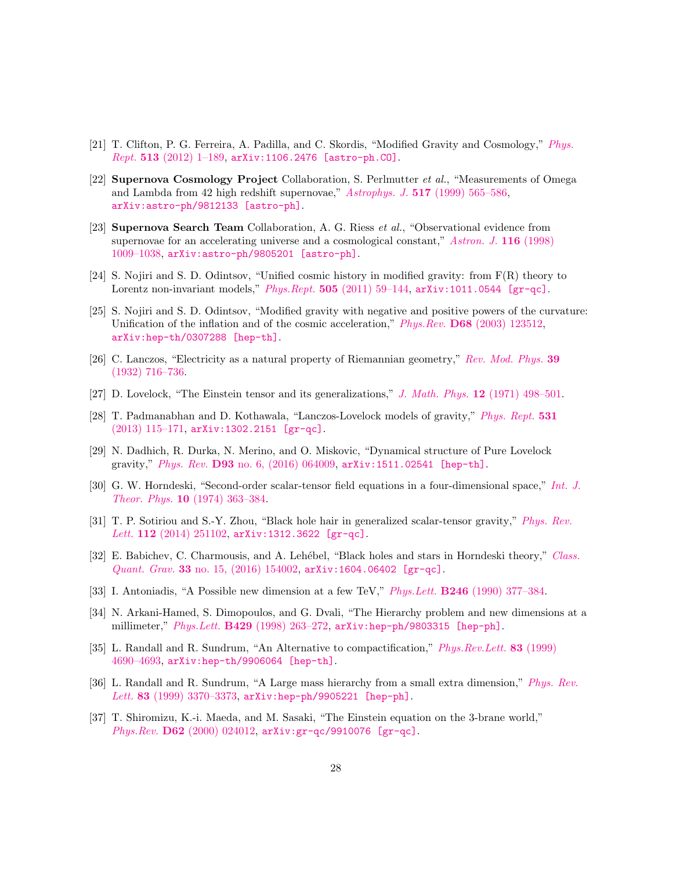- <span id="page-27-0"></span>[21] T. Clifton, P. G. Ferreira, A. Padilla, and C. Skordis, "Modified Gravity and Cosmology," [Phys.](http://dx.doi.org/10.1016/j.physrep.2012.01.001)  $Rept.$  513 [\(2012\) 1–189,](http://dx.doi.org/10.1016/j.physrep.2012.01.001) [arXiv:1106.2476 \[astro-ph.CO\]](http://arxiv.org/abs/1106.2476).
- [22] **Supernova Cosmology Project** Collaboration, S. Perlmutter *et al.*, "Measurements of Omega and Lambda from 42 high redshift supernovae," Astrophys. J. 517 [\(1999\) 565–586,](http://dx.doi.org/10.1086/307221) [arXiv:astro-ph/9812133 \[astro-ph\]](http://arxiv.org/abs/astro-ph/9812133).
- <span id="page-27-1"></span>[23] **Supernova Search Team** Collaboration, A. G. Riess *et al.*, "Observational evidence from supernovae for an accelerating universe and a cosmological constant," [Astron. J.](http://dx.doi.org/10.1086/300499) 116 (1998) [1009–1038,](http://dx.doi.org/10.1086/300499) [arXiv:astro-ph/9805201 \[astro-ph\]](http://arxiv.org/abs/astro-ph/9805201).
- <span id="page-27-2"></span>[24] S. Nojiri and S. D. Odintsov, "Unified cosmic history in modified gravity: from F(R) theory to Lorentz non-invariant models," Phys.Rept. 505 (2011) 59-144,  $arXiv:1011.0544$  [gr-qc].
- <span id="page-27-3"></span>[25] S. Nojiri and S. D. Odintsov, "Modified gravity with negative and positive powers of the curvature: Unification of the inflation and of the cosmic acceleration," Phys.Rev. D68 [\(2003\) 123512,](http://dx.doi.org/10.1103/PhysRevD.68.123512) [arXiv:hep-th/0307288 \[hep-th\]](http://arxiv.org/abs/hep-th/0307288).
- <span id="page-27-4"></span>[26] C. Lanczos, "Electricity as a natural property of Riemannian geometry," [Rev. Mod. Phys.](http://dx.doi.org/10.1103/RevModPhys.39.716) 39 [\(1932\) 716–736.](http://dx.doi.org/10.1103/RevModPhys.39.716)
- [27] D. Lovelock, "The Einstein tensor and its generalizations," J. Math. Phys. 12 [\(1971\) 498–501.](http://dx.doi.org/10.1063/1.1665613)
- [28] T. Padmanabhan and D. Kothawala, "Lanczos-Lovelock models of gravity," [Phys. Rept.](http://dx.doi.org/10.1016/j.physrep.2013.05.007) 531 [\(2013\) 115–171,](http://dx.doi.org/10.1016/j.physrep.2013.05.007) [arXiv:1302.2151 \[gr-qc\]](http://arxiv.org/abs/1302.2151).
- <span id="page-27-5"></span>[29] N. Dadhich, R. Durka, N. Merino, and O. Miskovic, "Dynamical structure of Pure Lovelock gravity," Phys. Rev. D93 [no. 6, \(2016\) 064009,](http://dx.doi.org/10.1103/PhysRevD.93.064009) [arXiv:1511.02541 \[hep-th\]](http://arxiv.org/abs/1511.02541).
- <span id="page-27-6"></span>[30] G. W. Horndeski, "Second-order scalar-tensor field equations in a four-dimensional space," [Int. J.](http://dx.doi.org/10.1007/BF01807638) Theor. Phys. 10 [\(1974\) 363–384.](http://dx.doi.org/10.1007/BF01807638)
- [31] T. P. Sotiriou and S.-Y. Zhou, "Black hole hair in generalized scalar-tensor gravity," [Phys. Rev.](http://dx.doi.org/10.1103/PhysRevLett.112.251102) Lett. 112 [\(2014\) 251102,](http://dx.doi.org/10.1103/PhysRevLett.112.251102) [arXiv:1312.3622 \[gr-qc\]](http://arxiv.org/abs/1312.3622).
- <span id="page-27-7"></span>[32] E. Babichev, C. Charmousis, and A. Lehébel, "Black holes and stars in Horndeski theory," [Class.](http://dx.doi.org/10.1088/0264-9381/33/15/154002) Quant. Grav. 33 [no. 15, \(2016\) 154002,](http://dx.doi.org/10.1088/0264-9381/33/15/154002) [arXiv:1604.06402 \[gr-qc\]](http://arxiv.org/abs/1604.06402).
- <span id="page-27-8"></span>[33] I. Antoniadis, "A Possible new dimension at a few TeV," Phys. Lett. **B246** [\(1990\) 377–384.](http://dx.doi.org/10.1016/0370-2693(90)90617-F)
- <span id="page-27-11"></span>[34] N. Arkani-Hamed, S. Dimopoulos, and G. Dvali, "The Hierarchy problem and new dimensions at a millimeter," Phys.Lett. **B429** (1998) 263-272, [arXiv:hep-ph/9803315 \[hep-ph\]](http://arxiv.org/abs/hep-ph/9803315).
- <span id="page-27-9"></span>[35] L. Randall and R. Sundrum, "An Alternative to compactification," [Phys.Rev.Lett.](http://dx.doi.org/10.1103/PhysRevLett.83.4690) 83 (1999) [4690–4693,](http://dx.doi.org/10.1103/PhysRevLett.83.4690) [arXiv:hep-th/9906064 \[hep-th\]](http://arxiv.org/abs/hep-th/9906064).
- <span id="page-27-10"></span>[36] L. Randall and R. Sundrum, "A Large mass hierarchy from a small extra dimension," [Phys. Rev.](http://dx.doi.org/10.1103/PhysRevLett.83.3370) Lett. 83 [\(1999\) 3370–3373,](http://dx.doi.org/10.1103/PhysRevLett.83.3370) [arXiv:hep-ph/9905221 \[hep-ph\]](http://arxiv.org/abs/hep-ph/9905221).
- <span id="page-27-12"></span>[37] T. Shiromizu, K.-i. Maeda, and M. Sasaki, "The Einstein equation on the 3-brane world," Phys.Rev. D62 [\(2000\) 024012,](http://dx.doi.org/10.1103/PhysRevD.62.024012) [arXiv:gr-qc/9910076 \[gr-qc\]](http://arxiv.org/abs/gr-qc/9910076).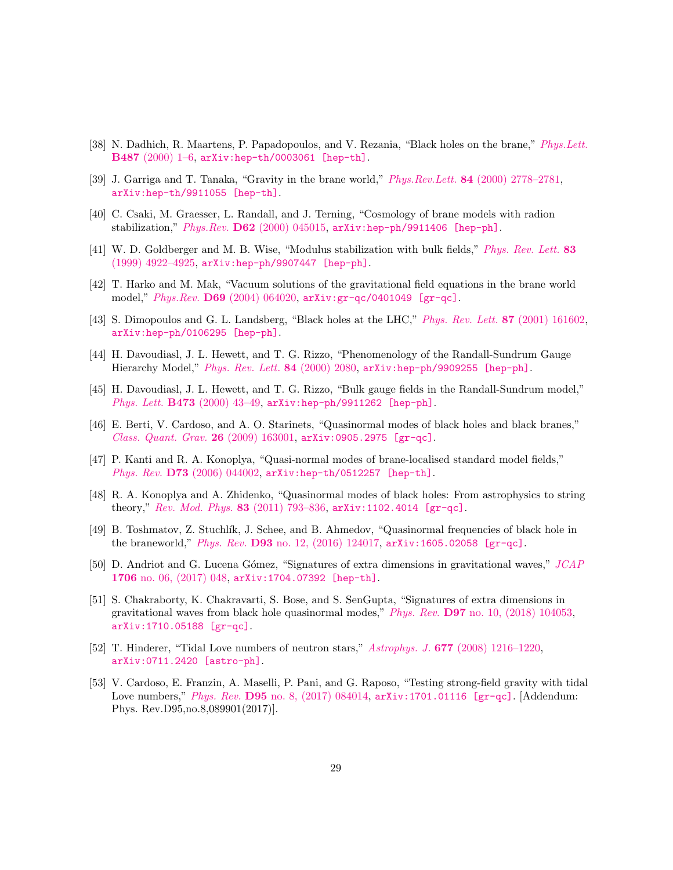- <span id="page-28-0"></span>[38] N. Dadhich, R. Maartens, P. Papadopoulos, and V. Rezania, "Black holes on the brane," [Phys.Lett.](http://dx.doi.org/10.1016/S0370-2693(00)00798-X) B487 [\(2000\) 1–6,](http://dx.doi.org/10.1016/S0370-2693(00)00798-X) [arXiv:hep-th/0003061 \[hep-th\]](http://arxiv.org/abs/hep-th/0003061).
- <span id="page-28-1"></span>[39] J. Garriga and T. Tanaka, "Gravity in the brane world," Phys.Rev.Lett. 84 [\(2000\) 2778–2781,](http://dx.doi.org/10.1103/PhysRevLett.84.2778) [arXiv:hep-th/9911055 \[hep-th\]](http://arxiv.org/abs/hep-th/9911055).
- <span id="page-28-2"></span>[40] C. Csaki, M. Graesser, L. Randall, and J. Terning, "Cosmology of brane models with radion stabilization," Phys.Rev. D62 [\(2000\) 045015,](http://dx.doi.org/10.1103/PhysRevD.62.045015) [arXiv:hep-ph/9911406 \[hep-ph\]](http://arxiv.org/abs/hep-ph/9911406).
- <span id="page-28-3"></span>[41] W. D. Goldberger and M. B. Wise, "Modulus stabilization with bulk fields," [Phys. Rev. Lett.](http://dx.doi.org/10.1103/PhysRevLett.83.4922) 83 [\(1999\) 4922–4925,](http://dx.doi.org/10.1103/PhysRevLett.83.4922) [arXiv:hep-ph/9907447 \[hep-ph\]](http://arxiv.org/abs/hep-ph/9907447).
- <span id="page-28-4"></span>[42] T. Harko and M. Mak, "Vacuum solutions of the gravitational field equations in the brane world model," Phys.Rev. D69 [\(2004\) 064020,](http://dx.doi.org/10.1103/PhysRevD.69.064020) [arXiv:gr-qc/0401049 \[gr-qc\]](http://arxiv.org/abs/gr-qc/0401049).
- <span id="page-28-5"></span>[43] S. Dimopoulos and G. L. Landsberg, "Black holes at the LHC," [Phys. Rev. Lett.](http://dx.doi.org/10.1103/PhysRevLett.87.161602) 87 (2001) 161602, [arXiv:hep-ph/0106295 \[hep-ph\]](http://arxiv.org/abs/hep-ph/0106295).
- [44] H. Davoudiasl, J. L. Hewett, and T. G. Rizzo, "Phenomenology of the Randall-Sundrum Gauge Hierarchy Model," [Phys. Rev. Lett.](http://dx.doi.org/10.1103/PhysRevLett.84.2080) 84 (2000) 2080, [arXiv:hep-ph/9909255 \[hep-ph\]](http://arxiv.org/abs/hep-ph/9909255).
- <span id="page-28-6"></span>[45] H. Davoudiasl, J. L. Hewett, and T. G. Rizzo, "Bulk gauge fields in the Randall-Sundrum model," *Phys. Lett.*  $B473$  (2000) 43-49,  $arXiv:hep-ph/9911262$  [hep-ph].
- <span id="page-28-7"></span>[46] E. Berti, V. Cardoso, and A. O. Starinets, "Quasinormal modes of black holes and black branes," [Class. Quant. Grav.](http://dx.doi.org/10.1088/0264-9381/26/16/163001) 26 (2009) 163001, [arXiv:0905.2975 \[gr-qc\]](http://arxiv.org/abs/0905.2975).
- [47] P. Kanti and R. A. Konoplya, "Quasi-normal modes of brane-localised standard model fields," Phys. Rev. **D73** [\(2006\) 044002,](http://dx.doi.org/10.1103/PhysRevD.73.044002) [arXiv:hep-th/0512257 \[hep-th\]](http://arxiv.org/abs/hep-th/0512257).
- [48] R. A. Konoplya and A. Zhidenko, "Quasinormal modes of black holes: From astrophysics to string theory," [Rev. Mod. Phys.](http://dx.doi.org/10.1103/RevModPhys.83.793) 83 (2011) 793–836, [arXiv:1102.4014 \[gr-qc\]](http://arxiv.org/abs/1102.4014).
- [49] B. Toshmatov, Z. Stuchl´ık, J. Schee, and B. Ahmedov, "Quasinormal frequencies of black hole in the braneworld," Phys. Rev. D93 [no. 12, \(2016\) 124017,](http://dx.doi.org/10.1103/PhysRevD.93.124017) [arXiv:1605.02058 \[gr-qc\]](http://arxiv.org/abs/1605.02058).
- [50] D. Andriot and G. Lucena Gómez, "Signatures of extra dimensions in gravitational waves," [JCAP](http://dx.doi.org/10.1088/1475-7516/2017/06/048) 1706 [no. 06, \(2017\) 048,](http://dx.doi.org/10.1088/1475-7516/2017/06/048) [arXiv:1704.07392 \[hep-th\]](http://arxiv.org/abs/1704.07392).
- <span id="page-28-8"></span>[51] S. Chakraborty, K. Chakravarti, S. Bose, and S. SenGupta, "Signatures of extra dimensions in gravitational waves from black hole quasinormal modes," Phys. Rev. D97 [no. 10, \(2018\) 104053,](http://dx.doi.org/10.1103/PhysRevD.97.104053) [arXiv:1710.05188 \[gr-qc\]](http://arxiv.org/abs/1710.05188).
- <span id="page-28-9"></span>[52] T. Hinderer, "Tidal Love numbers of neutron stars," Astrophys. J. 677 [\(2008\) 1216–1220,](http://dx.doi.org/10.1086/533487) [arXiv:0711.2420 \[astro-ph\]](http://arxiv.org/abs/0711.2420).
- [53] V. Cardoso, E. Franzin, A. Maselli, P. Pani, and G. Raposo, "Testing strong-field gravity with tidal Love numbers," Phys. Rev. **D95** [no. 8, \(2017\) 084014,](http://dx.doi.org/10.1103/PhysRevD.95.089901, 10.1103/PhysRevD.95.084014) [arXiv:1701.01116 \[gr-qc\]](http://arxiv.org/abs/1701.01116). [Addendum: Phys. Rev.D95,no.8,089901(2017)].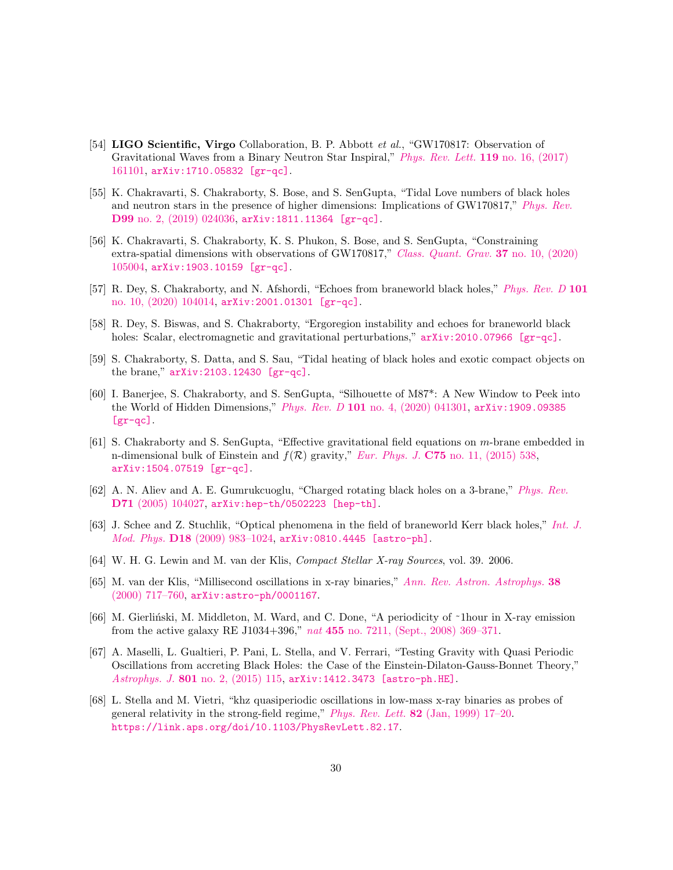- [54] LIGO Scientific, Virgo Collaboration, B. P. Abbott et al., "GW170817: Observation of Gravitational Waves from a Binary Neutron Star Inspiral," [Phys. Rev. Lett.](http://dx.doi.org/10.1103/PhysRevLett.119.161101) 119 no. 16, (2017) [161101,](http://dx.doi.org/10.1103/PhysRevLett.119.161101) [arXiv:1710.05832 \[gr-qc\]](http://arxiv.org/abs/1710.05832).
- [55] K. Chakravarti, S. Chakraborty, S. Bose, and S. SenGupta, "Tidal Love numbers of black holes and neutron stars in the presence of higher dimensions: Implications of GW170817," [Phys. Rev.](http://dx.doi.org/10.1103/PhysRevD.99.024036) D99 [no. 2, \(2019\) 024036,](http://dx.doi.org/10.1103/PhysRevD.99.024036) [arXiv:1811.11364 \[gr-qc\]](http://arxiv.org/abs/1811.11364).
- <span id="page-29-0"></span>[56] K. Chakravarti, S. Chakraborty, K. S. Phukon, S. Bose, and S. SenGupta, "Constraining extra-spatial dimensions with observations of GW170817," [Class. Quant. Grav.](http://dx.doi.org/10.1088/1361-6382/ab8355) 37 no. 10, (2020) [105004,](http://dx.doi.org/10.1088/1361-6382/ab8355) [arXiv:1903.10159 \[gr-qc\]](http://arxiv.org/abs/1903.10159).
- <span id="page-29-1"></span>[57] R. Dey, S. Chakraborty, and N. Afshordi, "Echoes from braneworld black holes," [Phys. Rev. D](http://dx.doi.org/10.1103/PhysRevD.101.104014) 101 [no. 10, \(2020\) 104014,](http://dx.doi.org/10.1103/PhysRevD.101.104014) [arXiv:2001.01301 \[gr-qc\]](http://arxiv.org/abs/2001.01301).
- [58] R. Dey, S. Biswas, and S. Chakraborty, "Ergoregion instability and echoes for braneworld black holes: Scalar, electromagnetic and gravitational perturbations,"  $arXiv:2010.07966$  [gr-qc].
- <span id="page-29-2"></span>[59] S. Chakraborty, S. Datta, and S. Sau, "Tidal heating of black holes and exotic compact objects on the brane," [arXiv:2103.12430 \[gr-qc\]](http://arxiv.org/abs/2103.12430).
- <span id="page-29-3"></span>[60] I. Banerjee, S. Chakraborty, and S. SenGupta, "Silhouette of M87\*: A New Window to Peek into the World of Hidden Dimensions," Phys. Rev. D 101 [no. 4, \(2020\) 041301,](http://dx.doi.org/10.1103/PhysRevD.101.041301) [arXiv:1909.09385](http://arxiv.org/abs/1909.09385)  $[gr-qc]$ .
- <span id="page-29-4"></span>[61] S. Chakraborty and S. SenGupta, "Effective gravitational field equations on m-brane embedded in n-dimensional bulk of Einstein and  $f(\mathcal{R})$  gravity," Eur. Phys. J. C75 [no. 11, \(2015\) 538,](http://dx.doi.org/10.1140/epjc/s10052-015-3768-z) [arXiv:1504.07519 \[gr-qc\]](http://arxiv.org/abs/1504.07519).
- <span id="page-29-5"></span>[62] A. N. Aliev and A. E. Gumrukcuoglu, "Charged rotating black holes on a 3-brane," [Phys. Rev.](http://dx.doi.org/10.1103/PhysRevD.71.104027) D71 [\(2005\) 104027,](http://dx.doi.org/10.1103/PhysRevD.71.104027) [arXiv:hep-th/0502223 \[hep-th\]](http://arxiv.org/abs/hep-th/0502223).
- <span id="page-29-6"></span>[63] J. Schee and Z. Stuchlik, "Optical phenomena in the field of braneworld Kerr black holes," [Int. J.](http://dx.doi.org/10.1142/S0218271809014881) Mod. Phys. D18 [\(2009\) 983–1024,](http://dx.doi.org/10.1142/S0218271809014881) [arXiv:0810.4445 \[astro-ph\]](http://arxiv.org/abs/0810.4445).
- <span id="page-29-7"></span>[64] W. H. G. Lewin and M. van der Klis, Compact Stellar X-ray Sources, vol. 39. 2006.
- <span id="page-29-8"></span>[65] M. van der Klis, "Millisecond oscillations in x-ray binaries," [Ann. Rev. Astron. Astrophys.](http://dx.doi.org/10.1146/annurev.astro.38.1.717) 38 [\(2000\) 717–760,](http://dx.doi.org/10.1146/annurev.astro.38.1.717) [arXiv:astro-ph/0001167](http://arxiv.org/abs/astro-ph/0001167).
- <span id="page-29-9"></span>[66] M. Gierliński, M. Middleton, M. Ward, and C. Done, "A periodicity of ~1hour in X-ray emission from the active galaxy RE J1034+396," nat 455 [no. 7211, \(Sept., 2008\) 369–371.](http://dx.doi.org/10.1038/nature07277)
- <span id="page-29-10"></span>[67] A. Maselli, L. Gualtieri, P. Pani, L. Stella, and V. Ferrari, "Testing Gravity with Quasi Periodic Oscillations from accreting Black Holes: the Case of the Einstein-Dilaton-Gauss-Bonnet Theory," Astrophys. J. 801 [no. 2, \(2015\) 115,](http://dx.doi.org/10.1088/0004-637X/801/2/115) [arXiv:1412.3473 \[astro-ph.HE\]](http://arxiv.org/abs/1412.3473).
- <span id="page-29-11"></span>[68] L. Stella and M. Vietri, "khz quasiperiodic oscillations in low-mass x-ray binaries as probes of general relativity in the strong-field regime," Phys. Rev. Lett. 82 [\(Jan, 1999\) 17–20.](http://dx.doi.org/10.1103/PhysRevLett.82.17) <https://link.aps.org/doi/10.1103/PhysRevLett.82.17>.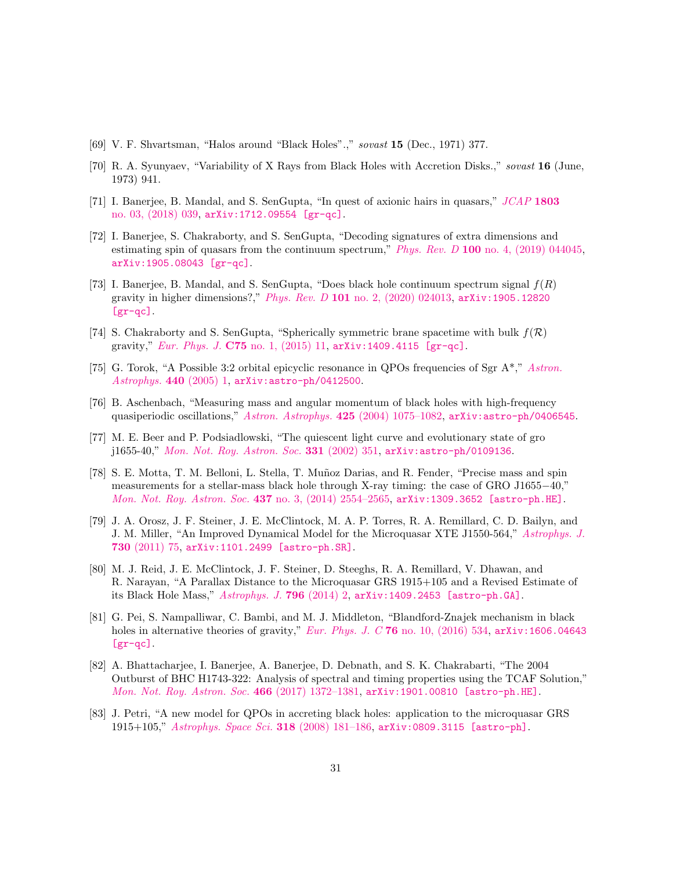- <span id="page-30-0"></span>[69] V. F. Shvartsman, "Halos around "Black Holes".," sovast 15 (Dec., 1971) 377.
- <span id="page-30-1"></span>[70] R. A. Syunyaev, "Variability of X Rays from Black Holes with Accretion Disks.," sovast 16 (June, 1973) 941.
- <span id="page-30-2"></span>[71] I. Banerjee, B. Mandal, and S. SenGupta, "In quest of axionic hairs in quasars," [JCAP](http://dx.doi.org/10.1088/1475-7516/2018/03/039) 1803 [no. 03, \(2018\) 039,](http://dx.doi.org/10.1088/1475-7516/2018/03/039) [arXiv:1712.09554 \[gr-qc\]](http://arxiv.org/abs/1712.09554).
- <span id="page-30-13"></span>[72] I. Banerjee, S. Chakraborty, and S. SenGupta, "Decoding signatures of extra dimensions and estimating spin of quasars from the continuum spectrum,"  $Phys. Rev. D 100$  [no. 4, \(2019\) 044045,](http://dx.doi.org/10.1103/PhysRevD.100.044045) [arXiv:1905.08043 \[gr-qc\]](http://arxiv.org/abs/1905.08043).
- <span id="page-30-3"></span>[73] I. Banerjee, B. Mandal, and S. SenGupta, "Does black hole continuum spectrum signal  $f(R)$ gravity in higher dimensions?," Phys. Rev. D 101 [no. 2, \(2020\) 024013,](http://dx.doi.org/10.1103/PhysRevD.101.024013) [arXiv:1905.12820](http://arxiv.org/abs/1905.12820)  $[gr-qc]$ .
- <span id="page-30-4"></span>[74] S. Chakraborty and S. SenGupta, "Spherically symmetric brane spacetime with bulk  $f(\mathcal{R})$ gravity," Eur. Phys. J. C75 [no. 1, \(2015\) 11,](http://dx.doi.org/10.1140/epjc/s10052-014-3234-3) [arXiv:1409.4115 \[gr-qc\]](http://arxiv.org/abs/1409.4115).
- <span id="page-30-5"></span>[75] G. Torok, "A Possible 3:2 orbital epicyclic resonance in QPOs frequencies of Sgr A\*," [Astron.](http://dx.doi.org/10.1051/0004-6361:20042558) [Astrophys.](http://dx.doi.org/10.1051/0004-6361:20042558) 440  $(2005)$  1, arXiv: astro-ph/0412500.
- <span id="page-30-6"></span>[76] B. Aschenbach, "Measuring mass and angular momentum of black holes with high-frequency quasiperiodic oscillations," [Astron. Astrophys.](http://dx.doi.org/10.1051/0004-6361:20041412) 425 (2004) 1075-1082, [arXiv:astro-ph/0406545](http://arxiv.org/abs/astro-ph/0406545).
- <span id="page-30-7"></span>[77] M. E. Beer and P. Podsiadlowski, "The quiescent light curve and evolutionary state of gro j1655-40," [Mon. Not. Roy. Astron. Soc.](http://dx.doi.org/10.1046/j.1365-8711.2002.05189.x) 331 (2002) 351, [arXiv:astro-ph/0109136](http://arxiv.org/abs/astro-ph/0109136).
- <span id="page-30-8"></span>[78] S. E. Motta, T. M. Belloni, L. Stella, T. Muñoz Darias, and R. Fender, "Precise mass and spin measurements for a stellar-mass black hole through X-ray timing: the case of GRO J1655−40," [Mon. Not. Roy. Astron. Soc.](http://dx.doi.org/10.1093/mnras/stt2068) 437 no. 3, (2014) 2554-2565, [arXiv:1309.3652 \[astro-ph.HE\]](http://arxiv.org/abs/1309.3652).
- <span id="page-30-9"></span>[79] J. A. Orosz, J. F. Steiner, J. E. McClintock, M. A. P. Torres, R. A. Remillard, C. D. Bailyn, and J. M. Miller, "An Improved Dynamical Model for the Microquasar XTE J1550-564," [Astrophys. J.](http://dx.doi.org/10.1088/0004-637X/730/2/75) 730 [\(2011\) 75,](http://dx.doi.org/10.1088/0004-637X/730/2/75) [arXiv:1101.2499 \[astro-ph.SR\]](http://arxiv.org/abs/1101.2499).
- <span id="page-30-10"></span>[80] M. J. Reid, J. E. McClintock, J. F. Steiner, D. Steeghs, R. A. Remillard, V. Dhawan, and R. Narayan, "A Parallax Distance to the Microquasar GRS 1915+105 and a Revised Estimate of its Black Hole Mass," [Astrophys. J.](http://dx.doi.org/10.1088/0004-637X/796/1/2) 796 (2014) 2, [arXiv:1409.2453 \[astro-ph.GA\]](http://arxiv.org/abs/1409.2453).
- <span id="page-30-11"></span>[81] G. Pei, S. Nampalliwar, C. Bambi, and M. J. Middleton, "Blandford-Znajek mechanism in black holes in alternative theories of gravity," Eur. Phys. J. C 76 [no. 10, \(2016\) 534,](http://dx.doi.org/10.1140/epjc/s10052-016-4387-z) [arXiv:1606.04643](http://arxiv.org/abs/1606.04643)  $[gr-qc]$ .
- [82] A. Bhattacharjee, I. Banerjee, A. Banerjee, D. Debnath, and S. K. Chakrabarti, "The 2004 Outburst of BHC H1743-322: Analysis of spectral and timing properties using the TCAF Solution," [Mon. Not. Roy. Astron. Soc.](http://dx.doi.org/10.1093/mnras/stw3117) 466 (2017) 1372–1381, [arXiv:1901.00810 \[astro-ph.HE\]](http://arxiv.org/abs/1901.00810).
- <span id="page-30-12"></span>[83] J. Petri, "A new model for QPOs in accreting black holes: application to the microquasar GRS 1915+105," [Astrophys. Space Sci.](http://dx.doi.org/10.1007/s10509-008-9916-2) 318 (2008) 181–186, [arXiv:0809.3115 \[astro-ph\]](http://arxiv.org/abs/0809.3115).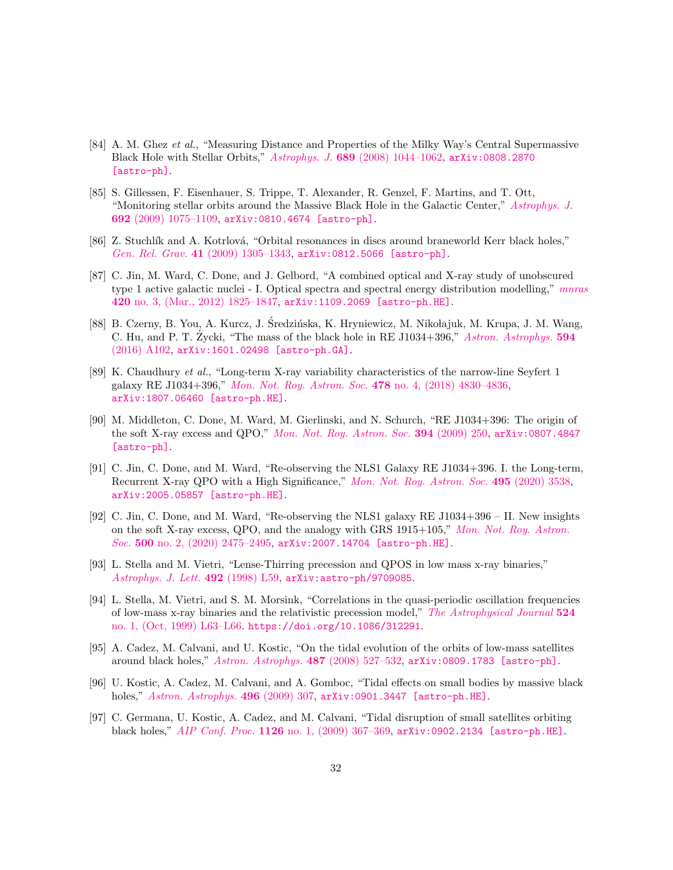- <span id="page-31-0"></span>[84] A. M. Ghez et al., "Measuring Distance and Properties of the Milky Way's Central Supermassive Black Hole with Stellar Orbits," Astrophys. J. 689 [\(2008\) 1044–1062,](http://dx.doi.org/10.1086/592738) [arXiv:0808.2870](http://arxiv.org/abs/0808.2870) [\[astro-ph\]](http://arxiv.org/abs/0808.2870).
- <span id="page-31-1"></span>[85] S. Gillessen, F. Eisenhauer, S. Trippe, T. Alexander, R. Genzel, F. Martins, and T. Ott, "Monitoring stellar orbits around the Massive Black Hole in the Galactic Center," [Astrophys. J.](http://dx.doi.org/10.1088/0004-637X/692/2/1075) 692 [\(2009\) 1075–1109,](http://dx.doi.org/10.1088/0004-637X/692/2/1075) [arXiv:0810.4674 \[astro-ph\]](http://arxiv.org/abs/0810.4674).
- <span id="page-31-2"></span>[86] Z. Stuchlík and A. Kotrlová, "Orbital resonances in discs around braneworld Kerr black holes," Gen. Rel. Grav. 41 [\(2009\) 1305–1343,](http://dx.doi.org/10.1007/s10714-008-0709-2) [arXiv:0812.5066 \[astro-ph\]](http://arxiv.org/abs/0812.5066).
- <span id="page-31-3"></span>[87] C. Jin, M. Ward, C. Done, and J. Gelbord, "A combined optical and X-ray study of unobscured type 1 active galactic nuclei - I. Optical spectra and spectral energy distribution modelling," [mnras](http://dx.doi.org/10.1111/j.1365-2966.2011.19805.x) 420 [no. 3, \(Mar., 2012\) 1825–1847,](http://dx.doi.org/10.1111/j.1365-2966.2011.19805.x) [arXiv:1109.2069 \[astro-ph.HE\]](http://arxiv.org/abs/1109.2069).
- [88] B. Czerny, B. You, A. Kurcz, J. Sredzińska, K. Hryniewicz, M. Nikołajuk, M. Krupa, J. M. Wang, C. Hu, and P. T. Zycki, "The mass of the black hole in RE J1034+396," [Astron. Astrophys.](http://dx.doi.org/10.1051/0004-6361/201628103) 594 [\(2016\) A102,](http://dx.doi.org/10.1051/0004-6361/201628103) [arXiv:1601.02498 \[astro-ph.GA\]](http://arxiv.org/abs/1601.02498).
- <span id="page-31-4"></span>[89] K. Chaudhury et al., "Long-term X-ray variability characteristics of the narrow-line Seyfert 1 galaxy RE J1034+396," [Mon. Not. Roy. Astron. Soc.](http://dx.doi.org/10.1093/mnras/sty1366) 478 no. 4, (2018) 4830–4836, [arXiv:1807.06460 \[astro-ph.HE\]](http://arxiv.org/abs/1807.06460).
- <span id="page-31-5"></span>[90] M. Middleton, C. Done, M. Ward, M. Gierlinski, and N. Schurch, "RE J1034+396: The origin of the soft X-ray excess and QPO," [Mon. Not. Roy. Astron. Soc.](http://dx.doi.org/10.1111/j.1365-2966.2008.14255.x) 394 (2009) 250, [arXiv:0807.4847](http://arxiv.org/abs/0807.4847) [\[astro-ph\]](http://arxiv.org/abs/0807.4847).
- [91] C. Jin, C. Done, and M. Ward, "Re-observing the NLS1 Galaxy RE J1034+396. I. the Long-term, Recurrent X-ray QPO with a High Significance," [Mon. Not. Roy. Astron. Soc.](http://dx.doi.org/10.1093/mnras/staa1356) 495 (2020) 3538, [arXiv:2005.05857 \[astro-ph.HE\]](http://arxiv.org/abs/2005.05857).
- <span id="page-31-6"></span>[92] C. Jin, C. Done, and M. Ward, "Re-observing the NLS1 galaxy RE J1034+396 – II. New insights on the soft X-ray excess, QPO, and the analogy with GRS 1915+105," [Mon. Not. Roy. Astron.](http://dx.doi.org/10.1093/mnras/staa3386) Soc. 500 [no. 2, \(2020\) 2475–2495,](http://dx.doi.org/10.1093/mnras/staa3386) [arXiv:2007.14704 \[astro-ph.HE\]](http://arxiv.org/abs/2007.14704).
- <span id="page-31-7"></span>[93] L. Stella and M. Vietri, "Lense-Thirring precession and QPOS in low mass x-ray binaries," [Astrophys. J. Lett.](http://dx.doi.org/10.1086/311075) 492 (1998) L59, arXiv: astro-ph/9709085.
- <span id="page-31-8"></span>[94] L. Stella, M. Vietri, and S. M. Morsink, "Correlations in the quasi-periodic oscillation frequencies of low-mass x-ray binaries and the relativistic precession model," [The Astrophysical Journal](http://dx.doi.org/10.1086/312291) 524 [no. 1, \(Oct, 1999\) L63–L66.](http://dx.doi.org/10.1086/312291) <https://doi.org/10.1086/312291>.
- <span id="page-31-9"></span>[95] A. Cadez, M. Calvani, and U. Kostic, "On the tidal evolution of the orbits of low-mass satellites around black holes," [Astron. Astrophys.](http://dx.doi.org/10.1051/0004-6361:200809483) 487 (2008) 527–532, [arXiv:0809.1783 \[astro-ph\]](http://arxiv.org/abs/0809.1783).
- [96] U. Kostic, A. Cadez, M. Calvani, and A. Gomboc, "Tidal effects on small bodies by massive black holes," [Astron. Astrophys.](http://dx.doi.org/10.1051/0004-6361/200811059) 496 (2009) 307, [arXiv:0901.3447 \[astro-ph.HE\]](http://arxiv.org/abs/0901.3447).
- <span id="page-31-10"></span>[97] C. Germana, U. Kostic, A. Cadez, and M. Calvani, "Tidal disruption of small satellites orbiting black holes," AIP Conf. Proc. 1126 no. 1, (2009) 367-369, [arXiv:0902.2134 \[astro-ph.HE\]](http://arxiv.org/abs/0902.2134).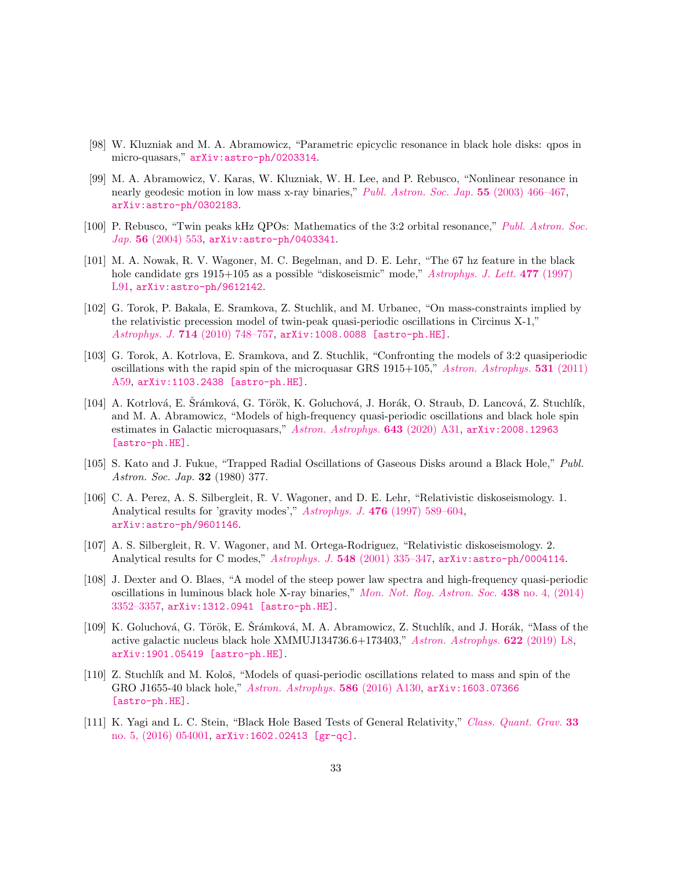- <span id="page-32-1"></span>[98] W. Kluzniak and M. A. Abramowicz, "Parametric epicyclic resonance in black hole disks: qpos in micro-quasars," [arXiv:astro-ph/0203314](http://arxiv.org/abs/astro-ph/0203314).
- <span id="page-32-12"></span>[99] M. A. Abramowicz, V. Karas, W. Kluzniak, W. H. Lee, and P. Rebusco, "Nonlinear resonance in nearly geodesic motion in low mass x-ray binaries," [Publ. Astron. Soc. Jap.](http://dx.doi.org/10.1093/pasj/55.2.467) 55 (2003) 466-467, [arXiv:astro-ph/0302183](http://arxiv.org/abs/astro-ph/0302183).
- <span id="page-32-2"></span>[100] P. Rebusco, "Twin peaks kHz QPOs: Mathematics of the 3:2 orbital resonance," [Publ. Astron. Soc.](http://dx.doi.org/10.1093/pasj/56.3.553)  $Jap.$  56 [\(2004\) 553,](http://dx.doi.org/10.1093/pasj/56.3.553) arXiv: astro-ph/0403341.
- <span id="page-32-3"></span>[101] M. A. Nowak, R. V. Wagoner, M. C. Begelman, and D. E. Lehr, "The 67 hz feature in the black hole candidate grs 1915+105 as a possible "diskoseismic" mode," [Astrophys. J. Lett.](http://dx.doi.org/10.1086/310534) 477 (1997) [L91,](http://dx.doi.org/10.1086/310534) [arXiv:astro-ph/9612142](http://arxiv.org/abs/astro-ph/9612142).
- <span id="page-32-4"></span>[102] G. Torok, P. Bakala, E. Sramkova, Z. Stuchlik, and M. Urbanec, "On mass-constraints implied by the relativistic precession model of twin-peak quasi-periodic oscillations in Circinus X-1," Astrophys. J. 714 (2010) 748-757, [arXiv:1008.0088 \[astro-ph.HE\]](http://arxiv.org/abs/1008.0088).
- <span id="page-32-11"></span>[103] G. Torok, A. Kotrlova, E. Sramkova, and Z. Stuchlik, "Confronting the models of 3:2 quasiperiodic oscillations with the rapid spin of the microquasar GRS 1915+105," [Astron. Astrophys.](http://dx.doi.org/10.1051/0004-6361/201015549) 531 (2011) [A59,](http://dx.doi.org/10.1051/0004-6361/201015549) [arXiv:1103.2438 \[astro-ph.HE\]](http://arxiv.org/abs/1103.2438).
- <span id="page-32-5"></span>[104] A. Kotrlová, E. Srámková, G. Török, K. Goluchová, J. Horák, O. Straub, D. Lancová, Z. Stuchlík, and M. A. Abramowicz, "Models of high-frequency quasi-periodic oscillations and black hole spin estimates in Galactic microquasars," [Astron. Astrophys.](http://dx.doi.org/10.1051/0004-6361/201937097) 643 (2020) A31, [arXiv:2008.12963](http://arxiv.org/abs/2008.12963) [\[astro-ph.HE\]](http://arxiv.org/abs/2008.12963).
- <span id="page-32-9"></span>[105] S. Kato and J. Fukue, "Trapped Radial Oscillations of Gaseous Disks around a Black Hole," Publ. Astron. Soc. Jap. 32 (1980) 377.
- [106] C. A. Perez, A. S. Silbergleit, R. V. Wagoner, and D. E. Lehr, "Relativistic diskoseismology. 1. Analytical results for 'gravity modes'," Astrophys. J. 476 [\(1997\) 589–604,](http://dx.doi.org/10.1086/303658) [arXiv:astro-ph/9601146](http://arxiv.org/abs/astro-ph/9601146).
- <span id="page-32-10"></span>[107] A. S. Silbergleit, R. V. Wagoner, and M. Ortega-Rodriguez, "Relativistic diskoseismology. 2. Analytical results for C modes," Astrophys. J. 548 [\(2001\) 335–347,](http://dx.doi.org/10.1086/318659) [arXiv:astro-ph/0004114](http://arxiv.org/abs/astro-ph/0004114).
- <span id="page-32-0"></span>[108] J. Dexter and O. Blaes, "A model of the steep power law spectra and high-frequency quasi-periodic oscillations in luminous black hole X-ray binaries," [Mon. Not. Roy. Astron. Soc.](http://dx.doi.org/10.1093/mnras/stu121) 438 no. 4, (2014) [3352–3357,](http://dx.doi.org/10.1093/mnras/stu121) [arXiv:1312.0941 \[astro-ph.HE\]](http://arxiv.org/abs/1312.0941).
- <span id="page-32-6"></span>[109] K. Goluchová, G. Török, E. Šrámková, M. A. Abramowicz, Z. Stuchlík, and J. Horák, "Mass of the active galactic nucleus black hole XMMUJ134736.6+173403," [Astron. Astrophys.](http://dx.doi.org/10.1051/0004-6361/201834774) 622 (2019) L8, [arXiv:1901.05419 \[astro-ph.HE\]](http://arxiv.org/abs/1901.05419).
- <span id="page-32-7"></span>[110] Z. Stuchlík and M. Kološ, "Models of quasi-periodic oscillations related to mass and spin of the GRO J1655-40 black hole," [Astron. Astrophys.](http://dx.doi.org/10.1051/0004-6361/201526095) 586 (2016) A130, [arXiv:1603.07366](http://arxiv.org/abs/1603.07366) [\[astro-ph.HE\]](http://arxiv.org/abs/1603.07366).
- <span id="page-32-8"></span>[111] K. Yagi and L. C. Stein, "Black Hole Based Tests of General Relativity," [Class. Quant. Grav.](http://dx.doi.org/10.1088/0264-9381/33/5/054001) 33 [no. 5, \(2016\) 054001,](http://dx.doi.org/10.1088/0264-9381/33/5/054001) [arXiv:1602.02413 \[gr-qc\]](http://arxiv.org/abs/1602.02413).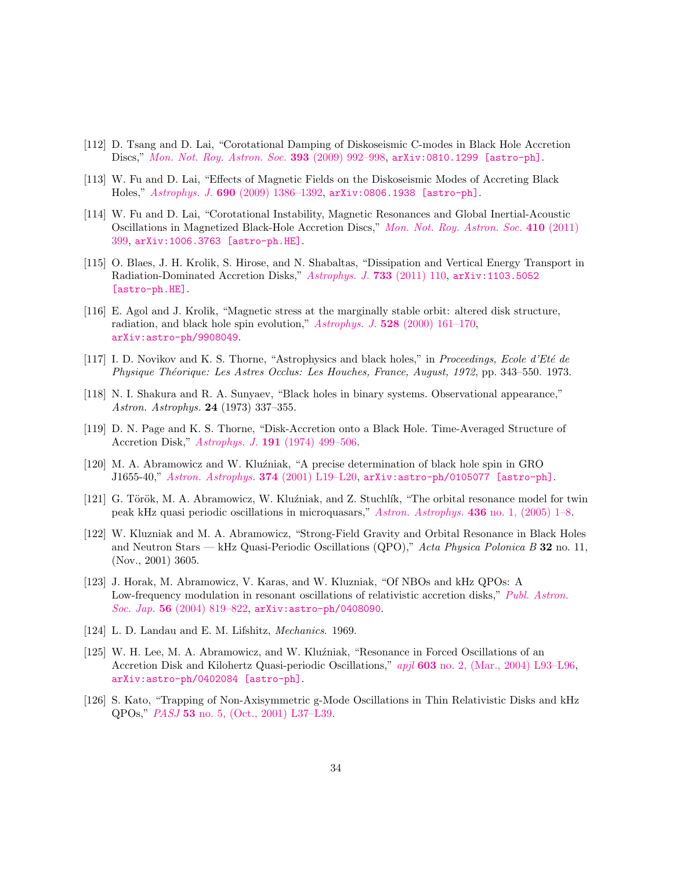- <span id="page-33-0"></span>[112] D. Tsang and D. Lai, "Corotational Damping of Diskoseismic C-modes in Black Hole Accretion Discs," [Mon. Not. Roy. Astron. Soc.](http://dx.doi.org/10.1111/j.1365-2966.2008.14228.x) 393 (2009) 992–998, [arXiv:0810.1299 \[astro-ph\]](http://arxiv.org/abs/0810.1299).
- [113] W. Fu and D. Lai, "Effects of Magnetic Fields on the Diskoseismic Modes of Accreting Black Holes," Astrophys. J. 690 [\(2009\) 1386–1392,](http://dx.doi.org/10.1088/0004-637X/690/2/1386) [arXiv:0806.1938 \[astro-ph\]](http://arxiv.org/abs/0806.1938).
- <span id="page-33-1"></span>[114] W. Fu and D. Lai, "Corotational Instability, Magnetic Resonances and Global Inertial-Acoustic Oscillations in Magnetized Black-Hole Accretion Discs," [Mon. Not. Roy. Astron. Soc.](http://dx.doi.org/10.1111/j.1365-2966.2010.17451.x) 410 (2011) [399,](http://dx.doi.org/10.1111/j.1365-2966.2010.17451.x) [arXiv:1006.3763 \[astro-ph.HE\]](http://arxiv.org/abs/1006.3763).
- <span id="page-33-2"></span>[115] O. Blaes, J. H. Krolik, S. Hirose, and N. Shabaltas, "Dissipation and Vertical Energy Transport in Radiation-Dominated Accretion Disks," [Astrophys. J.](http://dx.doi.org/10.1088/0004-637X/733/2/110) 733 (2011) 110, [arXiv:1103.5052](http://arxiv.org/abs/1103.5052) [\[astro-ph.HE\]](http://arxiv.org/abs/1103.5052).
- <span id="page-33-3"></span>[116] E. Agol and J. Krolik, "Magnetic stress at the marginally stable orbit: altered disk structure, radiation, and black hole spin evolution," Astrophys. J. 528 (2000) 161-170, [arXiv:astro-ph/9908049](http://arxiv.org/abs/astro-ph/9908049).
- <span id="page-33-4"></span>[117] I. D. Novikov and K. S. Thorne, "Astrophysics and black holes," in Proceedings, Ecole d'Eté de Physique Théorique: Les Astres Occlus: Les Houches, France, August, 1972, pp. 343–550. 1973.
- [118] N. I. Shakura and R. A. Sunyaev, "Black holes in binary systems. Observational appearance," Astron. Astrophys. 24 (1973) 337–355.
- <span id="page-33-5"></span>[119] D. N. Page and K. S. Thorne, "Disk-Accretion onto a Black Hole. Time-Averaged Structure of Accretion Disk," Astrophys. J. 191 [\(1974\) 499–506.](http://dx.doi.org/10.1086/152990)
- <span id="page-33-6"></span>[120] M. A. Abramowicz and W. Kluźniak, "A precise determination of black hole spin in GRO J1655-40," [Astron. Astrophys.](http://dx.doi.org/10.1051/0004-6361:20010791) 374 (2001) L19–L20, [arXiv:astro-ph/0105077 \[astro-ph\]](http://arxiv.org/abs/astro-ph/0105077).
- <span id="page-33-7"></span>[121] G. Török, M. A. Abramowicz, W. Kluźniak, and Z. Stuchlík, "The orbital resonance model for twin peak kHz quasi periodic oscillations in microquasars," [Astron. Astrophys.](http://dx.doi.org/10.1051/0004-6361:20047115) 436 no. 1, (2005) 1–8.
- <span id="page-33-8"></span>[122] W. Kluzniak and M. A. Abramowicz, "Strong-Field Gravity and Orbital Resonance in Black Holes and Neutron Stars — kHz Quasi-Periodic Oscillations  $(QPO)$ ," Acta Physica Polonica B 32 no. 11, (Nov., 2001) 3605.
- <span id="page-33-9"></span>[123] J. Horak, M. Abramowicz, V. Karas, and W. Kluzniak, "Of NBOs and kHz QPOs: A Low-frequency modulation in resonant oscillations of relativistic accretion disks," [Publ. Astron.](http://dx.doi.org/10.1093/pasj/56.5.819) Soc. Jap. 56 [\(2004\) 819–822,](http://dx.doi.org/10.1093/pasj/56.5.819) [arXiv:astro-ph/0408090](http://arxiv.org/abs/astro-ph/0408090).
- <span id="page-33-10"></span>[124] L. D. Landau and E. M. Lifshitz, Mechanics. 1969.
- <span id="page-33-11"></span>[125] W. H. Lee, M. A. Abramowicz, and W. Kluźniak, "Resonance in Forced Oscillations of an Accretion Disk and Kilohertz Quasi-periodic Oscillations," apjl 603 [no. 2, \(Mar., 2004\) L93–L96,](http://dx.doi.org/10.1086/383245) [arXiv:astro-ph/0402084 \[astro-ph\]](http://arxiv.org/abs/astro-ph/0402084).
- <span id="page-33-12"></span>[126] S. Kato, "Trapping of Non-Axisymmetric g-Mode Oscillations in Thin Relativistic Disks and kHz QPOs," PASJ 53 [no. 5, \(Oct., 2001\) L37–L39.](http://dx.doi.org/10.1093/pasj/53.5.L37)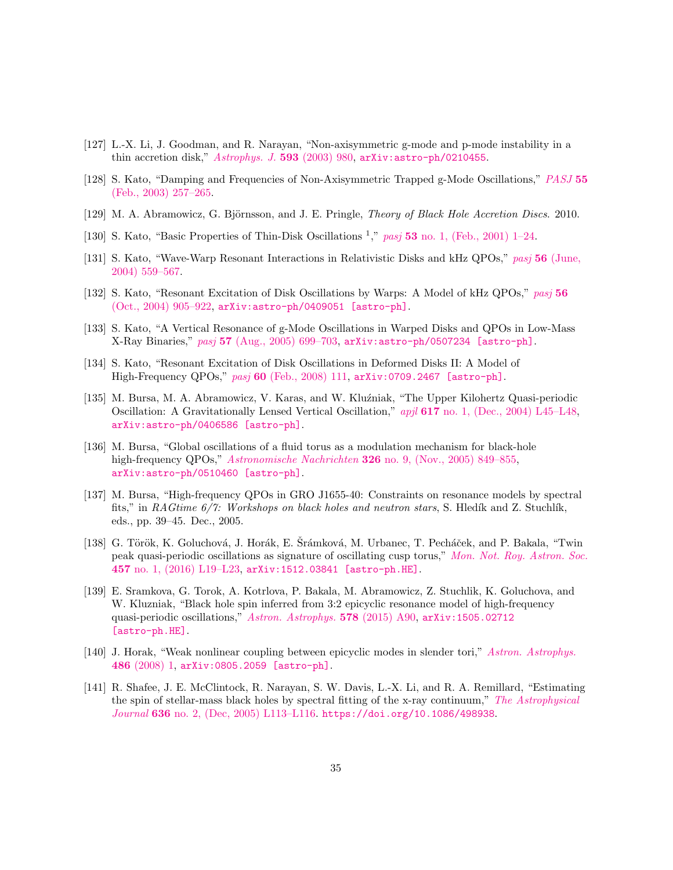- <span id="page-34-0"></span>[127] L.-X. Li, J. Goodman, and R. Narayan, "Non-axisymmetric g-mode and p-mode instability in a thin accretion disk," [Astrophys. J.](http://dx.doi.org/10.1086/376695) 593 (2003) 980, [arXiv:astro-ph/0210455](http://arxiv.org/abs/astro-ph/0210455).
- <span id="page-34-1"></span>[128] S. Kato, "Damping and Frequencies of Non-Axisymmetric Trapped g-Mode Oscillations," [PASJ](http://dx.doi.org/10.1093/pasj/55.1.257) 55 [\(Feb., 2003\) 257–265.](http://dx.doi.org/10.1093/pasj/55.1.257)
- <span id="page-34-2"></span>[129] M. A. Abramowicz, G. Björnsson, and J. E. Pringle, *Theory of Black Hole Accretion Discs.* 2010.
- <span id="page-34-3"></span>[130] S. Kato, "Basic Properties of Thin-Disk Oscillations<sup>1</sup>," pasj 53 [no. 1, \(Feb., 2001\) 1–24.](http://dx.doi.org/10.1093/pasj/53.1.1)
- <span id="page-34-5"></span>[131] S. Kato, "Wave-Warp Resonant Interactions in Relativistic Disks and kHz QPOs," pasj 56 [\(June,](http://dx.doi.org/10.1093/pasj/56.3.599) [2004\) 559–567.](http://dx.doi.org/10.1093/pasj/56.3.599)
- [132] S. Kato, "Resonant Excitation of Disk Oscillations by Warps: A Model of kHz QPOs," [pasj](http://dx.doi.org/10.1093/pasj/56.5.905) 56 [\(Oct., 2004\) 905–922,](http://dx.doi.org/10.1093/pasj/56.5.905) [arXiv:astro-ph/0409051 \[astro-ph\]](http://arxiv.org/abs/astro-ph/0409051).
- [133] S. Kato, "A Vertical Resonance of g-Mode Oscillations in Warped Disks and QPOs in Low-Mass X-Ray Binaries," pasj 57 [\(Aug., 2005\) 699–703,](http://dx.doi.org/10.1093/pasj/57.4.699) [arXiv:astro-ph/0507234 \[astro-ph\]](http://arxiv.org/abs/astro-ph/0507234).
- <span id="page-34-4"></span>[134] S. Kato, "Resonant Excitation of Disk Oscillations in Deformed Disks II: A Model of High-Frequency QPOs," pasj 60 [\(Feb., 2008\) 111,](http://dx.doi.org/10.1093/pasj/60.1.111) [arXiv:0709.2467 \[astro-ph\]](http://arxiv.org/abs/0709.2467).
- <span id="page-34-6"></span>[135] M. Bursa, M. A. Abramowicz, V. Karas, and W. Kluźniak, "The Upper Kilohertz Quasi-periodic Oscillation: A Gravitationally Lensed Vertical Oscillation," apjl 617 [no. 1, \(Dec., 2004\) L45–L48,](http://dx.doi.org/10.1086/427167) [arXiv:astro-ph/0406586 \[astro-ph\]](http://arxiv.org/abs/astro-ph/0406586).
- [136] M. Bursa, "Global oscillations of a fluid torus as a modulation mechanism for black-hole high-frequency QPOs," Astronomische Nachrichten 326 [no. 9, \(Nov., 2005\) 849–855,](http://dx.doi.org/10.1002/asna.200510426) [arXiv:astro-ph/0510460 \[astro-ph\]](http://arxiv.org/abs/astro-ph/0510460).
- <span id="page-34-7"></span>[137] M. Bursa, "High-frequency QPOs in GRO J1655-40: Constraints on resonance models by spectral fits," in RAGtime  $6/7$ : Workshops on black holes and neutron stars, S. Hledík and Z. Stuchlík, eds., pp. 39–45. Dec., 2005.
- <span id="page-34-8"></span>[138] G. Török, K. Goluchová, J. Horák, E. Šrámková, M. Urbanec, T. Pecháček, and P. Bakala, "Twin peak quasi-periodic oscillations as signature of oscillating cusp torus," [Mon. Not. Roy. Astron. Soc.](http://dx.doi.org/10.1093/mnrasl/slv196) 457 [no. 1, \(2016\) L19–L23,](http://dx.doi.org/10.1093/mnrasl/slv196) [arXiv:1512.03841 \[astro-ph.HE\]](http://arxiv.org/abs/1512.03841).
- <span id="page-34-9"></span>[139] E. Sramkova, G. Torok, A. Kotrlova, P. Bakala, M. Abramowicz, Z. Stuchlik, K. Goluchova, and W. Kluzniak, "Black hole spin inferred from 3:2 epicyclic resonance model of high-frequency quasi-periodic oscillations," [Astron. Astrophys.](http://dx.doi.org/10.1051/0004-6361/201425241) 578 (2015) A90, [arXiv:1505.02712](http://arxiv.org/abs/1505.02712) [\[astro-ph.HE\]](http://arxiv.org/abs/1505.02712).
- <span id="page-34-10"></span>[140] J. Horak, "Weak nonlinear coupling between epicyclic modes in slender tori," [Astron. Astrophys.](http://dx.doi.org/10.1051/0004-6361:20078305) 486 [\(2008\) 1,](http://dx.doi.org/10.1051/0004-6361:20078305) [arXiv:0805.2059 \[astro-ph\]](http://arxiv.org/abs/0805.2059).
- <span id="page-34-11"></span>[141] R. Shafee, J. E. McClintock, R. Narayan, S. W. Davis, L.-X. Li, and R. A. Remillard, "Estimating the spin of stellar-mass black holes by spectral fitting of the x-ray continuum," [The Astrophysical](http://dx.doi.org/10.1086/498938) Journal 636 [no. 2, \(Dec, 2005\) L113–L116.](http://dx.doi.org/10.1086/498938) <https://doi.org/10.1086/498938>.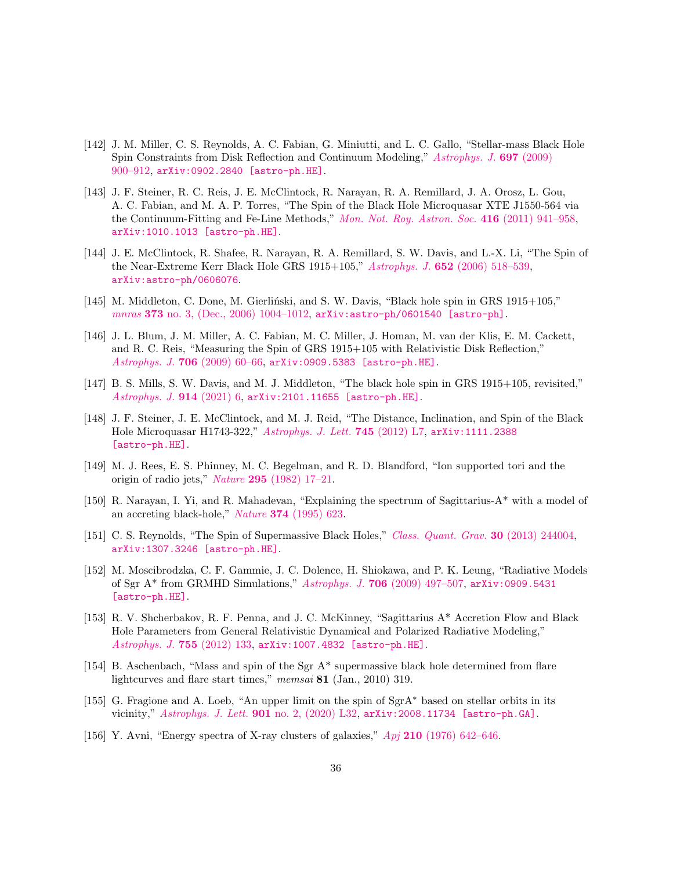- <span id="page-35-0"></span>[142] J. M. Miller, C. S. Reynolds, A. C. Fabian, G. Miniutti, and L. C. Gallo, "Stellar-mass Black Hole Spin Constraints from Disk Reflection and Continuum Modeling," [Astrophys. J.](http://dx.doi.org/10.1088/0004-637X/697/1/900) 697 (2009) [900–912,](http://dx.doi.org/10.1088/0004-637X/697/1/900) [arXiv:0902.2840 \[astro-ph.HE\]](http://arxiv.org/abs/0902.2840).
- <span id="page-35-1"></span>[143] J. F. Steiner, R. C. Reis, J. E. McClintock, R. Narayan, R. A. Remillard, J. A. Orosz, L. Gou, A. C. Fabian, and M. A. P. Torres, "The Spin of the Black Hole Microquasar XTE J1550-564 via the Continuum-Fitting and Fe-Line Methods," [Mon. Not. Roy. Astron. Soc.](http://dx.doi.org/10.1111/j.1365-2966.2011.19089.x) 416 (2011) 941–958, [arXiv:1010.1013 \[astro-ph.HE\]](http://arxiv.org/abs/1010.1013).
- <span id="page-35-2"></span>[144] J. E. McClintock, R. Shafee, R. Narayan, R. A. Remillard, S. W. Davis, and L.-X. Li, "The Spin of the Near-Extreme Kerr Black Hole GRS 1915+105," Astrophys. J. 652 [\(2006\) 518–539,](http://dx.doi.org/10.1086/508457) [arXiv:astro-ph/0606076](http://arxiv.org/abs/astro-ph/0606076).
- <span id="page-35-3"></span>[145] M. Middleton, C. Done, M. Gierliński, and S. W. Davis, "Black hole spin in GRS 1915+105," mnras 373 [no. 3, \(Dec., 2006\) 1004–1012,](http://dx.doi.org/10.1111/j.1365-2966.2006.11077.x) [arXiv:astro-ph/0601540 \[astro-ph\]](http://arxiv.org/abs/astro-ph/0601540).
- <span id="page-35-4"></span>[146] J. L. Blum, J. M. Miller, A. C. Fabian, M. C. Miller, J. Homan, M. van der Klis, E. M. Cackett, and R. C. Reis, "Measuring the Spin of GRS 1915+105 with Relativistic Disk Reflection," [Astrophys. J.](http://dx.doi.org/10.1088/0004-637X/706/1/60) 706 (2009) 60–66, [arXiv:0909.5383 \[astro-ph.HE\]](http://arxiv.org/abs/0909.5383).
- <span id="page-35-5"></span>[147] B. S. Mills, S. W. Davis, and M. J. Middleton, "The black hole spin in GRS 1915+105, revisited," [Astrophys. J.](http://dx.doi.org/10.3847/1538-4357/abf2b7) 914 (2021) 6, [arXiv:2101.11655 \[astro-ph.HE\]](http://arxiv.org/abs/2101.11655).
- <span id="page-35-6"></span>[148] J. F. Steiner, J. E. McClintock, and M. J. Reid, "The Distance, Inclination, and Spin of the Black Hole Microquasar H1743-322," [Astrophys. J. Lett.](http://dx.doi.org/10.1088/2041-8205/745/1/L7) 745 (2012) L7, [arXiv:1111.2388](http://arxiv.org/abs/1111.2388) [\[astro-ph.HE\]](http://arxiv.org/abs/1111.2388).
- <span id="page-35-7"></span>[149] M. J. Rees, E. S. Phinney, M. C. Begelman, and R. D. Blandford, "Ion supported tori and the origin of radio jets," Nature 295 [\(1982\) 17–21.](http://dx.doi.org/10.1038/295017a0)
- <span id="page-35-8"></span>[150] R. Narayan, I. Yi, and R. Mahadevan, "Explaining the spectrum of Sagittarius-A\* with a model of an accreting black-hole," Nature 374 [\(1995\) 623.](http://dx.doi.org/10.1038/374623a0)
- <span id="page-35-9"></span>[151] C. S. Reynolds, "The Spin of Supermassive Black Holes," [Class. Quant. Grav.](http://dx.doi.org/10.1088/0264-9381/30/24/244004) 30 (2013) 244004, [arXiv:1307.3246 \[astro-ph.HE\]](http://arxiv.org/abs/1307.3246).
- <span id="page-35-11"></span>[152] M. Moscibrodzka, C. F. Gammie, J. C. Dolence, H. Shiokawa, and P. K. Leung, "Radiative Models of Sgr A\* from GRMHD Simulations," Astrophys. J. 706 [\(2009\) 497–507,](http://dx.doi.org/10.1088/0004-637X/706/1/497) [arXiv:0909.5431](http://arxiv.org/abs/0909.5431) [\[astro-ph.HE\]](http://arxiv.org/abs/0909.5431).
- <span id="page-35-10"></span>[153] R. V. Shcherbakov, R. F. Penna, and J. C. McKinney, "Sagittarius A\* Accretion Flow and Black Hole Parameters from General Relativistic Dynamical and Polarized Radiative Modeling," [Astrophys. J.](http://dx.doi.org/10.1088/0004-637X/755/2/133) 755 (2012) 133, [arXiv:1007.4832 \[astro-ph.HE\]](http://arxiv.org/abs/1007.4832).
- <span id="page-35-12"></span>[154] B. Aschenbach, "Mass and spin of the Sgr A\* supermassive black hole determined from flare lightcurves and flare start times," memsai 81 (Jan., 2010) 319.
- <span id="page-35-13"></span>[155] G. Fragione and A. Loeb, "An upper limit on the spin of SgrA<sup>∗</sup> based on stellar orbits in its vicinity," [Astrophys. J. Lett.](http://dx.doi.org/10.3847/2041-8213/abb9b4) 901 no. 2, (2020) L32, [arXiv:2008.11734 \[astro-ph.GA\]](http://arxiv.org/abs/2008.11734).
- <span id="page-35-14"></span>[156] Y. Avni, "Energy spectra of X-ray clusters of galaxies," Apj 210 [\(1976\) 642–646.](http://dx.doi.org/10.1086/154870)